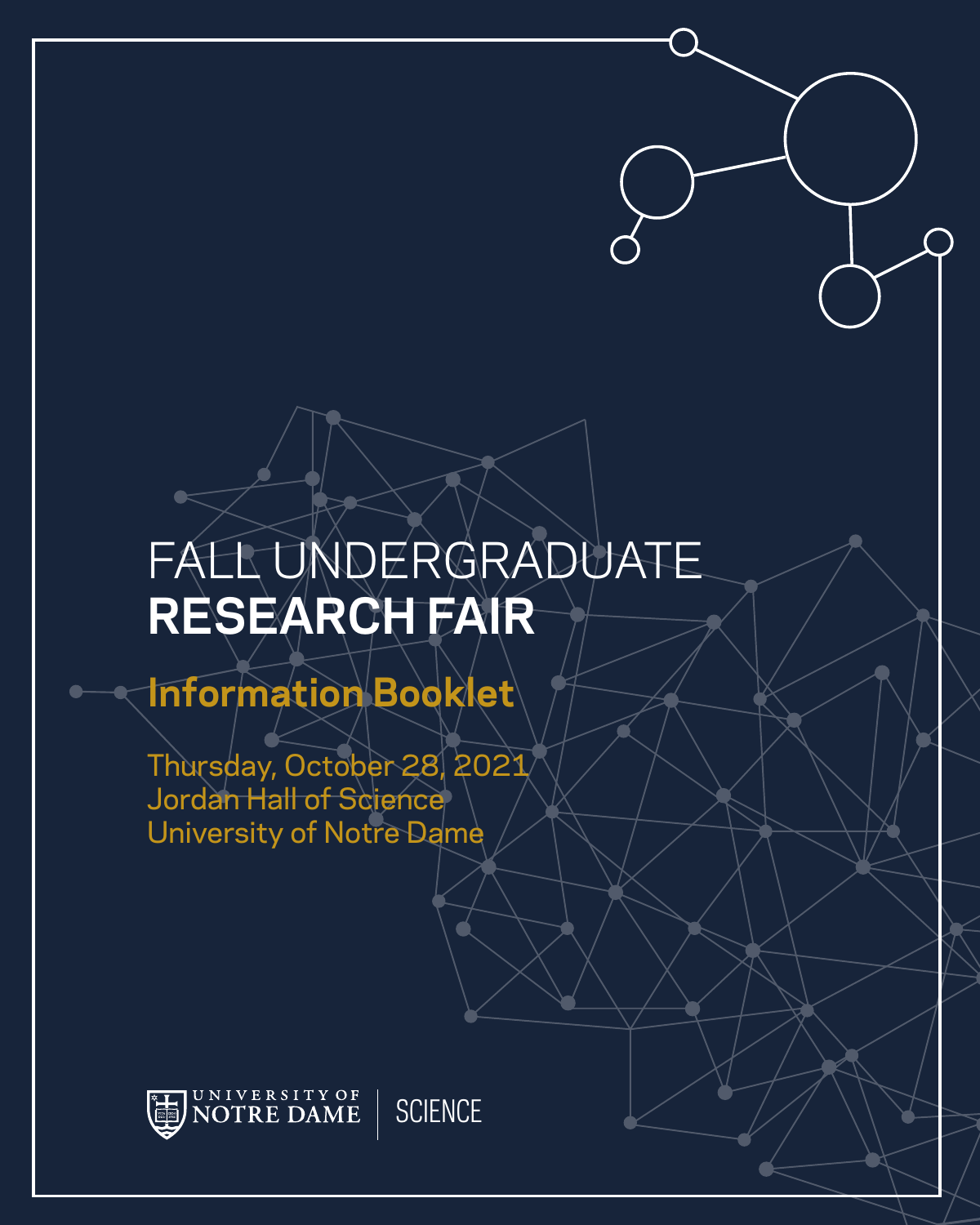# FALL UNDERGRADUATE **RESEARCH FAIR**

# **Information Booklet**

Thursday, October 28, 2021 Jordan Hall of Science University of Notre Dame



**SCIENCE**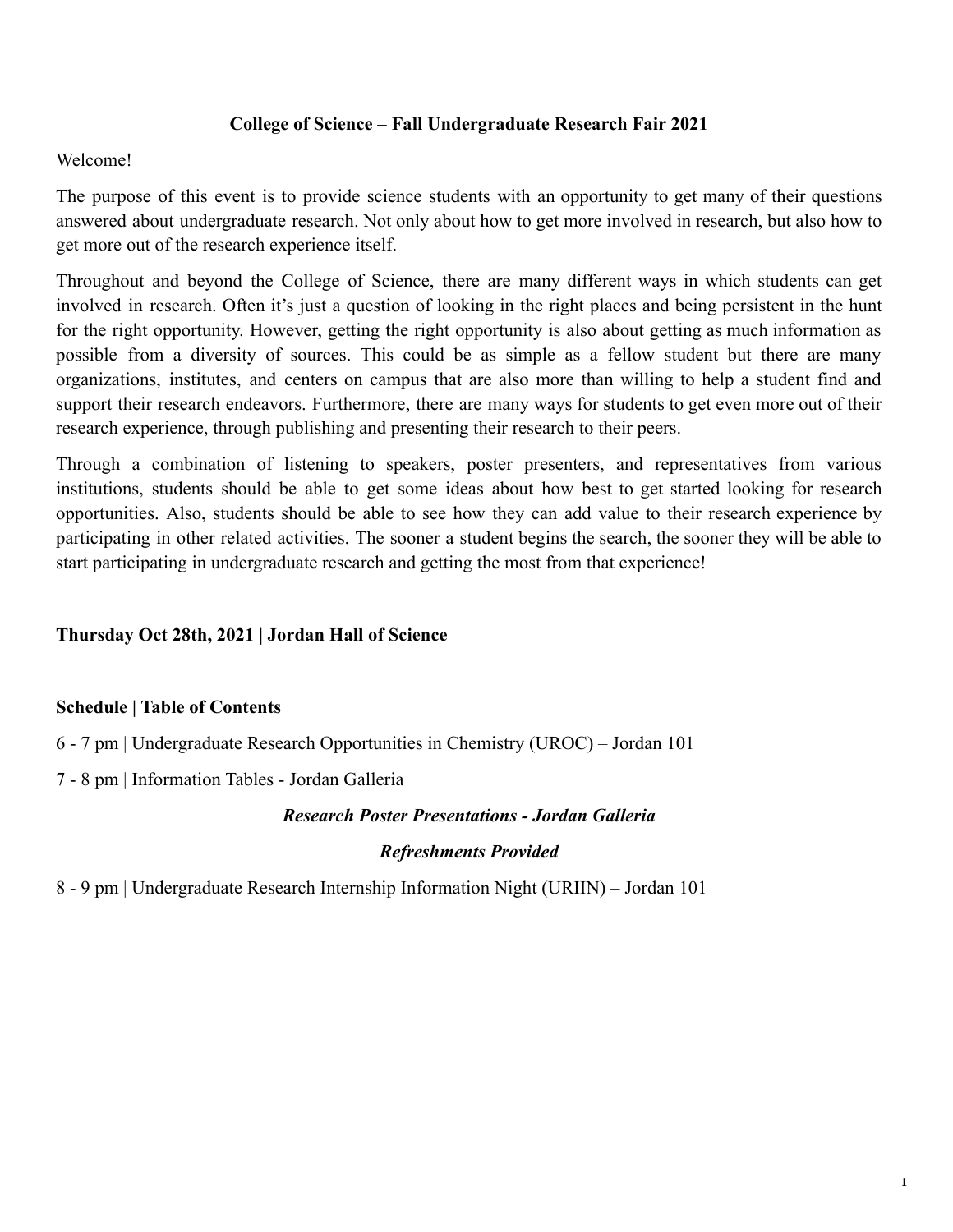### **College of Science – Fall Undergraduate Research Fair 2021**

### Welcome!

The purpose of this event is to provide science students with an opportunity to get many of their questions answered about undergraduate research. Not only about how to get more involved in research, but also how to get more out of the research experience itself.

Throughout and beyond the College of Science, there are many different ways in which students can get involved in research. Often it's just a question of looking in the right places and being persistent in the hunt for the right opportunity. However, getting the right opportunity is also about getting as much information as possible from a diversity of sources. This could be as simple as a fellow student but there are many organizations, institutes, and centers on campus that are also more than willing to help a student find and support their research endeavors. Furthermore, there are many ways for students to get even more out of their research experience, through publishing and presenting their research to their peers.

Through a combination of listening to speakers, poster presenters, and representatives from various institutions, students should be able to get some ideas about how best to get started looking for research opportunities. Also, students should be able to see how they can add value to their research experience by participating in other related activities. The sooner a student begins the search, the sooner they will be able to start participating in undergraduate research and getting the most from that experience!

### **Thursday Oct 28th, 2021 | Jordan Hall of Science**

### **Schedule | Table of Contents**

6 - 7 pm | Undergraduate Research Opportunities in Chemistry (UROC) – Jordan 101

7 - 8 pm | Information Tables - Jordan Galleria

### *Research Poster Presentations - Jordan Galleria*

### *Refreshments Provided*

8 - 9 pm | Undergraduate Research Internship Information Night (UGRIIN) – Jordan 101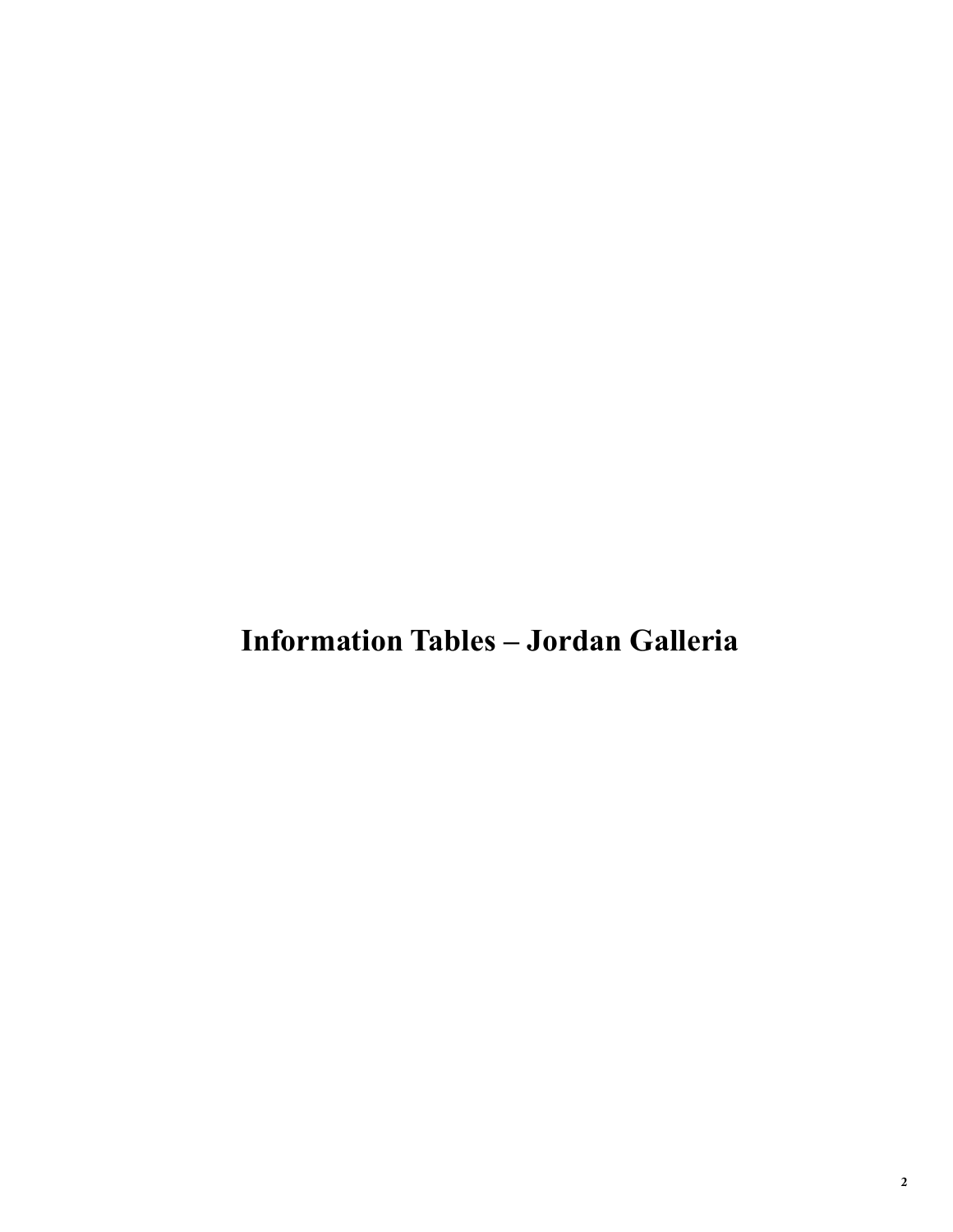**Information Tables – Jordan Galleria**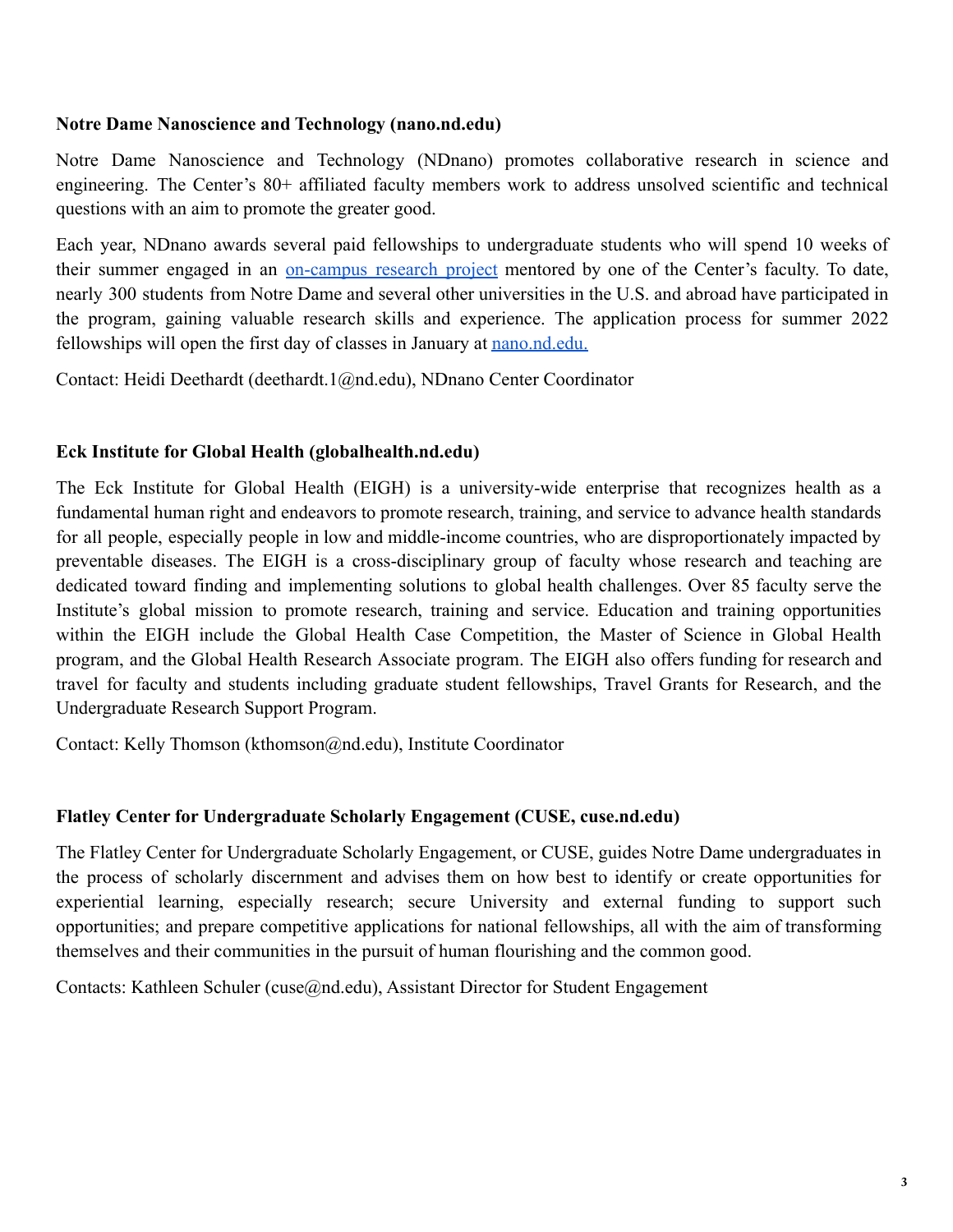### **Notre Dame Nanoscience and Technology (nano.nd.edu)**

Notre Dame Nanoscience and Technology (NDnano) promotes collaborative research in science and engineering. The Center's 80+ affiliated faculty members work to address unsolved scientific and technical questions with an aim to promote the greater good.

Each year, NDnano awards several paid fellowships to undergraduate students who will spend 10 weeks of their summer engaged in an on-campus research project mentored by one of the Center's faculty. To date, nearly 300 students from Notre Dame and several other universities in the U.S. and abroad have participated in the program, gaining valuable research skills and experience. The application process for summer 2022 fellowships will open the first day of classes in January at nano.nd.edu.

Contact: Heidi Deethardt (deethardt.1@nd.edu), NDnano Center Coordinator

### **Eck Institute for Global Health (globalhealth.nd.edu)**

The Eck Institute for Global Health (EIGH) is a university-wide enterprise that recognizes health as a fundamental human right and endeavors to promote research, training, and service to advance health standards for all people, especially people in low and middle-income countries, who are disproportionately impacted by preventable diseases. The EIGH is a cross-disciplinary group of faculty whose research and teaching are dedicated toward finding and implementing solutions to global health challenges. Over 85 faculty serve the Institute's global mission to promote research, training and service. Education and training opportunities within the EIGH include the Global Health Case Competition, the Master of Science in Global Health program, and the Global Health Research Associate program. The EIGH also offers funding for research and travel for faculty and students including graduate student fellowships, Travel Grants for Research, and the Undergraduate Research Support Program.

Contact: Kelly Thomson (kthomson@nd.edu), Institute Coordinator

### **Flatley Center for Undergraduate Scholarly Engagement (CUSE, cuse.nd.edu)**

The Flatley Center for Undergraduate Scholarly Engagement, or CUSE, guides Notre Dame undergraduates in the process of scholarly discernment and advises them on how best to identify or create opportunities for experiential learning, especially research; secure University and external funding to support such opportunities; and prepare competitive applications for national fellowships, all with the aim of transforming themselves and their communities in the pursuit of human flourishing and the common good.

Contacts: Kathleen Schuler (cuse@nd.edu), Assistant Director for Student Engagement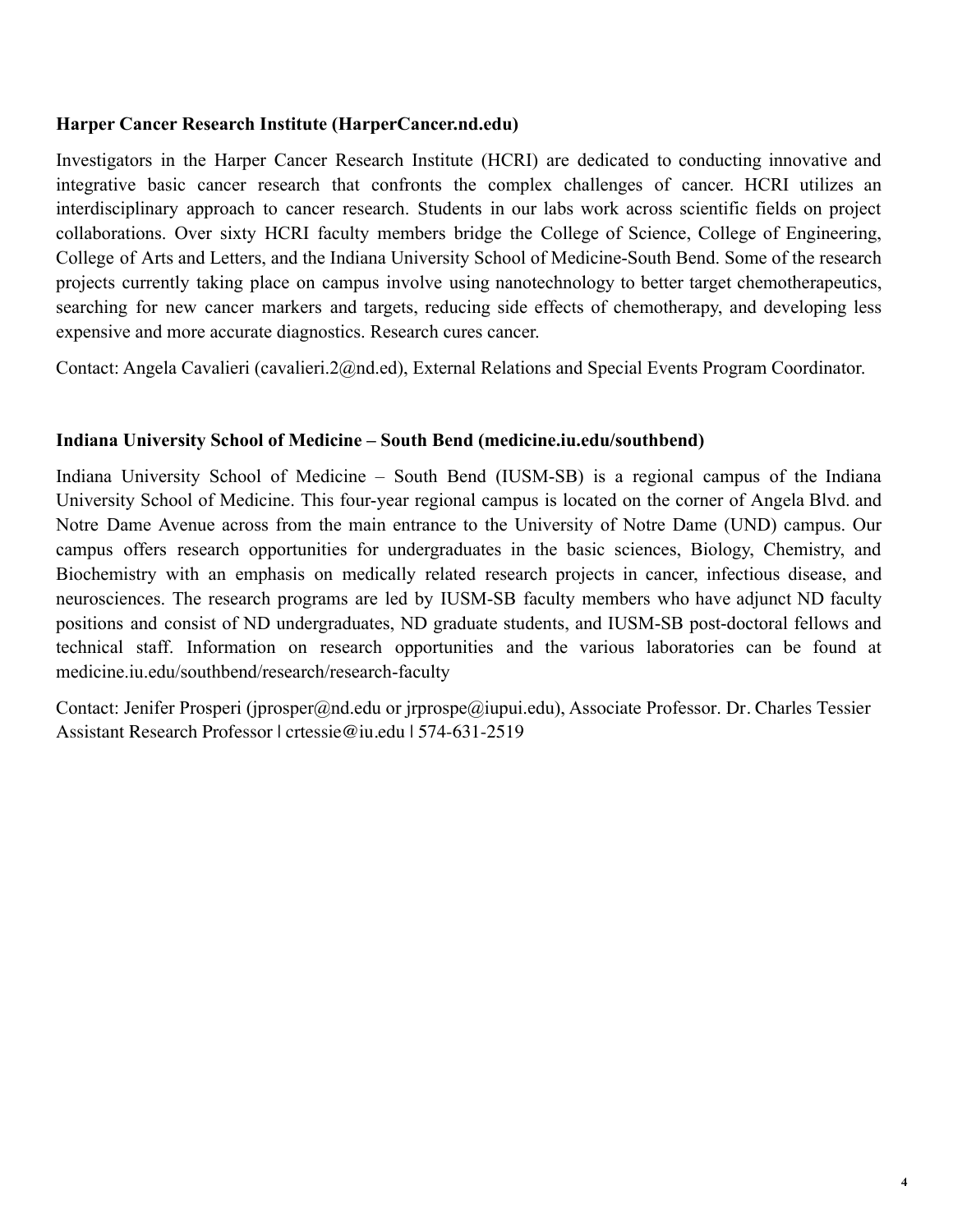### **Harper Cancer Research Institute (HarperCancer.nd.edu)**

Investigators in the Harper Cancer Research Institute (HCRI) are dedicated to conducting innovative and integrative basic cancer research that confronts the complex challenges of cancer. HCRI utilizes an interdisciplinary approach to cancer research. Students in our labs work across scientific fields on project collaborations. Over sixty HCRI faculty members bridge the College of Science, College of Engineering, College of Arts and Letters, and the Indiana University School of Medicine-South Bend. Some of the research projects currently taking place on campus involve using nanotechnology to better target chemotherapeutics, searching for new cancer markers and targets, reducing side effects of chemotherapy, and developing less expensive and more accurate diagnostics. Research cures cancer.

Contact: Angela Cavalieri (cavalieri.2@nd.ed), External Relations and Special Events Program Coordinator.

### **Indiana University School of Medicine – South Bend (medicine.iu.edu/southbend)**

Indiana University School of Medicine – South Bend (IUSM-SB) is a regional campus of the Indiana University School of Medicine. This four-year regional campus is located on the corner of Angela Blvd. and Notre Dame Avenue across from the main entrance to the University of Notre Dame (UND) campus. Our campus offers research opportunities for undergraduates in the basic sciences, Biology, Chemistry, and Biochemistry with an emphasis on medically related research projects in cancer, infectious disease, and neurosciences. The research programs are led by IUSM-SB faculty members who have adjunct ND faculty positions and consist of ND undergraduates, ND graduate students, and IUSM-SB post-doctoral fellows and technical staff. Information on research opportunities and the various laboratories can be found at medicine.iu.edu/southbend/research/research-faculty

Contact: Jenifer Prosperi (jprosper@nd.edu or jrprospe@iupui.edu), Associate Professor. Dr. Charles Tessier Assistant Research Professor | crtessie@iu.edu | 574-631-2519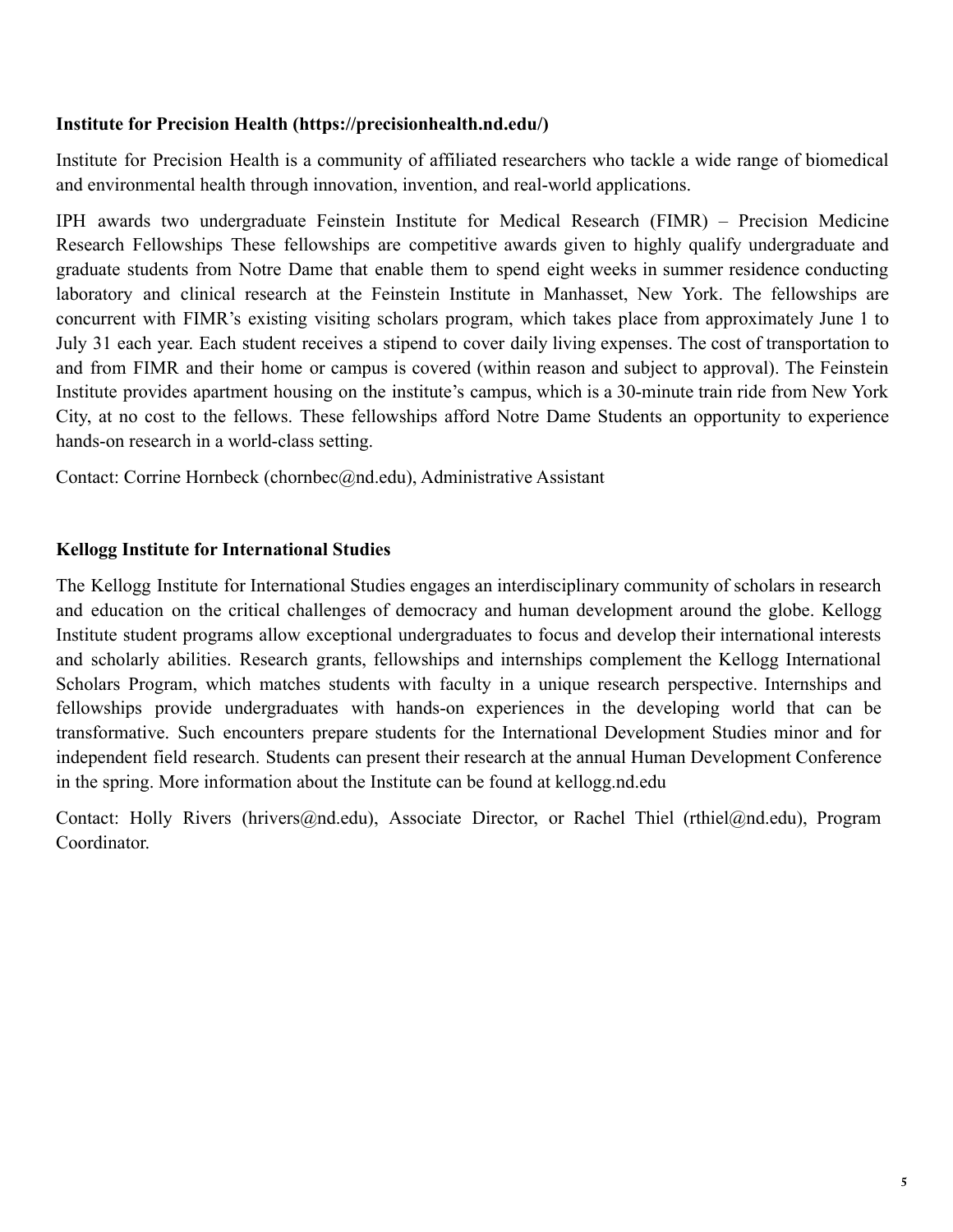### **Institute for Precision Health (https://precisionhealth.nd.edu/)**

Institute for Precision Health is a community of affiliated researchers who tackle a wide range of biomedical and environmental health through innovation, invention, and real-world applications.

IPH awards two undergraduate Feinstein Institute for Medical Research (FIMR) – Precision Medicine Research Fellowships These fellowships are competitive awards given to highly qualify undergraduate and graduate students from Notre Dame that enable them to spend eight weeks in summer residence conducting laboratory and clinical research at the Feinstein Institute in Manhasset, New York. The fellowships are concurrent with FIMR's existing visiting scholars program, which takes place from approximately June 1 to July 31 each year. Each student receives a stipend to cover daily living expenses. The cost of transportation to and from FIMR and their home or campus is covered (within reason and subject to approval). The Feinstein Institute provides apartment housing on the institute's campus, which is a 30-minute train ride from New York City, at no cost to the fellows. These fellowships afford Notre Dame Students an opportunity to experience hands-on research in a world-class setting.

Contact: Corrine Hornbeck (chornbec@nd.edu), Administrative Assistant

### **Kellogg Institute for International Studies**

The Kellogg Institute for International Studies engages an interdisciplinary community of scholars in research and education on the critical challenges of democracy and human development around the globe. Kellogg Institute student programs allow exceptional undergraduates to focus and develop their international interests and scholarly abilities. Research grants, fellowships and internships complement the Kellogg International Scholars Program, which matches students with faculty in a unique research perspective. Internships and fellowships provide undergraduates with hands-on experiences in the developing world that can be transformative. Such encounters prepare students for the International Development Studies minor and for independent field research. Students can present their research at the annual Human Development Conference in the spring. More information about the Institute can be found at kellogg.nd.edu

Contact: Holly Rivers (hrivers@nd.edu), Associate Director, or Rachel Thiel (rthiel@nd.edu), Program Coordinator.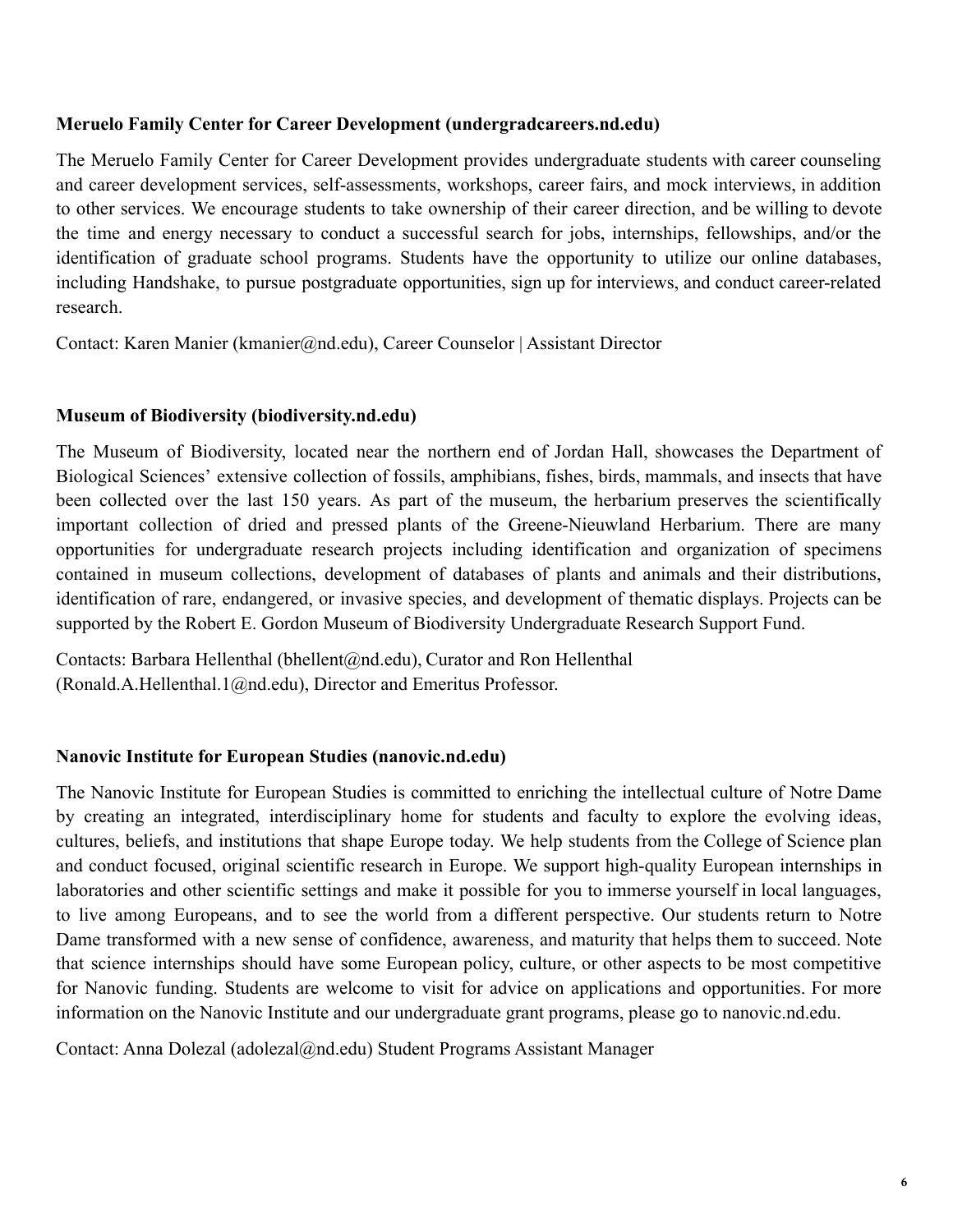### **Meruelo Family Center for Career Development (undergradcareers.nd.edu)**

The Meruelo Family Center for Career Development provides undergraduate students with career counseling and career development services, self-assessments, workshops, career fairs, and mock interviews, in addition to other services. We encourage students to take ownership of their career direction, and be willing to devote the time and energy necessary to conduct a successful search for jobs, internships, fellowships, and/or the identification of graduate school programs. Students have the opportunity to utilize our online databases, including Handshake, to pursue postgraduate opportunities, sign up for interviews, and conduct career-related research.

Contact: Karen Manier (kmanier@nd.edu), Career Counselor | Assistant Director

### **Museum of Biodiversity (biodiversity.nd.edu)**

The Museum of Biodiversity, located near the northern end of Jordan Hall, showcases the Department of Biological Sciences' extensive collection of fossils, amphibians, fishes, birds, mammals, and insects that have been collected over the last 150 years. As part of the museum, the herbarium preserves the scientifically important collection of dried and pressed plants of the Greene-Nieuwland Herbarium. There are many opportunities for undergraduate research projects including identification and organization of specimens contained in museum collections, development of databases of plants and animals and their distributions, identification of rare, endangered, or invasive species, and development of thematic displays. Projects can be supported by the Robert E. Gordon Museum of Biodiversity Undergraduate Research Support Fund.

Contacts: Barbara Hellenthal (bhellent@nd.edu), Curator and Ron Hellenthal (Ronald.A.Hellenthal.1@nd.edu), Director and Emeritus Professor.

### **Nanovic Institute for European Studies (nanovic.nd.edu)**

The Nanovic Institute for European Studies is committed to enriching the intellectual culture of Notre Dame by creating an integrated, interdisciplinary home for students and faculty to explore the evolving ideas, cultures, beliefs, and institutions that shape Europe today. We help students from the College of Science plan and conduct focused, original scientific research in Europe. We support high-quality European internships in laboratories and other scientific settings and make it possible for you to immerse yourself in local languages, to live among Europeans, and to see the world from a different perspective. Our students return to Notre Dame transformed with a new sense of confidence, awareness, and maturity that helps them to succeed. Note that science internships should have some European policy, culture, or other aspects to be most competitive for Nanovic funding. Students are welcome to visit for advice on applications and opportunities. For more information on the Nanovic Institute and our undergraduate grant programs, please go to nanovic.nd.edu.

Contact: Anna Dolezal (adolezal@nd.edu) Student Programs Assistant Manager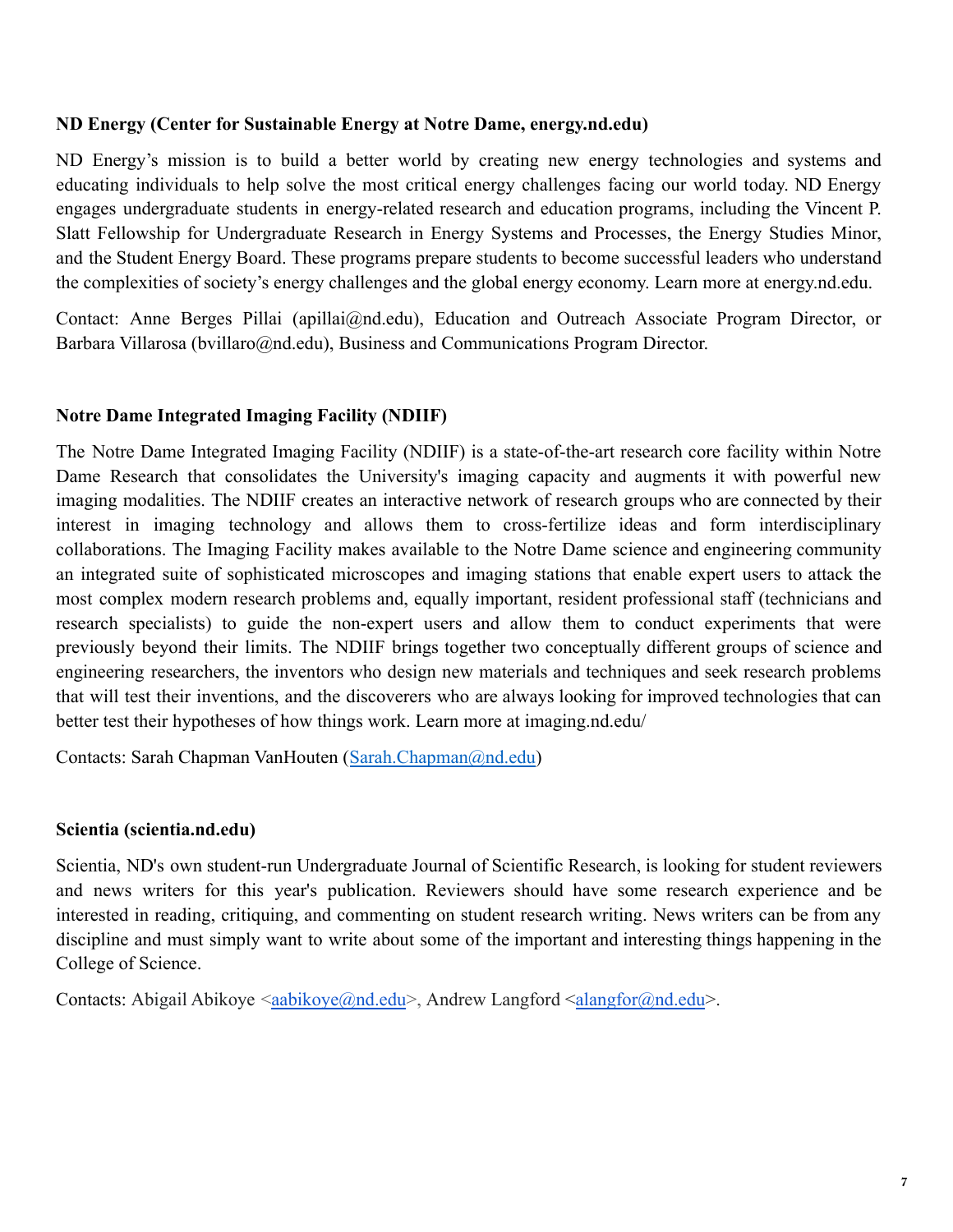### **ND Energy (Center for Sustainable Energy at Notre Dame, energy.nd.edu)**

ND Energy's mission is to build a better world by creating new energy technologies and systems and educating individuals to help solve the most critical energy challenges facing our world today. ND Energy engages undergraduate students in energy-related research and education programs, including the Vincent P. Slatt Fellowship for Undergraduate Research in Energy Systems and Processes, the Energy Studies Minor, and the Student Energy Board. These programs prepare students to become successful leaders who understand the complexities of society's energy challenges and the global energy economy. Learn more at energy.nd.edu.

Contact: Anne Berges Pillai (apillai@nd.edu), Education and Outreach Associate Program Director, or Barbara Villarosa (bvillaro@nd.edu), Business and Communications Program Director.

### **Notre Dame Integrated Imaging Facility (NDIIF)**

The Notre Dame Integrated Imaging Facility (NDIIF) is a state-of-the-art research core facility within Notre Dame Research that consolidates the University's imaging capacity and augments it with powerful new imaging modalities. The NDIIF creates an interactive network of research groups who are connected by their interest in imaging technology and allows them to cross-fertilize ideas and form interdisciplinary collaborations. The Imaging Facility makes available to the Notre Dame science and engineering community an integrated suite of sophisticated microscopes and imaging stations that enable expert users to attack the most complex modern research problems and, equally important, resident professional staff (technicians and research specialists) to guide the non-expert users and allow them to conduct experiments that were previously beyond their limits. The NDIIF brings together two conceptually different groups of science and engineering researchers, the inventors who design new materials and techniques and seek research problems that will test their inventions, and the discoverers who are always looking for improved technologies that can better test their hypotheses of how things work. Learn more at imaging.nd.edu/

Contacts: Sarah Chapman VanHouten (Sarah.Chapman@nd.edu)

### **Scientia (scientia.nd.edu)**

Scientia, ND's own student-run Undergraduate Journal of Scientific Research, is looking for student reviewers and news writers for this year's publication. Reviewers should have some research experience and be interested in reading, critiquing, and commenting on student research writing. News writers can be from any discipline and must simply want to write about some of the important and interesting things happening in the College of Science.

Contacts: Abigail Abikoye  $\langle \text{aabikoye}(a) \text{nd.edu}\rangle$ , Andrew Langford  $\langle \text{alangfor}(a) \text{nd.edu}\rangle$ .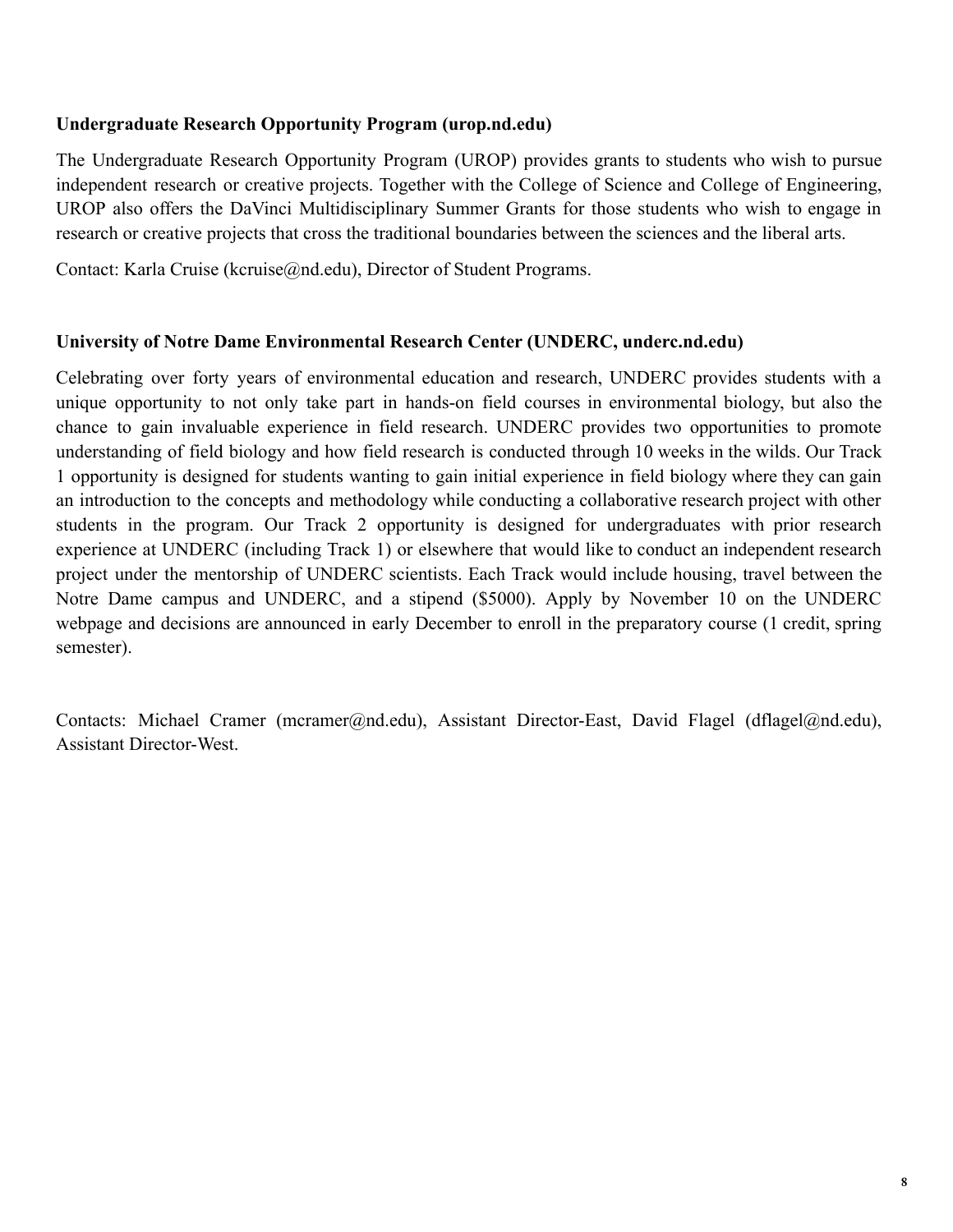### **Undergraduate Research Opportunity Program (urop.nd.edu)**

The Undergraduate Research Opportunity Program (UROP) provides grants to students who wish to pursue independent research or creative projects. Together with the College of Science and College of Engineering, UROP also offers the DaVinci Multidisciplinary Summer Grants for those students who wish to engage in research or creative projects that cross the traditional boundaries between the sciences and the liberal arts.

Contact: Karla Cruise (kcruise@nd.edu), Director of Student Programs.

### **University of Notre Dame Environmental Research Center (UNDERC, underc.nd.edu)**

Celebrating over forty years of environmental education and research, UNDERC provides students with a unique opportunity to not only take part in hands-on field courses in environmental biology, but also the chance to gain invaluable experience in field research. UNDERC provides two opportunities to promote understanding of field biology and how field research is conducted through 10 weeks in the wilds. Our Track 1 opportunity is designed for students wanting to gain initial experience in field biology where they can gain an introduction to the concepts and methodology while conducting a collaborative research project with other students in the program. Our Track 2 opportunity is designed for undergraduates with prior research experience at UNDERC (including Track 1) or elsewhere that would like to conduct an independent research project under the mentorship of UNDERC scientists. Each Track would include housing, travel between the Notre Dame campus and UNDERC, and a stipend (\$5000). Apply by November 10 on the UNDERC webpage and decisions are announced in early December to enroll in the preparatory course (1 credit, spring semester).

Contacts: Michael Cramer (mcramer@nd.edu), Assistant Director-East, David Flagel (dflagel@nd.edu), Assistant Director-West.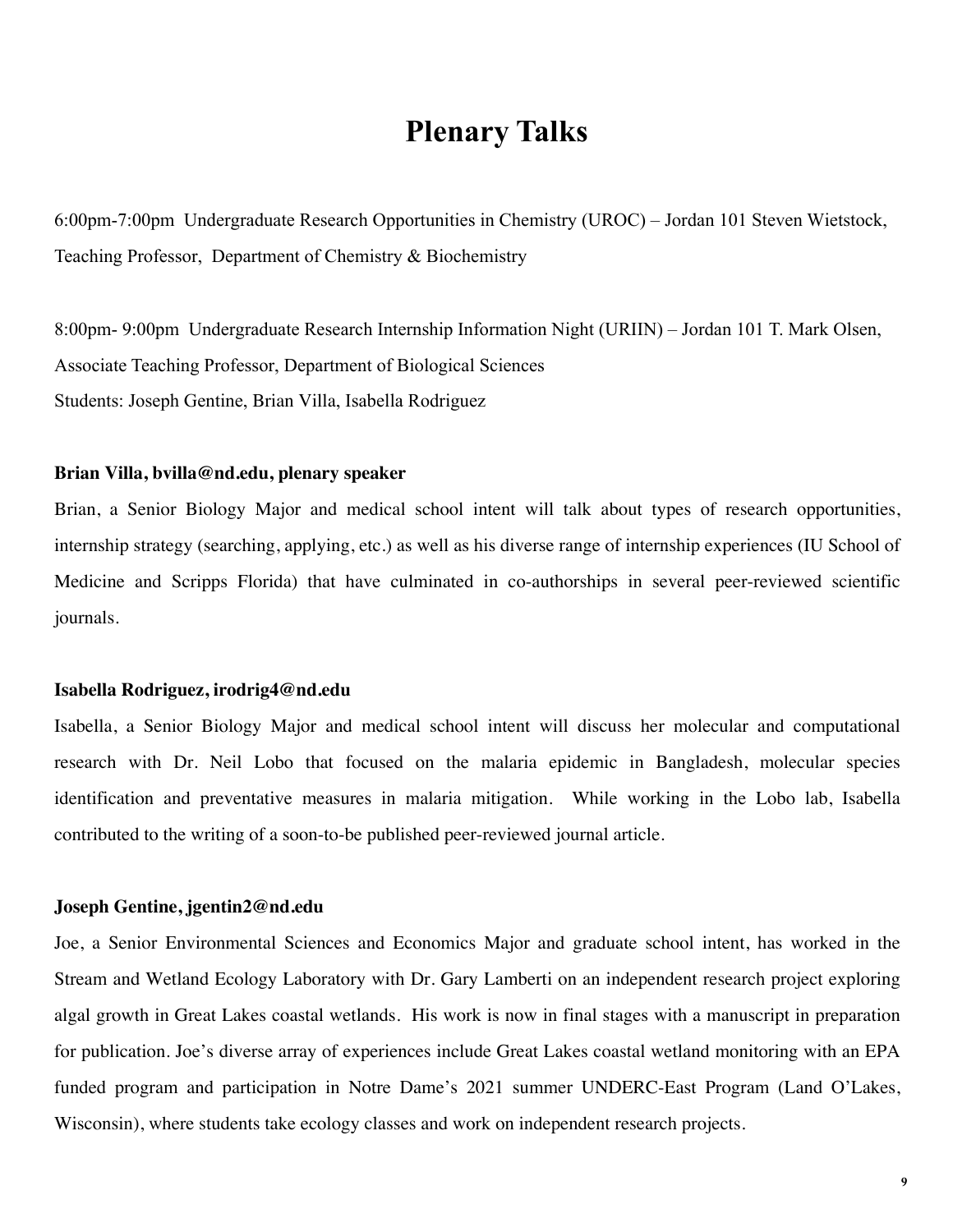## **Plenary Talks**

6:00pm-7:00pm Undergraduate Research Opportunities in Chemistry (UROC) – Jordan 101 Steven Wietstock, Teaching Professor, Department of Chemistry & Biochemistry

8:00pm- 9:00pm Undergraduate Research Internship Information Night (URIIN) – Jordan 101 T. Mark Olsen, Associate Teaching Professor, Department of Biological Sciences Students: Joseph Gentine, Brian Villa, Isabella Rodriguez

#### **Brian Villa, bvilla@nd.edu, plenary speaker**

Brian, a Senior Biology Major and medical school intent will talk about types of research opportunities, internship strategy (searching, applying, etc.) as well as his diverse range of internship experiences (IU School of Medicine and Scripps Florida) that have culminated in co-authorships in several peer-reviewed scientific journals.

#### **Isabella Rodriguez, irodrig4@nd.edu**

Isabella, a Senior Biology Major and medical school intent will discuss her molecular and computational research with Dr. Neil Lobo that focused on the malaria epidemic in Bangladesh, molecular species identification and preventative measures in malaria mitigation. While working in the Lobo lab, Isabella contributed to the writing of a soon-to-be published peer-reviewed journal article.

#### **Joseph Gentine, jgentin2@nd.edu**

Joe, a Senior Environmental Sciences and Economics Major and graduate school intent, has worked in the Stream and Wetland Ecology Laboratory with Dr. Gary Lamberti on an independent research project exploring algal growth in Great Lakes coastal wetlands. His work is now in final stages with a manuscript in preparation for publication. Joe's diverse array of experiences include Great Lakes coastal wetland monitoring with an EPA funded program and participation in Notre Dame's 2021 summer UNDERC-East Program (Land O'Lakes, Wisconsin), where students take ecology classes and work on independent research projects.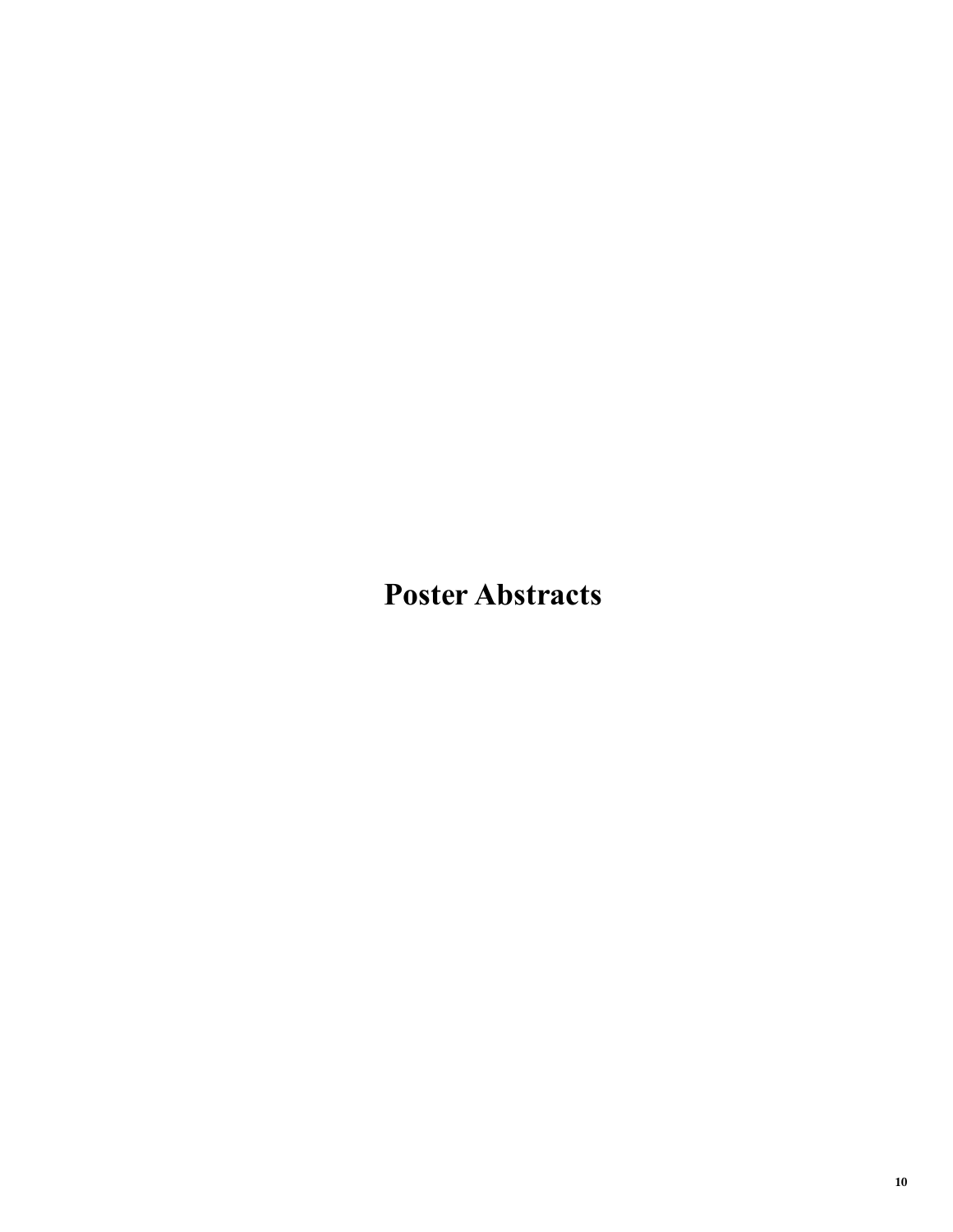# **Poster Abstracts**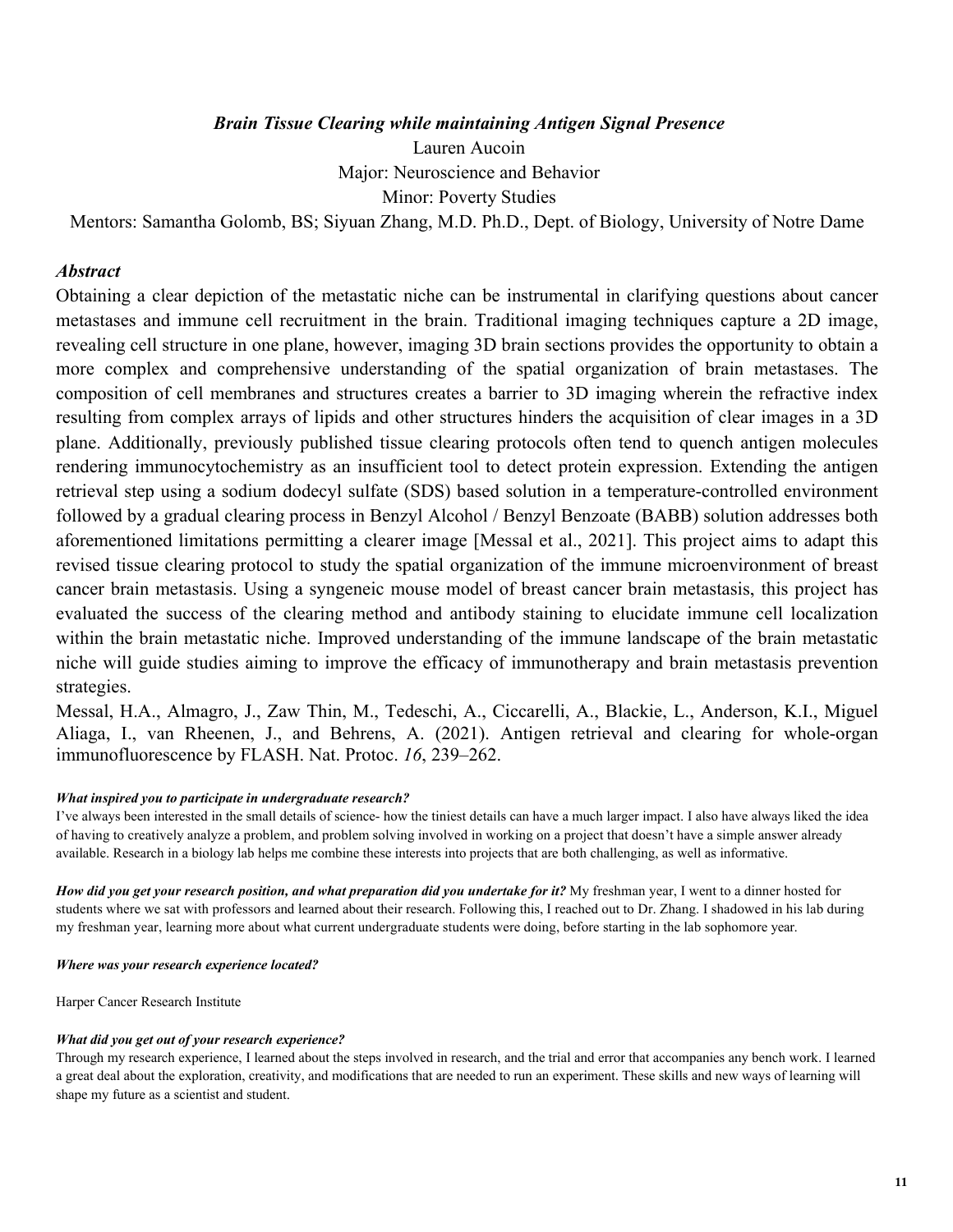### *Brain Tissue Clearing while maintaining Antigen Signal Presence*

Lauren Aucoin

Major: Neuroscience and Behavior

Minor: Poverty Studies

Mentors: Samantha Golomb, BS; Siyuan Zhang, M.D. Ph.D., Dept. of Biology, University of Notre Dame

#### *Abstract*

Obtaining a clear depiction of the metastatic niche can be instrumental in clarifying questions about cancer metastases and immune cell recruitment in the brain. Traditional imaging techniques capture a 2D image, revealing cell structure in one plane, however, imaging 3D brain sections provides the opportunity to obtain a more complex and comprehensive understanding of the spatial organization of brain metastases. The composition of cell membranes and structures creates a barrier to 3D imaging wherein the refractive index resulting from complex arrays of lipids and other structures hinders the acquisition of clear images in a 3D plane. Additionally, previously published tissue clearing protocols often tend to quench antigen molecules rendering immunocytochemistry as an insufficient tool to detect protein expression. Extending the antigen retrieval step using a sodium dodecyl sulfate (SDS) based solution in a temperature-controlled environment followed by a gradual clearing process in Benzyl Alcohol / Benzyl Benzoate (BABB) solution addresses both aforementioned limitations permitting a clearer image [Messal et al., 2021]. This project aims to adapt this revised tissue clearing protocol to study the spatial organization of the immune microenvironment of breast cancer brain metastasis. Using a syngeneic mouse model of breast cancer brain metastasis, this project has evaluated the success of the clearing method and antibody staining to elucidate immune cell localization within the brain metastatic niche. Improved understanding of the immune landscape of the brain metastatic niche will guide studies aiming to improve the efficacy of immunotherapy and brain metastasis prevention strategies.

[Messal, H.A., Almagro, J., Zaw Thin, M., Tedeschi, A., Ciccarelli, A., Blackie, L., Anderson, K.I., Migu](https://www.zotero.org/google-docs/?eYVYWN)el [Aliaga, I., van Rheenen, J., and Behrens, A. \(2021\). Antigen retrieval and clearing for whole-o](https://www.zotero.org/google-docs/?eYVYWN)rgan [immunofluorescence by FLASH. Nat. Protoc.](https://www.zotero.org/google-docs/?eYVYWN) *[16](https://www.zotero.org/google-docs/?eYVYWN)*[, 239–262.](https://www.zotero.org/google-docs/?eYVYWN) 

#### *What inspired you to participate in undergraduate research?*

I've always been interested in the small details of science- how the tiniest details can have a much larger impact. I also have always liked the idea of having to creatively analyze a problem, and problem solving involved in working on a project that doesn't have a simple answer already available. Research in a biology lab helps me combine these interests into projects that are both challenging, as well as informative.

*How did you get your research position, and what preparation did you undertake for it?* My freshman year, I went to a dinner hosted for students where we sat with professors and learned about their research. Following this, I reached out to Dr. Zhang. I shadowed in his lab during my freshman year, learning more about what current undergraduate students were doing, before starting in the lab sophomore year.

#### *Where was your research experience located?*

Harper Cancer Research Institute

#### *What did you get out of your research experience?*

Through my research experience, I learned about the steps involved in research, and the trial and error that accompanies any bench work. I learned a great deal about the exploration, creativity, and modifications that are needed to run an experiment. These skills and new ways of learning will shape my future as a scientist and student.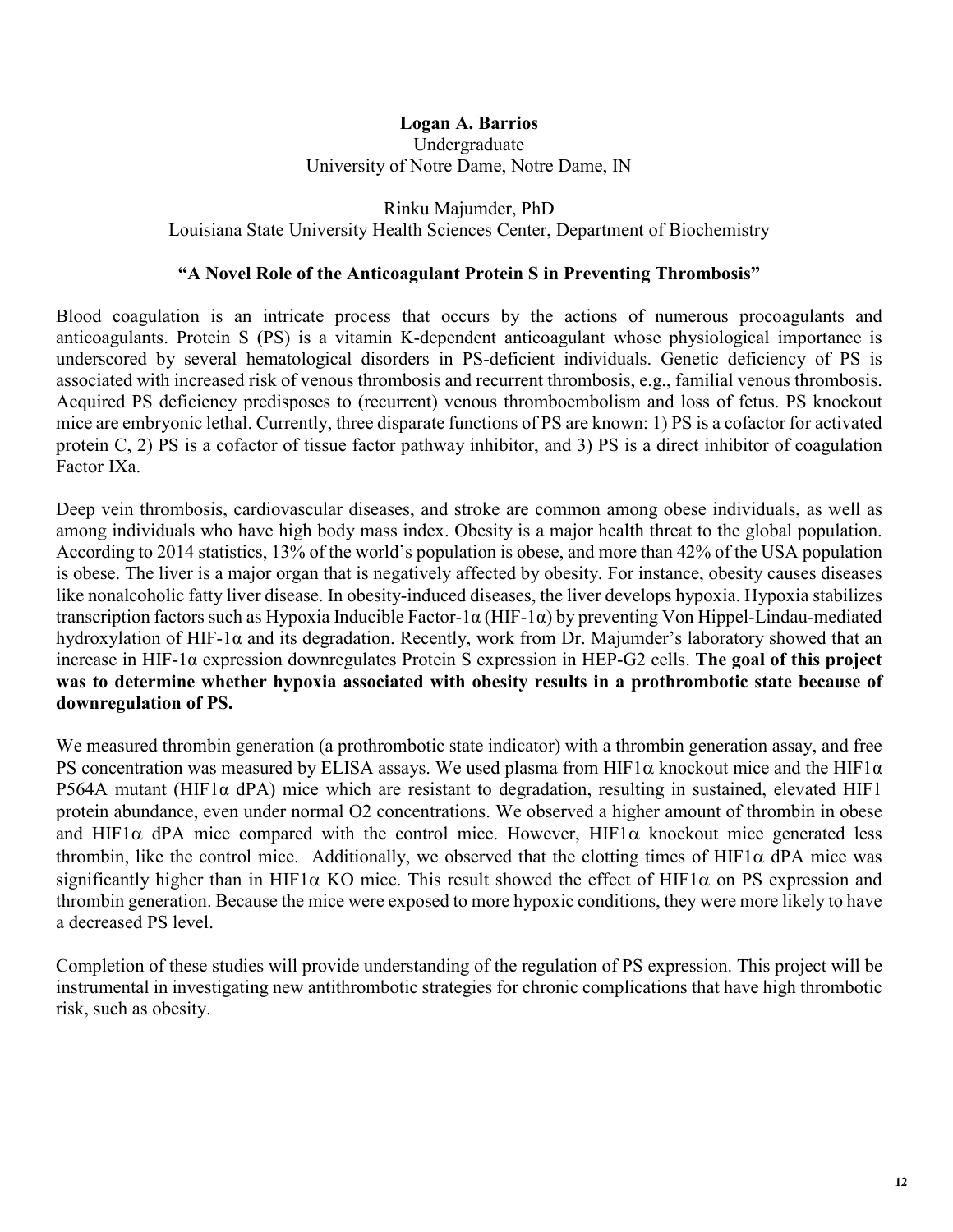### **Logan A. Barrios**  Undergraduate University of Notre Dame, Notre Dame, IN

Rinku Majumder, PhD Louisiana State University Health Sciences Center, Department of Biochemistry

### **"A Novel Role of the Anticoagulant Protein S in Preventing Thrombosis"**

Blood coagulation is an intricate process that occurs by the actions of numerous procoagulants and anticoagulants. Protein S (PS) is a vitamin K-dependent anticoagulant whose physiological importance is underscored by several hematological disorders in PS-deficient individuals. Genetic deficiency of PS is associated with increased risk of venous thrombosis and recurrent thrombosis, e.g., familial venous thrombosis. Acquired PS deficiency predisposes to (recurrent) venous thromboembolism and loss of fetus. PS knockout mice are embryonic lethal. Currently, three disparate functions of PS are known: 1) PS is a cofactor for activated protein C, 2) PS is a cofactor of tissue factor pathway inhibitor, and 3) PS is a direct inhibitor of coagulation Factor IXa.

Deep vein thrombosis, cardiovascular diseases, and stroke are common among obese individuals, as well as among individuals who have high body mass index. Obesity is a major health threat to the global population. According to 2014 statistics, 13% of the world's population is obese, and more than 42% of the USA population is obese. The liver is a major organ that is negatively affected by obesity. For instance, obesity causes diseases like nonalcoholic fatty liver disease. In obesity-induced diseases, the liver develops hypoxia. Hypoxia stabilizes transcription factors such as Hypoxia Inducible Factor-1α (HIF-1α) by preventing Von Hippel-Lindau-mediated hydroxylation of HIF-1α and its degradation. Recently, work from Dr. Majumder's laboratory showed that an increase in HIF-1α expression downregulates Protein S expression in HEP-G2 cells. **The goal of this project was to determine whether hypoxia associated with obesity results in a prothrombotic state because of downregulation of PS.**

We measured thrombin generation (a prothrombotic state indicator) with a thrombin generation assay, and free PS concentration was measured by ELISA assays. We used plasma from HIF1 $\alpha$  knockout mice and the HIF1 $\alpha$ P564A mutant (HIF1 $\alpha$  dPA) mice which are resistant to degradation, resulting in sustained, elevated HIF1 protein abundance, even under normal O2 concentrations. We observed a higher amount of thrombin in obese and HIF1 $\alpha$  dPA mice compared with the control mice. However, HIF1 $\alpha$  knockout mice generated less thrombin, like the control mice. Additionally, we observed that the clotting times of HIF1 $\alpha$  dPA mice was significantly higher than in HIF1 $\alpha$  KO mice. This result showed the effect of HIF1 $\alpha$  on PS expression and thrombin generation. Because the mice were exposed to more hypoxic conditions, they were more likely to have a decreased PS level.

Completion of these studies will provide understanding of the regulation of PS expression. This project will be instrumental in investigating new antithrombotic strategies for chronic complications that have high thrombotic risk, such as obesity.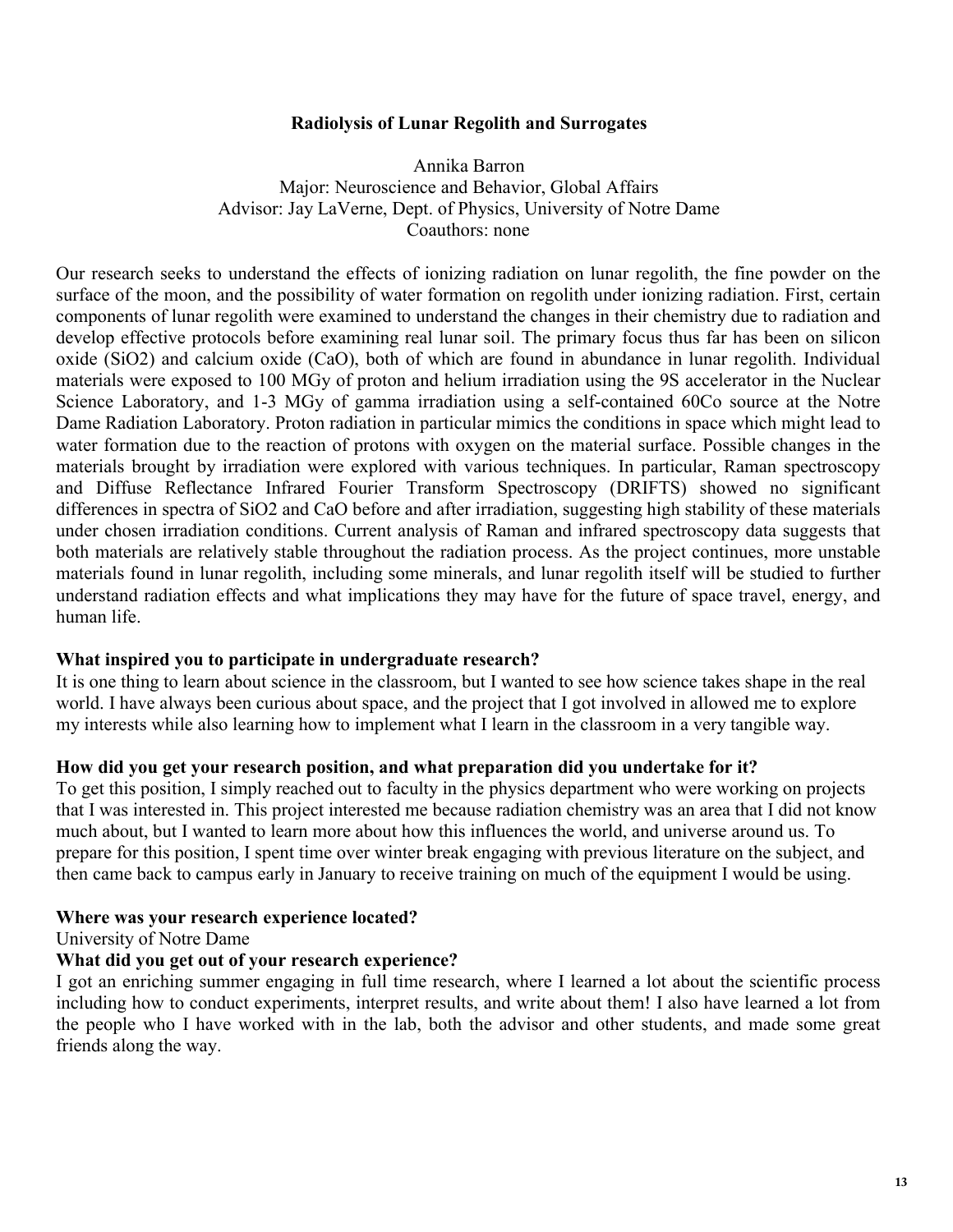### **Radiolysis of Lunar Regolith and Surrogates**

Annika Barron Major: Neuroscience and Behavior, Global Affairs Advisor: Jay LaVerne, Dept. of Physics, University of Notre Dame Coauthors: none

Our research seeks to understand the effects of ionizing radiation on lunar regolith, the fine powder on the surface of the moon, and the possibility of water formation on regolith under ionizing radiation. First, certain components of lunar regolith were examined to understand the changes in their chemistry due to radiation and develop effective protocols before examining real lunar soil. The primary focus thus far has been on silicon oxide (SiO2) and calcium oxide (CaO), both of which are found in abundance in lunar regolith. Individual materials were exposed to 100 MGy of proton and helium irradiation using the 9S accelerator in the Nuclear Science Laboratory, and 1-3 MGy of gamma irradiation using a self-contained 60Co source at the Notre Dame Radiation Laboratory. Proton radiation in particular mimics the conditions in space which might lead to water formation due to the reaction of protons with oxygen on the material surface. Possible changes in the materials brought by irradiation were explored with various techniques. In particular, Raman spectroscopy and Diffuse Reflectance Infrared Fourier Transform Spectroscopy (DRIFTS) showed no significant differences in spectra of SiO2 and CaO before and after irradiation, suggesting high stability of these materials under chosen irradiation conditions. Current analysis of Raman and infrared spectroscopy data suggests that both materials are relatively stable throughout the radiation process. As the project continues, more unstable materials found in lunar regolith, including some minerals, and lunar regolith itself will be studied to further understand radiation effects and what implications they may have for the future of space travel, energy, and human life.

### **What inspired you to participate in undergraduate research?**

It is one thing to learn about science in the classroom, but I wanted to see how science takes shape in the real world. I have always been curious about space, and the project that I got involved in allowed me to explore my interests while also learning how to implement what I learn in the classroom in a very tangible way.

#### **How did you get your research position, and what preparation did you undertake for it?**

To get this position, I simply reached out to faculty in the physics department who were working on projects that I was interested in. This project interested me because radiation chemistry was an area that I did not know much about, but I wanted to learn more about how this influences the world, and universe around us. To prepare for this position, I spent time over winter break engaging with previous literature on the subject, and then came back to campus early in January to receive training on much of the equipment I would be using.

#### **Where was your research experience located?**

University of Notre Dame

### **What did you get out of your research experience?**

I got an enriching summer engaging in full time research, where I learned a lot about the scientific process including how to conduct experiments, interpret results, and write about them! I also have learned a lot from the people who I have worked with in the lab, both the advisor and other students, and made some great friends along the way.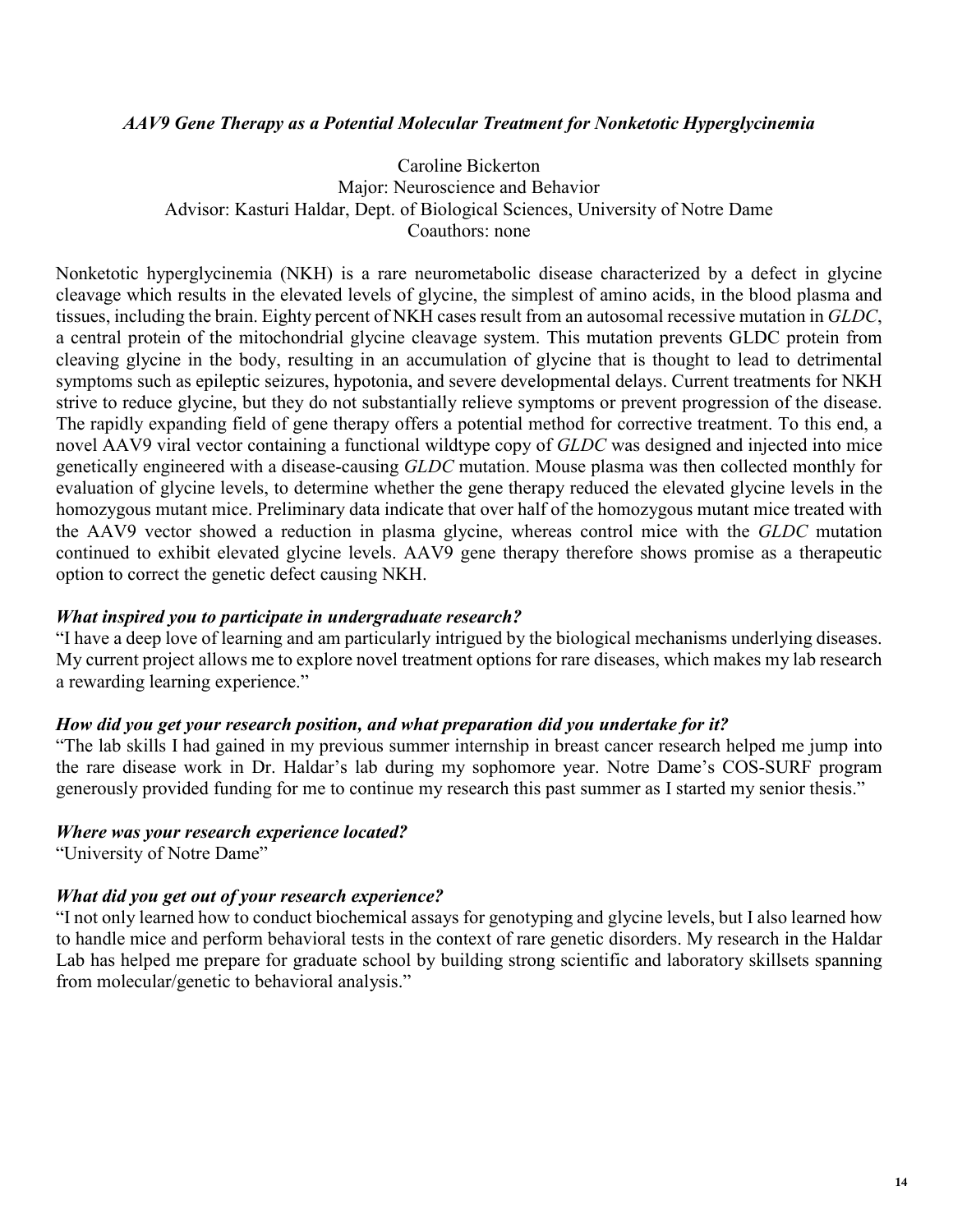### *AAV9 Gene Therapy as a Potential Molecular Treatment for Nonketotic Hyperglycinemia*

Caroline Bickerton Major: Neuroscience and Behavior Advisor: Kasturi Haldar, Dept. of Biological Sciences, University of Notre Dame Coauthors: none

Nonketotic hyperglycinemia (NKH) is a rare neurometabolic disease characterized by a defect in glycine cleavage which results in the elevated levels of glycine, the simplest of amino acids, in the blood plasma and tissues, including the brain. Eighty percent of NKH cases result from an autosomal recessive mutation in *GLDC*, a central protein of the mitochondrial glycine cleavage system. This mutation prevents GLDC protein from cleaving glycine in the body, resulting in an accumulation of glycine that is thought to lead to detrimental symptoms such as epileptic seizures, hypotonia, and severe developmental delays. Current treatments for NKH strive to reduce glycine, but they do not substantially relieve symptoms or prevent progression of the disease. The rapidly expanding field of gene therapy offers a potential method for corrective treatment. To this end, a novel AAV9 viral vector containing a functional wildtype copy of *GLDC* was designed and injected into mice genetically engineered with a disease-causing *GLDC* mutation. Mouse plasma was then collected monthly for evaluation of glycine levels, to determine whether the gene therapy reduced the elevated glycine levels in the homozygous mutant mice. Preliminary data indicate that over half of the homozygous mutant mice treated with the AAV9 vector showed a reduction in plasma glycine, whereas control mice with the *GLDC* mutation continued to exhibit elevated glycine levels. AAV9 gene therapy therefore shows promise as a therapeutic option to correct the genetic defect causing NKH.

### *What inspired you to participate in undergraduate research?*

"I have a deep love of learning and am particularly intrigued by the biological mechanisms underlying diseases. My current project allows me to explore novel treatment options for rare diseases, which makes my lab research a rewarding learning experience."

### *How did you get your research position, and what preparation did you undertake for it?*

"The lab skills I had gained in my previous summer internship in breast cancer research helped me jump into the rare disease work in Dr. Haldar's lab during my sophomore year. Notre Dame's COS-SURF program generously provided funding for me to continue my research this past summer as I started my senior thesis."

#### *Where was your research experience located?*

"University of Notre Dame"

### *What did you get out of your research experience?*

"I not only learned how to conduct biochemical assays for genotyping and glycine levels, but I also learned how to handle mice and perform behavioral tests in the context of rare genetic disorders. My research in the Haldar Lab has helped me prepare for graduate school by building strong scientific and laboratory skillsets spanning from molecular/genetic to behavioral analysis."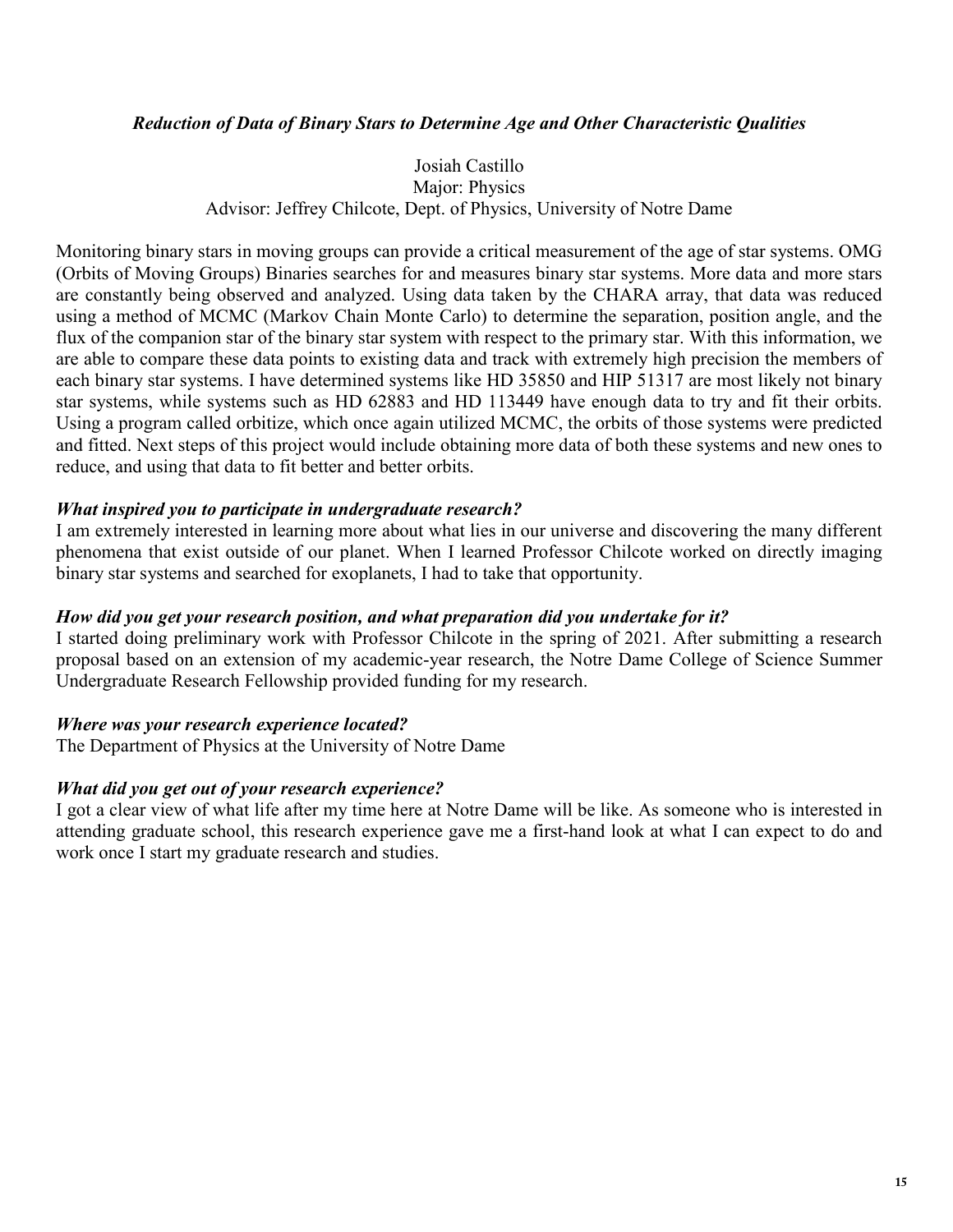### *Reduction of Data of Binary Stars to Determine Age and Other Characteristic Qualities*

### Josiah Castillo Major: Physics Advisor: Jeffrey Chilcote, Dept. of Physics, University of Notre Dame

Monitoring binary stars in moving groups can provide a critical measurement of the age of star systems. OMG (Orbits of Moving Groups) Binaries searches for and measures binary star systems. More data and more stars are constantly being observed and analyzed. Using data taken by the CHARA array, that data was reduced using a method of MCMC (Markov Chain Monte Carlo) to determine the separation, position angle, and the flux of the companion star of the binary star system with respect to the primary star. With this information, we are able to compare these data points to existing data and track with extremely high precision the members of each binary star systems. I have determined systems like HD 35850 and HIP 51317 are most likely not binary star systems, while systems such as HD 62883 and HD 113449 have enough data to try and fit their orbits. Using a program called orbitize, which once again utilized MCMC, the orbits of those systems were predicted and fitted. Next steps of this project would include obtaining more data of both these systems and new ones to reduce, and using that data to fit better and better orbits.

### *What inspired you to participate in undergraduate research?*

I am extremely interested in learning more about what lies in our universe and discovering the many different phenomena that exist outside of our planet. When I learned Professor Chilcote worked on directly imaging binary star systems and searched for exoplanets, I had to take that opportunity.

### *How did you get your research position, and what preparation did you undertake for it?*

I started doing preliminary work with Professor Chilcote in the spring of 2021. After submitting a research proposal based on an extension of my academic-year research, the Notre Dame College of Science Summer Undergraduate Research Fellowship provided funding for my research.

### *Where was your research experience located?*

The Department of Physics at the University of Notre Dame

### *What did you get out of your research experience?*

I got a clear view of what life after my time here at Notre Dame will be like. As someone who is interested in attending graduate school, this research experience gave me a first-hand look at what I can expect to do and work once I start my graduate research and studies.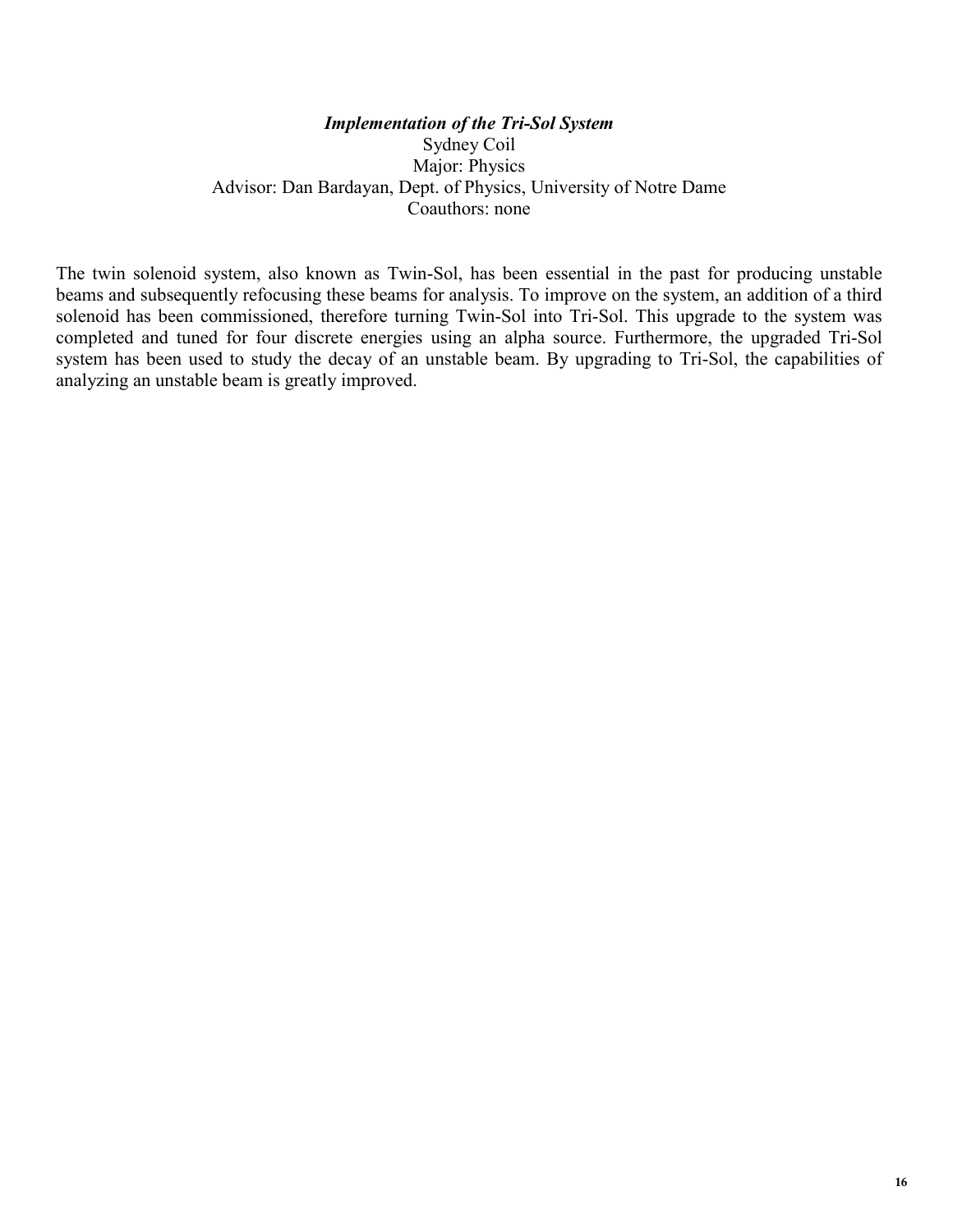### *Implementation of the Tri-Sol System* Sydney Coil Major: Physics Advisor: Dan Bardayan, Dept. of Physics, University of Notre Dame Coauthors: none

The twin solenoid system, also known as Twin-Sol, has been essential in the past for producing unstable beams and subsequently refocusing these beams for analysis. To improve on the system, an addition of a third solenoid has been commissioned, therefore turning Twin-Sol into Tri-Sol. This upgrade to the system was completed and tuned for four discrete energies using an alpha source. Furthermore, the upgraded Tri-Sol system has been used to study the decay of an unstable beam. By upgrading to Tri-Sol, the capabilities of analyzing an unstable beam is greatly improved.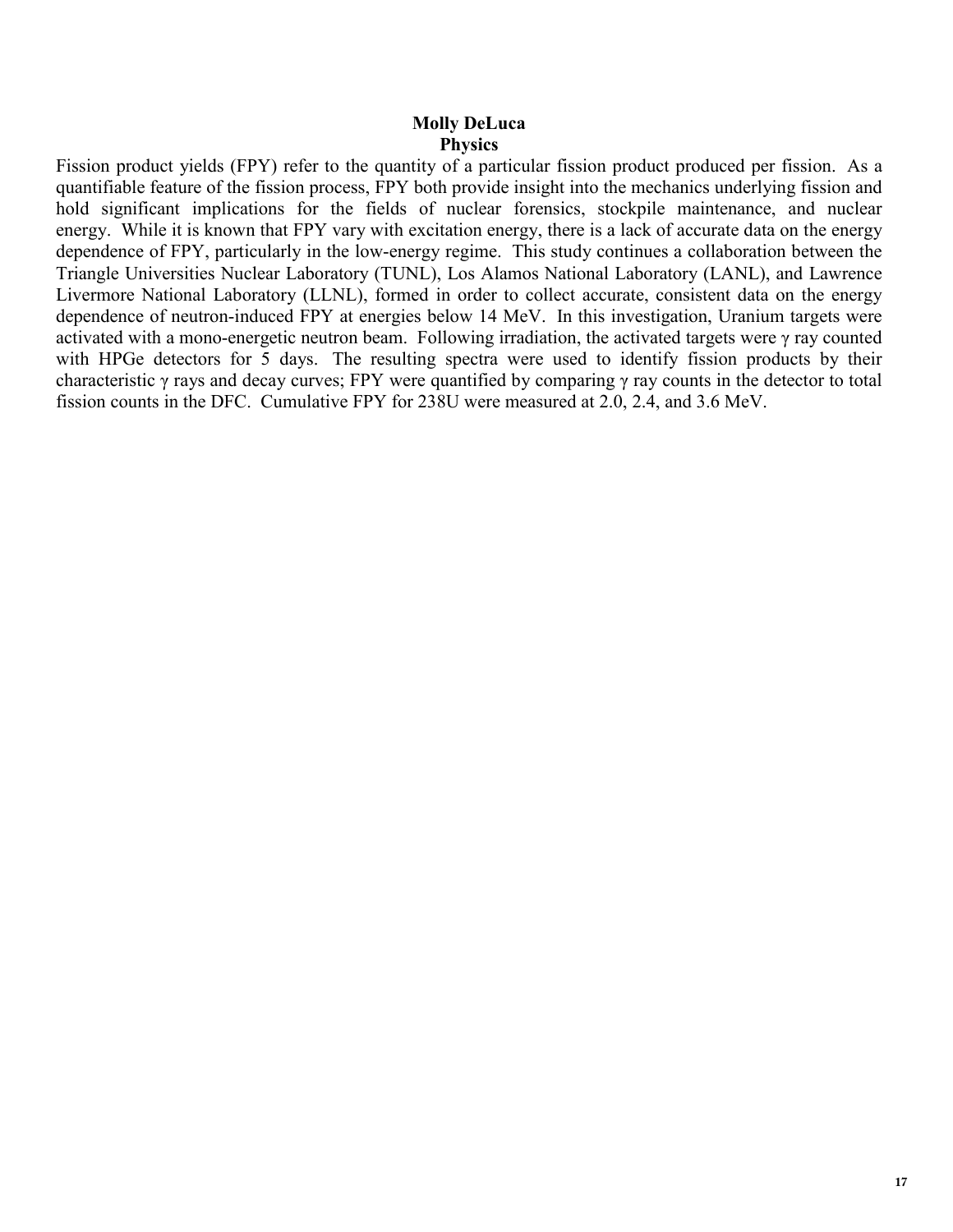### **Molly DeLuca Physics**

Fission product yields (FPY) refer to the quantity of a particular fission product produced per fission. As a quantifiable feature of the fission process, FPY both provide insight into the mechanics underlying fission and hold significant implications for the fields of nuclear forensics, stockpile maintenance, and nuclear energy. While it is known that FPY vary with excitation energy, there is a lack of accurate data on the energy dependence of FPY, particularly in the low-energy regime. This study continues a collaboration between the Triangle Universities Nuclear Laboratory (TUNL), Los Alamos National Laboratory (LANL), and Lawrence Livermore National Laboratory (LLNL), formed in order to collect accurate, consistent data on the energy dependence of neutron-induced FPY at energies below 14 MeV. In this investigation, Uranium targets were activated with a mono-energetic neutron beam. Following irradiation, the activated targets were γ ray counted with HPGe detectors for 5 days. The resulting spectra were used to identify fission products by their characteristic γ rays and decay curves; FPY were quantified by comparing γ ray counts in the detector to total fission counts in the DFC. Cumulative FPY for 238U were measured at 2.0, 2.4, and 3.6 MeV.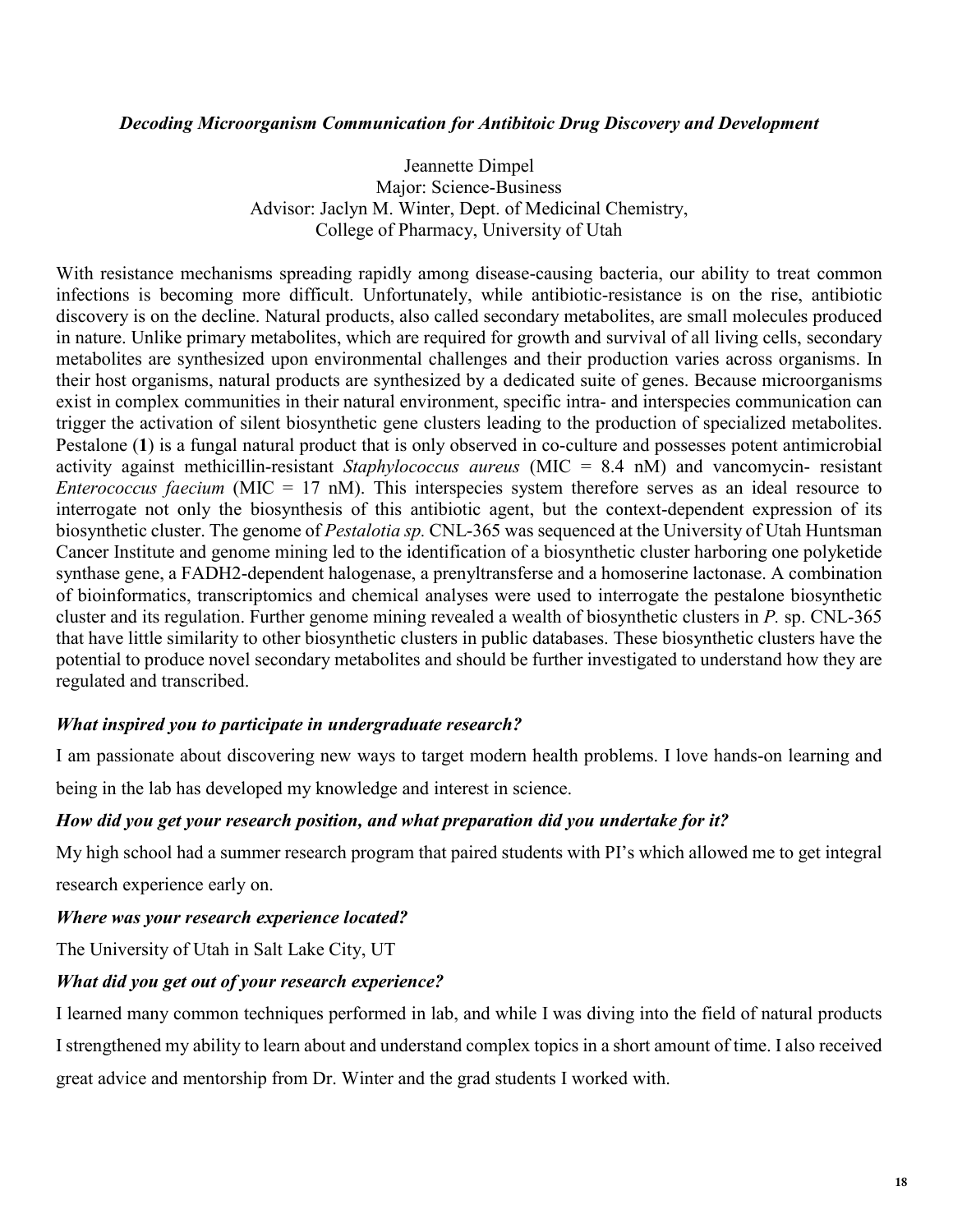### *Decoding Microorganism Communication for Antibitoic Drug Discovery and Development*

Jeannette Dimpel Major: Science-Business Advisor: Jaclyn M. Winter, Dept. of Medicinal Chemistry, College of Pharmacy, University of Utah

With resistance mechanisms spreading rapidly among disease-causing bacteria, our ability to treat common infections is becoming more difficult. Unfortunately, while antibiotic-resistance is on the rise, antibiotic discovery is on the decline. Natural products, also called secondary metabolites, are small molecules produced in nature. Unlike primary metabolites, which are required for growth and survival of all living cells, secondary metabolites are synthesized upon environmental challenges and their production varies across organisms. In their host organisms, natural products are synthesized by a dedicated suite of genes. Because microorganisms exist in complex communities in their natural environment, specific intra- and interspecies communication can trigger the activation of silent biosynthetic gene clusters leading to the production of specialized metabolites. Pestalone (**1**) is a fungal natural product that is only observed in co-culture and possesses potent antimicrobial activity against methicillin-resistant *Staphylococcus aureus* (MIC = 8.4 nM) and vancomycin- resistant *Enterococcus faecium* (MIC = 17 nM). This interspecies system therefore serves as an ideal resource to interrogate not only the biosynthesis of this antibiotic agent, but the context-dependent expression of its biosynthetic cluster. The genome of *Pestalotia sp.* CNL-365 was sequenced at the University of Utah Huntsman Cancer Institute and genome mining led to the identification of a biosynthetic cluster harboring one polyketide synthase gene, a FADH2-dependent halogenase, a prenyltransferse and a homoserine lactonase. A combination of bioinformatics, transcriptomics and chemical analyses were used to interrogate the pestalone biosynthetic cluster and its regulation. Further genome mining revealed a wealth of biosynthetic clusters in *P.* sp. CNL-365 that have little similarity to other biosynthetic clusters in public databases. These biosynthetic clusters have the potential to produce novel secondary metabolites and should be further investigated to understand how they are regulated and transcribed.

### *What inspired you to participate in undergraduate research?*

I am passionate about discovering new ways to target modern health problems. I love hands-on learning and

being in the lab has developed my knowledge and interest in science.

### *How did you get your research position, and what preparation did you undertake for it?*

My high school had a summer research program that paired students with PI's which allowed me to get integral research experience early on.

### *Where was your research experience located?*

The University of Utah in Salt Lake City, UT

### *What did you get out of your research experience?*

I learned many common techniques performed in lab, and while I was diving into the field of natural products I strengthened my ability to learn about and understand complex topics in a short amount of time. I also received great advice and mentorship from Dr. Winter and the grad students I worked with.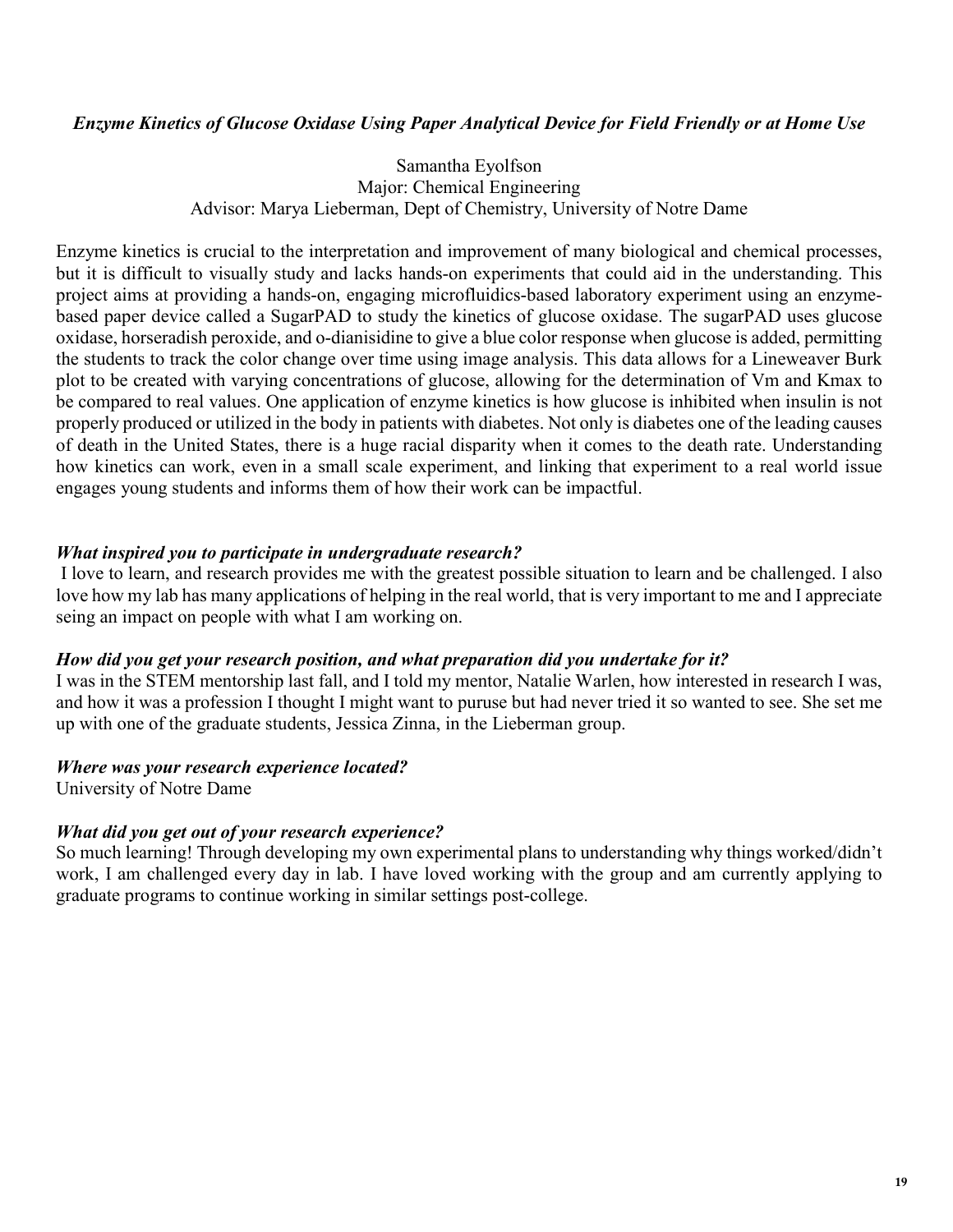### *Enzyme Kinetics of Glucose Oxidase Using Paper Analytical Device for Field Friendly or at Home Use*

### Samantha Eyolfson Major: Chemical Engineering Advisor: Marya Lieberman, Dept of Chemistry, University of Notre Dame

Enzyme kinetics is crucial to the interpretation and improvement of many biological and chemical processes, but it is difficult to visually study and lacks hands-on experiments that could aid in the understanding. This project aims at providing a hands-on, engaging microfluidics-based laboratory experiment using an enzymebased paper device called a SugarPAD to study the kinetics of glucose oxidase. The sugarPAD uses glucose oxidase, horseradish peroxide, and o-dianisidine to give a blue color response when glucose is added, permitting the students to track the color change over time using image analysis. This data allows for a Lineweaver Burk plot to be created with varying concentrations of glucose, allowing for the determination of Vm and Kmax to be compared to real values. One application of enzyme kinetics is how glucose is inhibited when insulin is not properly produced or utilized in the body in patients with diabetes. Not only is diabetes one of the leading causes of death in the United States, there is a huge racial disparity when it comes to the death rate. Understanding how kinetics can work, even in a small scale experiment, and linking that experiment to a real world issue engages young students and informs them of how their work can be impactful.

### *What inspired you to participate in undergraduate research?*

I love to learn, and research provides me with the greatest possible situation to learn and be challenged. I also love how my lab has many applications of helping in the real world, that is very important to me and I appreciate seing an impact on people with what I am working on.

### *How did you get your research position, and what preparation did you undertake for it?*

I was in the STEM mentorship last fall, and I told my mentor, Natalie Warlen, how interested in research I was, and how it was a profession I thought I might want to puruse but had never tried it so wanted to see. She set me up with one of the graduate students, Jessica Zinna, in the Lieberman group.

### *Where was your research experience located?*

University of Notre Dame

### *What did you get out of your research experience?*

So much learning! Through developing my own experimental plans to understanding why things worked/didn't work, I am challenged every day in lab. I have loved working with the group and am currently applying to graduate programs to continue working in similar settings post-college.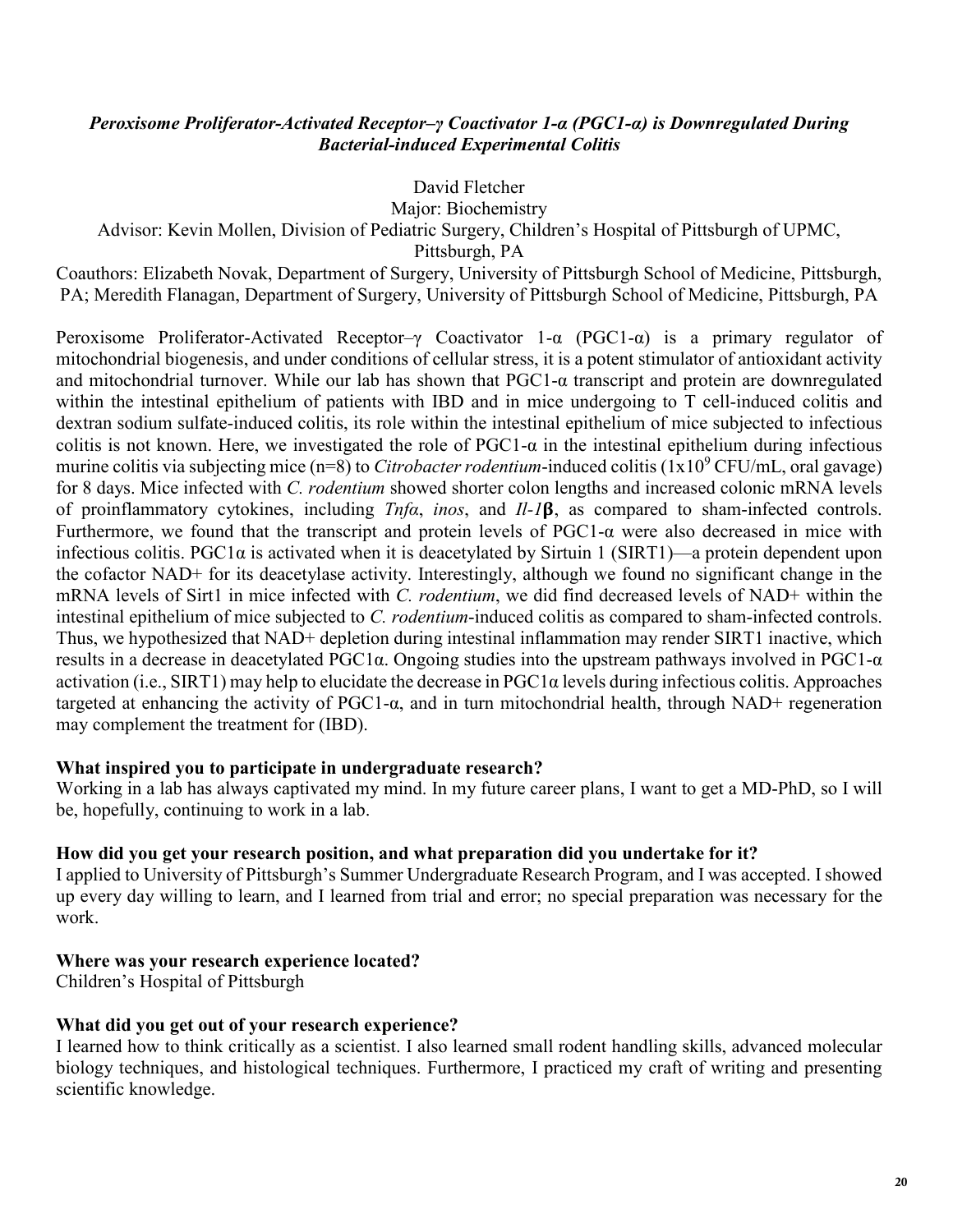### *Peroxisome Proliferator-Activated Receptor–γ Coactivator 1-α (PGC1-α) is Downregulated During Bacterial-induced Experimental Colitis*

### David Fletcher

Major: Biochemistry

Advisor: Kevin Mollen, Division of Pediatric Surgery, Children's Hospital of Pittsburgh of UPMC,

Pittsburgh, PA

Coauthors: Elizabeth Novak, Department of Surgery, University of Pittsburgh School of Medicine, Pittsburgh, PA; Meredith Flanagan, Department of Surgery, University of Pittsburgh School of Medicine, Pittsburgh, PA

Peroxisome Proliferator-Activated Receptor–γ Coactivator 1-α (PGC1-α) is a primary regulator of mitochondrial biogenesis, and under conditions of cellular stress, it is a potent stimulator of antioxidant activity and mitochondrial turnover. While our lab has shown that PGC1-α transcript and protein are downregulated within the intestinal epithelium of patients with IBD and in mice undergoing to T cell-induced colitis and dextran sodium sulfate-induced colitis, its role within the intestinal epithelium of mice subjected to infectious colitis is not known. Here, we investigated the role of  $PGC1-\alpha$  in the intestinal epithelium during infectious murine colitis via subjecting mice (n=8) to *Citrobacter rodentium*-induced colitis (1x10<sup>9</sup> CFU/mL, oral gavage) for 8 days. Mice infected with *C. rodentium* showed shorter colon lengths and increased colonic mRNA levels of proinflammatory cytokines, including *Tnfα*, *inos*, and *Il-1*, as compared to sham-infected controls. Furthermore, we found that the transcript and protein levels of PGC1-α were also decreased in mice with infectious colitis. PGC1α is activated when it is deacetylated by Sirtuin 1 (SIRT1)—a protein dependent upon the cofactor NAD+ for its deacetylase activity. Interestingly, although we found no significant change in the mRNA levels of Sirt1 in mice infected with *C. rodentium*, we did find decreased levels of NAD+ within the intestinal epithelium of mice subjected to *C. rodentium*-induced colitis as compared to sham-infected controls. Thus, we hypothesized that NAD+ depletion during intestinal inflammation may render SIRT1 inactive, which results in a decrease in deacetylated PGC1α. Ongoing studies into the upstream pathways involved in PGC1-α activation (i.e., SIRT1) may help to elucidate the decrease in PGC1α levels during infectious colitis. Approaches targeted at enhancing the activity of PGC1-α, and in turn mitochondrial health, through NAD+ regeneration may complement the treatment for (IBD).

### **What inspired you to participate in undergraduate research?**

Working in a lab has always captivated my mind. In my future career plans, I want to get a MD-PhD, so I will be, hopefully, continuing to work in a lab.

### **How did you get your research position, and what preparation did you undertake for it?**

I applied to University of Pittsburgh's Summer Undergraduate Research Program, and I was accepted. I showed up every day willing to learn, and I learned from trial and error; no special preparation was necessary for the work.

### **Where was your research experience located?**

Children's Hospital of Pittsburgh

### **What did you get out of your research experience?**

I learned how to think critically as a scientist. I also learned small rodent handling skills, advanced molecular biology techniques, and histological techniques. Furthermore, I practiced my craft of writing and presenting scientific knowledge.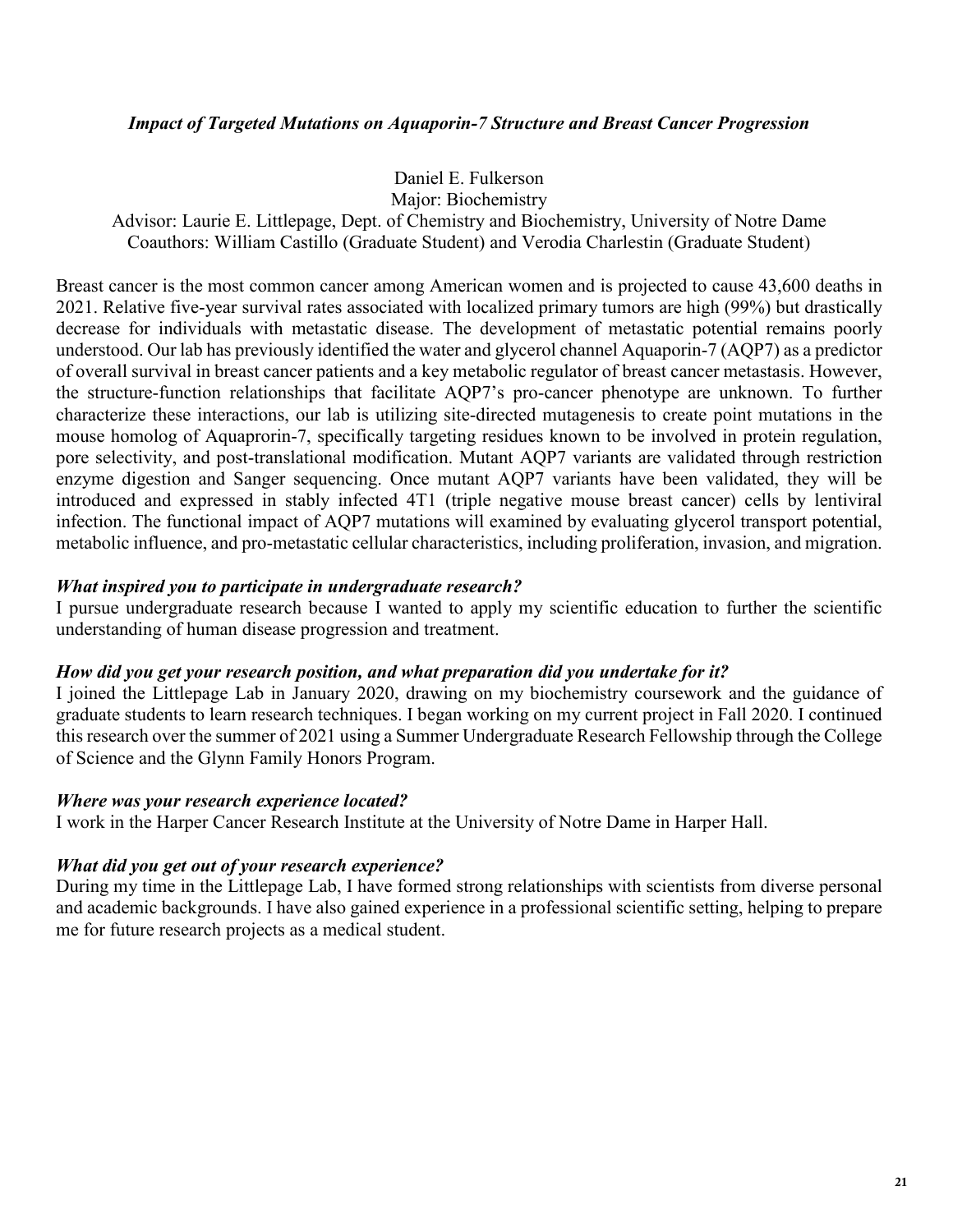### *Impact of Targeted Mutations on Aquaporin-7 Structure and Breast Cancer Progression*

Daniel E. Fulkerson Major: Biochemistry

Advisor: Laurie E. Littlepage, Dept. of Chemistry and Biochemistry, University of Notre Dame Coauthors: William Castillo (Graduate Student) and Verodia Charlestin (Graduate Student)

Breast cancer is the most common cancer among American women and is projected to cause 43,600 deaths in 2021. Relative five-year survival rates associated with localized primary tumors are high (99%) but drastically decrease for individuals with metastatic disease. The development of metastatic potential remains poorly understood. Our lab has previously identified the water and glycerol channel Aquaporin-7 (AQP7) as a predictor of overall survival in breast cancer patients and a key metabolic regulator of breast cancer metastasis. However, the structure-function relationships that facilitate AQP7's pro-cancer phenotype are unknown. To further characterize these interactions, our lab is utilizing site-directed mutagenesis to create point mutations in the mouse homolog of Aquaprorin-7, specifically targeting residues known to be involved in protein regulation, pore selectivity, and post-translational modification. Mutant AQP7 variants are validated through restriction enzyme digestion and Sanger sequencing. Once mutant AQP7 variants have been validated, they will be introduced and expressed in stably infected 4T1 (triple negative mouse breast cancer) cells by lentiviral infection. The functional impact of AQP7 mutations will examined by evaluating glycerol transport potential, metabolic influence, and pro-metastatic cellular characteristics, including proliferation, invasion, and migration.

### *What inspired you to participate in undergraduate research?*

I pursue undergraduate research because I wanted to apply my scientific education to further the scientific understanding of human disease progression and treatment.

### *How did you get your research position, and what preparation did you undertake for it?*

I joined the Littlepage Lab in January 2020, drawing on my biochemistry coursework and the guidance of graduate students to learn research techniques. I began working on my current project in Fall 2020. I continued this research over the summer of 2021 using a Summer Undergraduate Research Fellowship through the College of Science and the Glynn Family Honors Program.

### *Where was your research experience located?*

I work in the Harper Cancer Research Institute at the University of Notre Dame in Harper Hall.

### *What did you get out of your research experience?*

During my time in the Littlepage Lab, I have formed strong relationships with scientists from diverse personal and academic backgrounds. I have also gained experience in a professional scientific setting, helping to prepare me for future research projects as a medical student.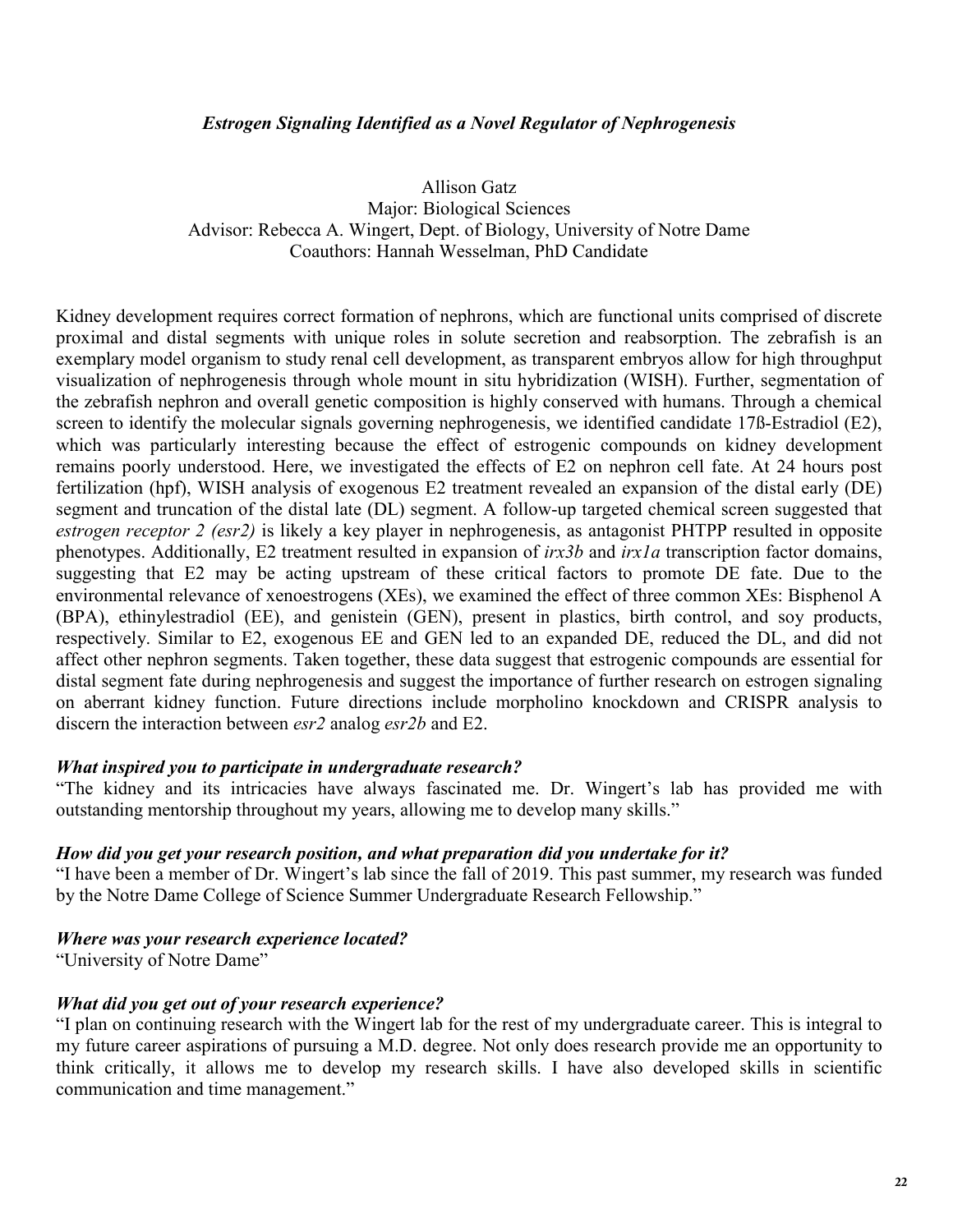### *Estrogen Signaling Identified as a Novel Regulator of Nephrogenesis*

Allison Gatz Major: Biological Sciences Advisor: Rebecca A. Wingert, Dept. of Biology, University of Notre Dame Coauthors: Hannah Wesselman, PhD Candidate

Kidney development requires correct formation of nephrons, which are functional units comprised of discrete proximal and distal segments with unique roles in solute secretion and reabsorption. The zebrafish is an exemplary model organism to study renal cell development, as transparent embryos allow for high throughput visualization of nephrogenesis through whole mount in situ hybridization (WISH). Further, segmentation of the zebrafish nephron and overall genetic composition is highly conserved with humans. Through a chemical screen to identify the molecular signals governing nephrogenesis, we identified candidate 17ß-Estradiol (E2), which was particularly interesting because the effect of estrogenic compounds on kidney development remains poorly understood. Here, we investigated the effects of E2 on nephron cell fate. At 24 hours post fertilization (hpf), WISH analysis of exogenous E2 treatment revealed an expansion of the distal early (DE) segment and truncation of the distal late (DL) segment. A follow-up targeted chemical screen suggested that *estrogen receptor 2 (esr2)* is likely a key player in nephrogenesis, as antagonist PHTPP resulted in opposite phenotypes. Additionally, E2 treatment resulted in expansion of *irx3b* and *irx1a* transcription factor domains, suggesting that E2 may be acting upstream of these critical factors to promote DE fate. Due to the environmental relevance of xenoestrogens (XEs), we examined the effect of three common XEs: Bisphenol A (BPA), ethinylestradiol (EE), and genistein (GEN), present in plastics, birth control, and soy products, respectively. Similar to E2, exogenous EE and GEN led to an expanded DE, reduced the DL, and did not affect other nephron segments. Taken together, these data suggest that estrogenic compounds are essential for distal segment fate during nephrogenesis and suggest the importance of further research on estrogen signaling on aberrant kidney function. Future directions include morpholino knockdown and CRISPR analysis to discern the interaction between *esr2* analog *esr2b* and E2.

### *What inspired you to participate in undergraduate research?*

"The kidney and its intricacies have always fascinated me. Dr. Wingert's lab has provided me with outstanding mentorship throughout my years, allowing me to develop many skills."

#### *How did you get your research position, and what preparation did you undertake for it?*

"I have been a member of Dr. Wingert's lab since the fall of 2019. This past summer, my research was funded by the Notre Dame College of Science Summer Undergraduate Research Fellowship."

#### *Where was your research experience located?*

"University of Notre Dame"

#### *What did you get out of your research experience?*

"I plan on continuing research with the Wingert lab for the rest of my undergraduate career. This is integral to my future career aspirations of pursuing a M.D. degree. Not only does research provide me an opportunity to think critically, it allows me to develop my research skills. I have also developed skills in scientific communication and time management."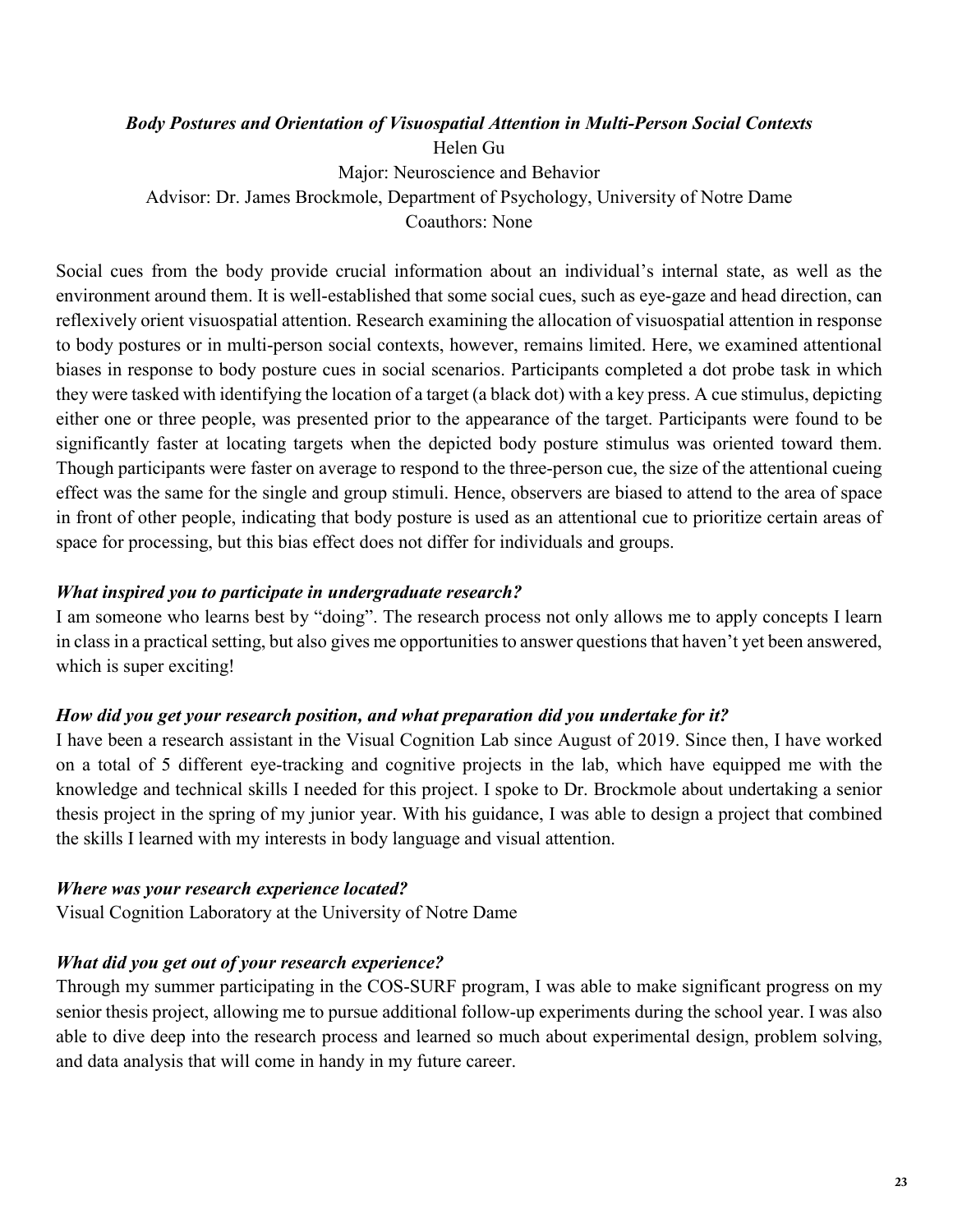### *Body Postures and Orientation of Visuospatial Attention in Multi-Person Social Contexts*

Helen Gu Major: Neuroscience and Behavior Advisor: Dr. James Brockmole, Department of Psychology, University of Notre Dame Coauthors: None

Social cues from the body provide crucial information about an individual's internal state, as well as the environment around them. It is well-established that some social cues, such as eye-gaze and head direction, can reflexively orient visuospatial attention. Research examining the allocation of visuospatial attention in response to body postures or in multi-person social contexts, however, remains limited. Here, we examined attentional biases in response to body posture cues in social scenarios. Participants completed a dot probe task in which they were tasked with identifying the location of a target (a black dot) with a key press. A cue stimulus, depicting either one or three people, was presented prior to the appearance of the target. Participants were found to be significantly faster at locating targets when the depicted body posture stimulus was oriented toward them. Though participants were faster on average to respond to the three-person cue, the size of the attentional cueing effect was the same for the single and group stimuli. Hence, observers are biased to attend to the area of space in front of other people, indicating that body posture is used as an attentional cue to prioritize certain areas of space for processing, but this bias effect does not differ for individuals and groups.

### *What inspired you to participate in undergraduate research?*

I am someone who learns best by "doing". The research process not only allows me to apply concepts I learn in class in a practical setting, but also gives me opportunities to answer questions that haven't yet been answered, which is super exciting!

### *How did you get your research position, and what preparation did you undertake for it?*

I have been a research assistant in the Visual Cognition Lab since August of 2019. Since then, I have worked on a total of 5 different eye-tracking and cognitive projects in the lab, which have equipped me with the knowledge and technical skills I needed for this project. I spoke to Dr. Brockmole about undertaking a senior thesis project in the spring of my junior year. With his guidance, I was able to design a project that combined the skills I learned with my interests in body language and visual attention.

### *Where was your research experience located?*

Visual Cognition Laboratory at the University of Notre Dame

### *What did you get out of your research experience?*

Through my summer participating in the COS-SURF program, I was able to make significant progress on my senior thesis project, allowing me to pursue additional follow-up experiments during the school year. I was also able to dive deep into the research process and learned so much about experimental design, problem solving, and data analysis that will come in handy in my future career.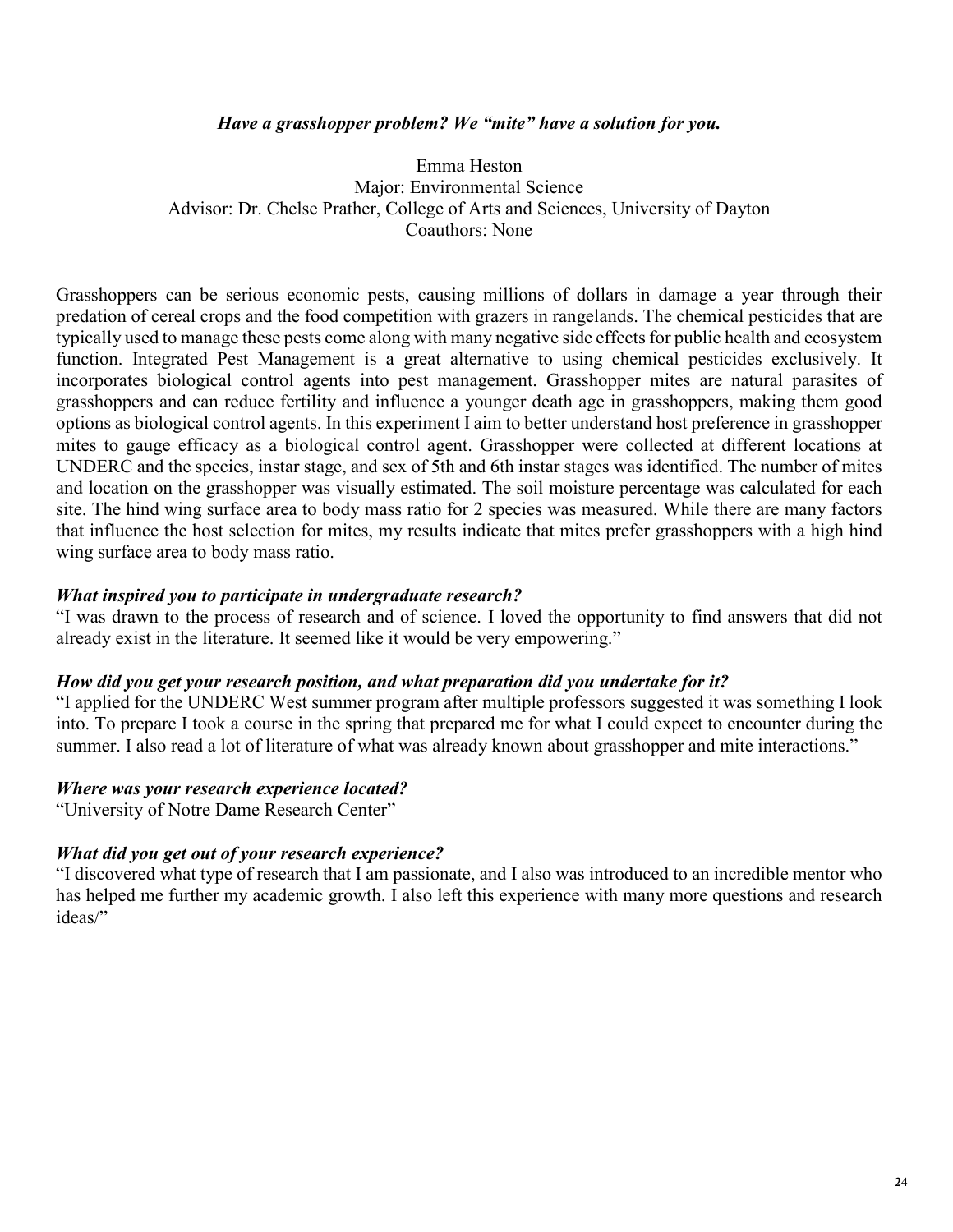### *Have a grasshopper problem? We "mite" have a solution for you.*

Emma Heston Major: Environmental Science Advisor: Dr. Chelse Prather, College of Arts and Sciences, University of Dayton Coauthors: None

Grasshoppers can be serious economic pests, causing millions of dollars in damage a year through their predation of cereal crops and the food competition with grazers in rangelands. The chemical pesticides that are typically used to manage these pests come along with many negative side effects for public health and ecosystem function. Integrated Pest Management is a great alternative to using chemical pesticides exclusively. It incorporates biological control agents into pest management. Grasshopper mites are natural parasites of grasshoppers and can reduce fertility and influence a younger death age in grasshoppers, making them good options as biological control agents. In this experiment I aim to better understand host preference in grasshopper mites to gauge efficacy as a biological control agent. Grasshopper were collected at different locations at UNDERC and the species, instar stage, and sex of 5th and 6th instar stages was identified. The number of mites and location on the grasshopper was visually estimated. The soil moisture percentage was calculated for each site. The hind wing surface area to body mass ratio for 2 species was measured. While there are many factors that influence the host selection for mites, my results indicate that mites prefer grasshoppers with a high hind wing surface area to body mass ratio.

### *What inspired you to participate in undergraduate research?*

"I was drawn to the process of research and of science. I loved the opportunity to find answers that did not already exist in the literature. It seemed like it would be very empowering."

### *How did you get your research position, and what preparation did you undertake for it?*

"I applied for the UNDERC West summer program after multiple professors suggested it was something I look into. To prepare I took a course in the spring that prepared me for what I could expect to encounter during the summer. I also read a lot of literature of what was already known about grasshopper and mite interactions."

#### *Where was your research experience located?*

"University of Notre Dame Research Center"

### *What did you get out of your research experience?*

"I discovered what type of research that I am passionate, and I also was introduced to an incredible mentor who has helped me further my academic growth. I also left this experience with many more questions and research ideas/"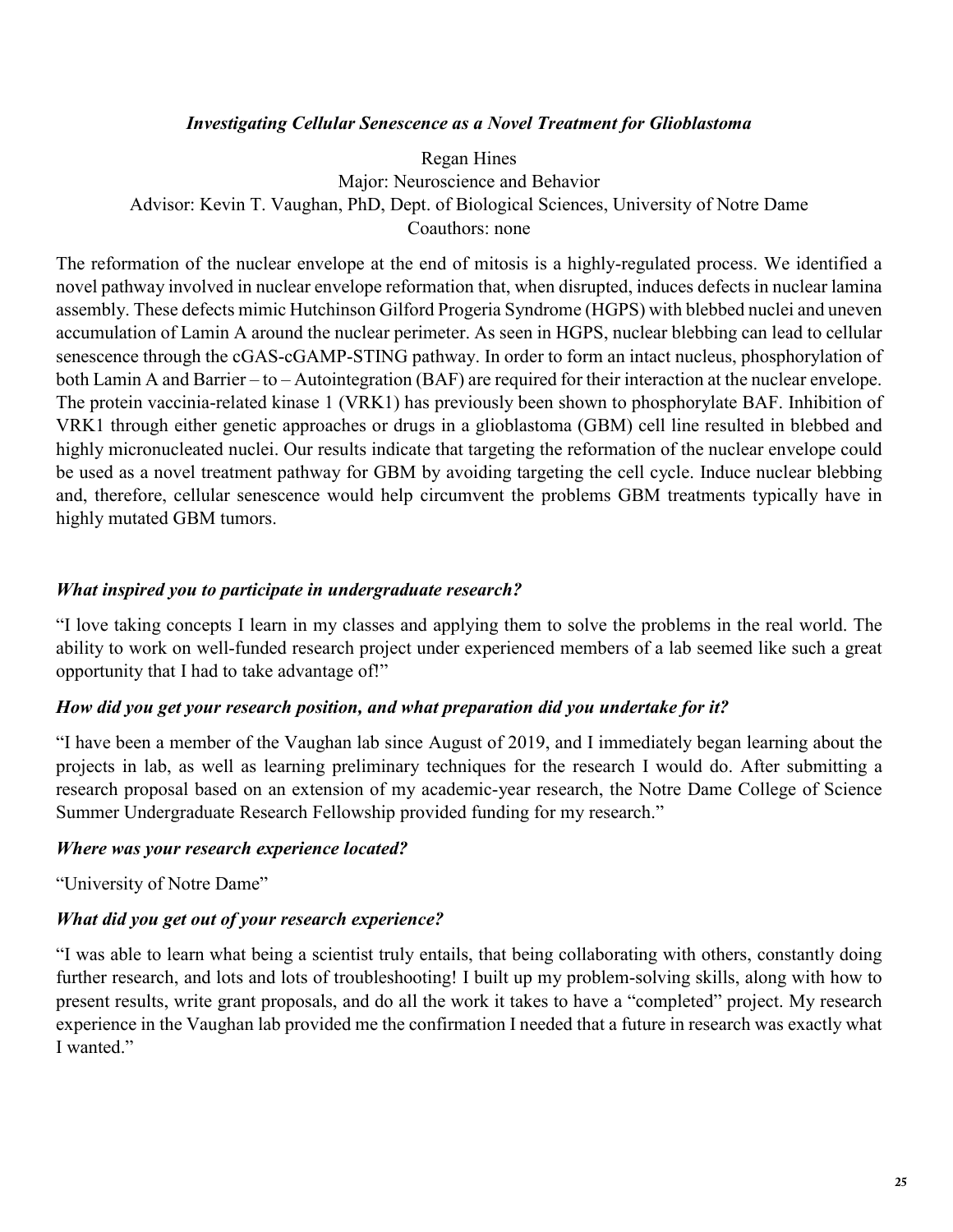### *Investigating Cellular Senescence as a Novel Treatment for Glioblastoma*

Regan Hines Major: Neuroscience and Behavior Advisor: Kevin T. Vaughan, PhD, Dept. of Biological Sciences, University of Notre Dame Coauthors: none

The reformation of the nuclear envelope at the end of mitosis is a highly-regulated process. We identified a novel pathway involved in nuclear envelope reformation that, when disrupted, induces defects in nuclear lamina assembly. These defects mimic Hutchinson Gilford Progeria Syndrome (HGPS) with blebbed nuclei and uneven accumulation of Lamin A around the nuclear perimeter. As seen in HGPS, nuclear blebbing can lead to cellular senescence through the cGAS-cGAMP-STING pathway. In order to form an intact nucleus, phosphorylation of both Lamin A and Barrier – to – Autointegration (BAF) are required for their interaction at the nuclear envelope. The protein vaccinia-related kinase 1 (VRK1) has previously been shown to phosphorylate BAF. Inhibition of VRK1 through either genetic approaches or drugs in a glioblastoma (GBM) cell line resulted in blebbed and highly micronucleated nuclei. Our results indicate that targeting the reformation of the nuclear envelope could be used as a novel treatment pathway for GBM by avoiding targeting the cell cycle. Induce nuclear blebbing and, therefore, cellular senescence would help circumvent the problems GBM treatments typically have in highly mutated GBM tumors.

### *What inspired you to participate in undergraduate research?*

"I love taking concepts I learn in my classes and applying them to solve the problems in the real world. The ability to work on well-funded research project under experienced members of a lab seemed like such a great opportunity that I had to take advantage of!"

### *How did you get your research position, and what preparation did you undertake for it?*

"I have been a member of the Vaughan lab since August of 2019, and I immediately began learning about the projects in lab, as well as learning preliminary techniques for the research I would do. After submitting a research proposal based on an extension of my academic-year research, the Notre Dame College of Science Summer Undergraduate Research Fellowship provided funding for my research."

### *Where was your research experience located?*

"University of Notre Dame"

### *What did you get out of your research experience?*

"I was able to learn what being a scientist truly entails, that being collaborating with others, constantly doing further research, and lots and lots of troubleshooting! I built up my problem-solving skills, along with how to present results, write grant proposals, and do all the work it takes to have a "completed" project. My research experience in the Vaughan lab provided me the confirmation I needed that a future in research was exactly what I wanted."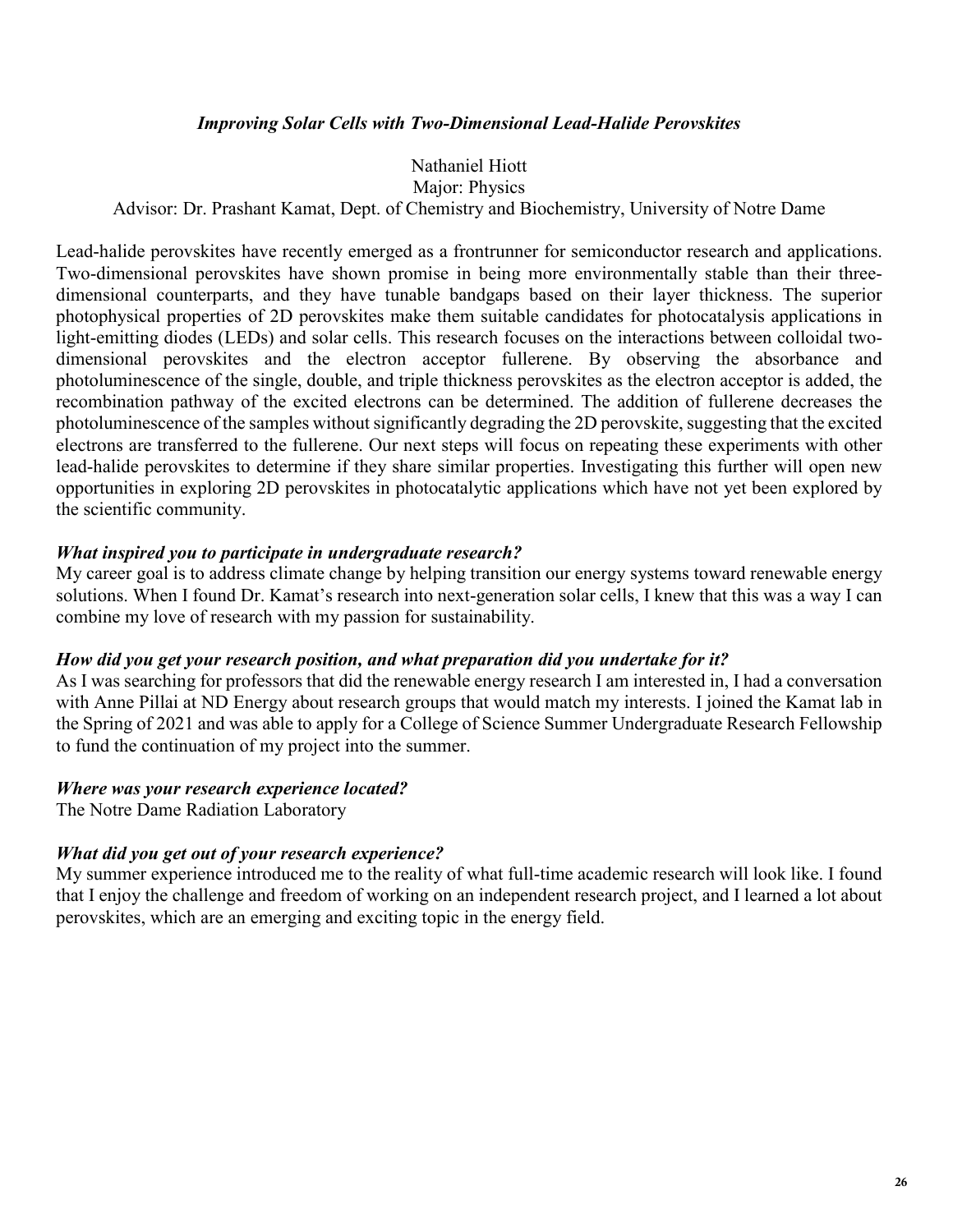### *Improving Solar Cells with Two-Dimensional Lead-Halide Perovskites*

### Nathaniel Hiott Major: Physics

### Advisor: Dr. Prashant Kamat, Dept. of Chemistry and Biochemistry, University of Notre Dame

Lead-halide perovskites have recently emerged as a frontrunner for semiconductor research and applications. Two-dimensional perovskites have shown promise in being more environmentally stable than their threedimensional counterparts, and they have tunable bandgaps based on their layer thickness. The superior photophysical properties of 2D perovskites make them suitable candidates for photocatalysis applications in light-emitting diodes (LEDs) and solar cells. This research focuses on the interactions between colloidal twodimensional perovskites and the electron acceptor fullerene. By observing the absorbance and photoluminescence of the single, double, and triple thickness perovskites as the electron acceptor is added, the recombination pathway of the excited electrons can be determined. The addition of fullerene decreases the photoluminescence of the samples without significantly degrading the 2D perovskite, suggesting that the excited electrons are transferred to the fullerene. Our next steps will focus on repeating these experiments with other lead-halide perovskites to determine if they share similar properties. Investigating this further will open new opportunities in exploring 2D perovskites in photocatalytic applications which have not yet been explored by the scientific community.

### *What inspired you to participate in undergraduate research?*

My career goal is to address climate change by helping transition our energy systems toward renewable energy solutions. When I found Dr. Kamat's research into next-generation solar cells, I knew that this was a way I can combine my love of research with my passion for sustainability.

#### *How did you get your research position, and what preparation did you undertake for it?*

As I was searching for professors that did the renewable energy research I am interested in, I had a conversation with Anne Pillai at ND Energy about research groups that would match my interests. I joined the Kamat lab in the Spring of 2021 and was able to apply for a College of Science Summer Undergraduate Research Fellowship to fund the continuation of my project into the summer.

#### *Where was your research experience located?*

The Notre Dame Radiation Laboratory

### *What did you get out of your research experience?*

My summer experience introduced me to the reality of what full-time academic research will look like. I found that I enjoy the challenge and freedom of working on an independent research project, and I learned a lot about perovskites, which are an emerging and exciting topic in the energy field.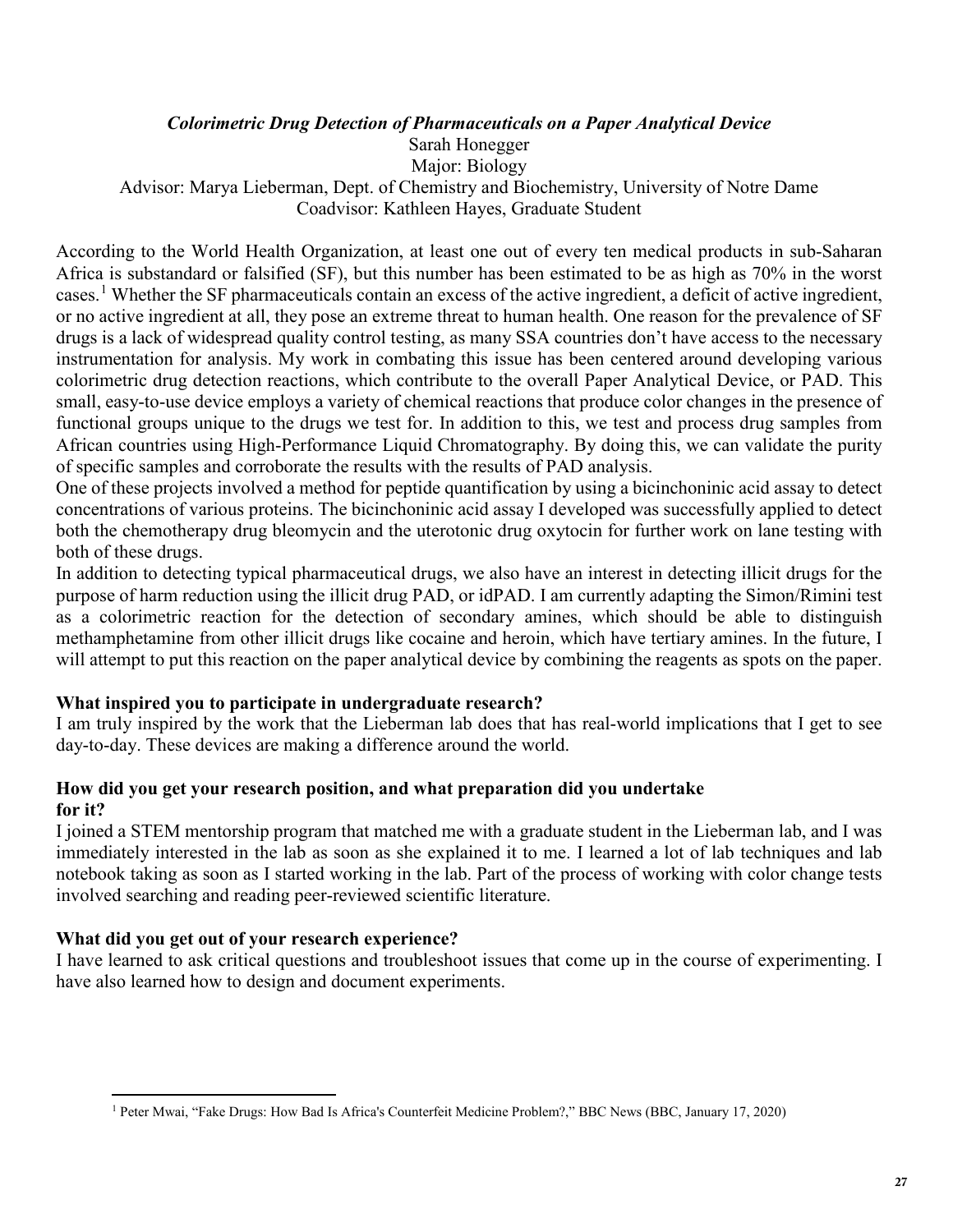### *Colorimetric Drug Detection of Pharmaceuticals on a Paper Analytical Device*

Sarah Honegger

Major: Biology

Advisor: Marya Lieberman, Dept. of Chemistry and Biochemistry, University of Notre Dame Coadvisor: Kathleen Hayes, Graduate Student

According to the World Health Organization, at least one out of every ten medical products in sub-Saharan Africa is substandard or falsified (SF), but this number has been estimated to be as high as 70% in the worst cases.[1](#page-27-0) Whether the SF pharmaceuticals contain an excess of the active ingredient, a deficit of active ingredient, or no active ingredient at all, they pose an extreme threat to human health. One reason for the prevalence of SF drugs is a lack of widespread quality control testing, as many SSA countries don't have access to the necessary instrumentation for analysis. My work in combating this issue has been centered around developing various colorimetric drug detection reactions, which contribute to the overall Paper Analytical Device, or PAD. This small, easy-to-use device employs a variety of chemical reactions that produce color changes in the presence of functional groups unique to the drugs we test for. In addition to this, we test and process drug samples from African countries using High-Performance Liquid Chromatography. By doing this, we can validate the purity of specific samples and corroborate the results with the results of PAD analysis.

One of these projects involved a method for peptide quantification by using a bicinchoninic acid assay to detect concentrations of various proteins. The bicinchoninic acid assay I developed was successfully applied to detect both the chemotherapy drug bleomycin and the uterotonic drug oxytocin for further work on lane testing with both of these drugs.

In addition to detecting typical pharmaceutical drugs, we also have an interest in detecting illicit drugs for the purpose of harm reduction using the illicit drug PAD, or idPAD. I am currently adapting the Simon/Rimini test as a colorimetric reaction for the detection of secondary amines, which should be able to distinguish methamphetamine from other illicit drugs like cocaine and heroin, which have tertiary amines. In the future, I will attempt to put this reaction on the paper analytical device by combining the reagents as spots on the paper.

### **What inspired you to participate in undergraduate research?**

I am truly inspired by the work that the Lieberman lab does that has real-world implications that I get to see day-to-day. These devices are making a difference around the world.

### **How did you get your research position, and what preparation did you undertake for it?**

I joined a STEM mentorship program that matched me with a graduate student in the Lieberman lab, and I was immediately interested in the lab as soon as she explained it to me. I learned a lot of lab techniques and lab notebook taking as soon as I started working in the lab. Part of the process of working with color change tests involved searching and reading peer-reviewed scientific literature.

### **What did you get out of your research experience?**

I have learned to ask critical questions and troubleshoot issues that come up in the course of experimenting. I have also learned how to design and document experiments.

<span id="page-27-0"></span><sup>1</sup> Peter Mwai, "Fake Drugs: How Bad Is Africa's Counterfeit Medicine Problem?," BBC News (BBC, January 17, 2020)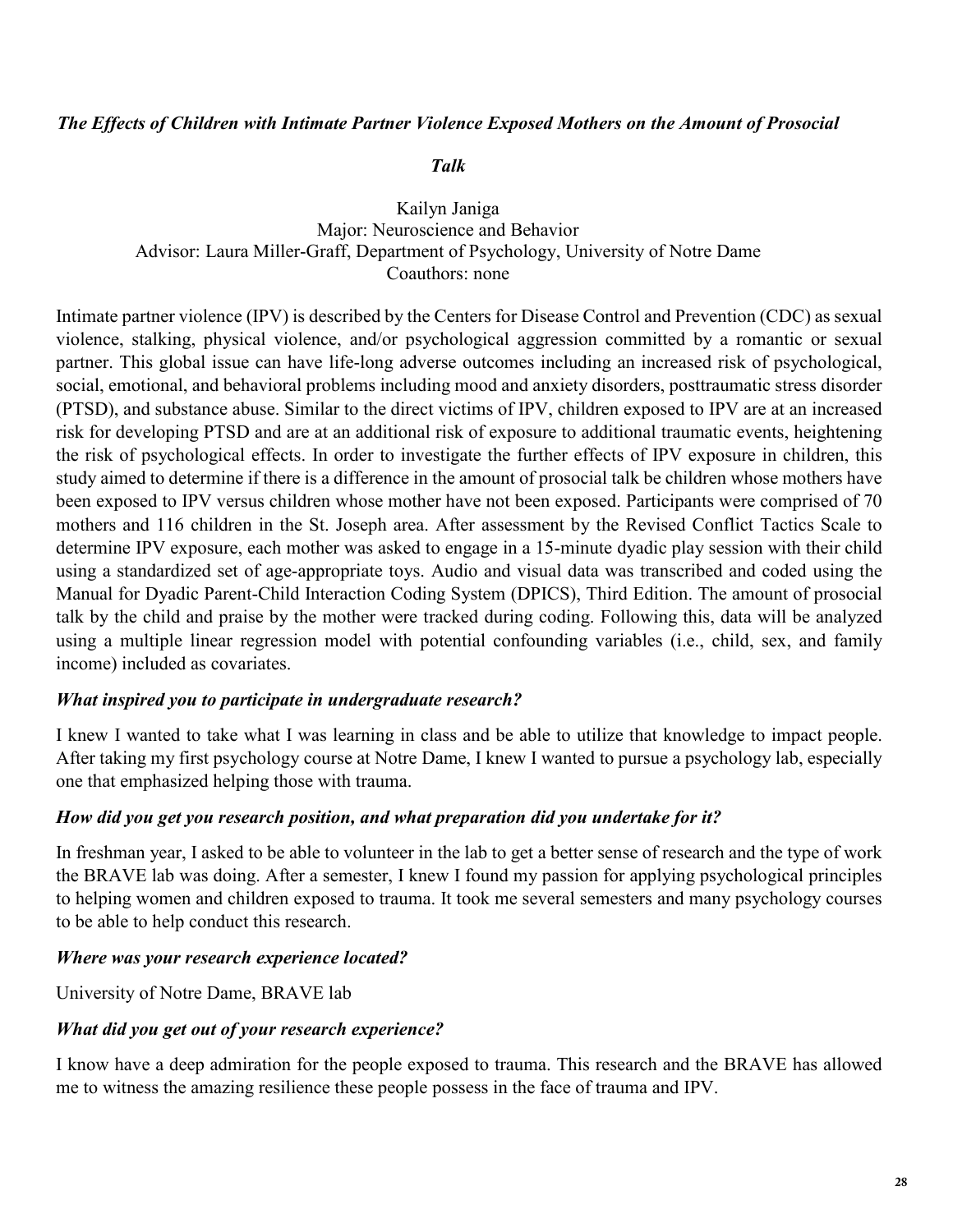### *The Effects of Children with Intimate Partner Violence Exposed Mothers on the Amount of Prosocial*

### *Talk*

### Kailyn Janiga Major: Neuroscience and Behavior Advisor: Laura Miller-Graff, Department of Psychology, University of Notre Dame Coauthors: none

Intimate partner violence (IPV) is described by the Centers for Disease Control and Prevention (CDC) as sexual violence, stalking, physical violence, and/or psychological aggression committed by a romantic or sexual partner. This global issue can have life-long adverse outcomes including an increased risk of psychological, social, emotional, and behavioral problems including mood and anxiety disorders, posttraumatic stress disorder (PTSD), and substance abuse. Similar to the direct victims of IPV, children exposed to IPV are at an increased risk for developing PTSD and are at an additional risk of exposure to additional traumatic events, heightening the risk of psychological effects. In order to investigate the further effects of IPV exposure in children, this study aimed to determine if there is a difference in the amount of prosocial talk be children whose mothers have been exposed to IPV versus children whose mother have not been exposed. Participants were comprised of 70 mothers and 116 children in the St. Joseph area. After assessment by the Revised Conflict Tactics Scale to determine IPV exposure, each mother was asked to engage in a 15-minute dyadic play session with their child using a standardized set of age-appropriate toys. Audio and visual data was transcribed and coded using the Manual for Dyadic Parent-Child Interaction Coding System (DPICS), Third Edition. The amount of prosocial talk by the child and praise by the mother were tracked during coding. Following this, data will be analyzed using a multiple linear regression model with potential confounding variables (i.e., child, sex, and family income) included as covariates.

### *What inspired you to participate in undergraduate research?*

I knew I wanted to take what I was learning in class and be able to utilize that knowledge to impact people. After taking my first psychology course at Notre Dame, I knew I wanted to pursue a psychology lab, especially one that emphasized helping those with trauma.

### *How did you get you research position, and what preparation did you undertake for it?*

In freshman year, I asked to be able to volunteer in the lab to get a better sense of research and the type of work the BRAVE lab was doing. After a semester, I knew I found my passion for applying psychological principles to helping women and children exposed to trauma. It took me several semesters and many psychology courses to be able to help conduct this research.

### *Where was your research experience located?*

University of Notre Dame, BRAVE lab

### *What did you get out of your research experience?*

I know have a deep admiration for the people exposed to trauma. This research and the BRAVE has allowed me to witness the amazing resilience these people possess in the face of trauma and IPV.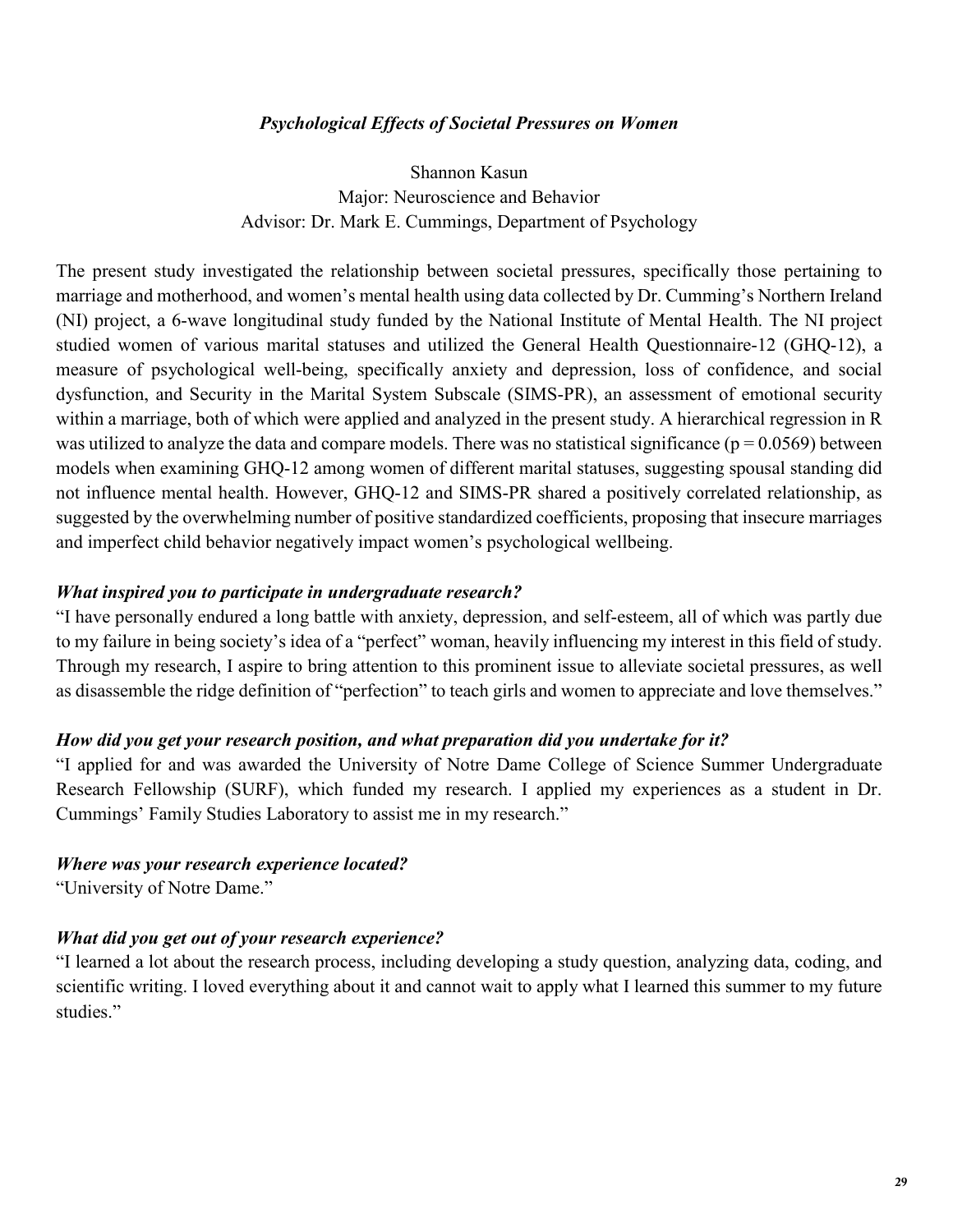### *Psychological Effects of Societal Pressures on Women*

Shannon Kasun Major: Neuroscience and Behavior Advisor: Dr. Mark E. Cummings, Department of Psychology

The present study investigated the relationship between societal pressures, specifically those pertaining to marriage and motherhood, and women's mental health using data collected by Dr. Cumming's Northern Ireland (NI) project, a 6-wave longitudinal study funded by the National Institute of Mental Health. The NI project studied women of various marital statuses and utilized the General Health Questionnaire-12 (GHQ-12), a measure of psychological well-being, specifically anxiety and depression, loss of confidence, and social dysfunction, and Security in the Marital System Subscale (SIMS-PR), an assessment of emotional security within a marriage, both of which were applied and analyzed in the present study. A hierarchical regression in R was utilized to analyze the data and compare models. There was no statistical significance ( $p = 0.0569$ ) between models when examining GHQ-12 among women of different marital statuses, suggesting spousal standing did not influence mental health. However, GHQ-12 and SIMS-PR shared a positively correlated relationship, as suggested by the overwhelming number of positive standardized coefficients, proposing that insecure marriages and imperfect child behavior negatively impact women's psychological wellbeing.

### *What inspired you to participate in undergraduate research?*

"I have personally endured a long battle with anxiety, depression, and self-esteem, all of which was partly due to my failure in being society's idea of a "perfect" woman, heavily influencing my interest in this field of study. Through my research, I aspire to bring attention to this prominent issue to alleviate societal pressures, as well as disassemble the ridge definition of "perfection" to teach girls and women to appreciate and love themselves."

### *How did you get your research position, and what preparation did you undertake for it?*

"I applied for and was awarded the University of Notre Dame College of Science Summer Undergraduate Research Fellowship (SURF), which funded my research. I applied my experiences as a student in Dr. Cummings' Family Studies Laboratory to assist me in my research."

### *Where was your research experience located?*

"University of Notre Dame."

### *What did you get out of your research experience?*

"I learned a lot about the research process, including developing a study question, analyzing data, coding, and scientific writing. I loved everything about it and cannot wait to apply what I learned this summer to my future studies."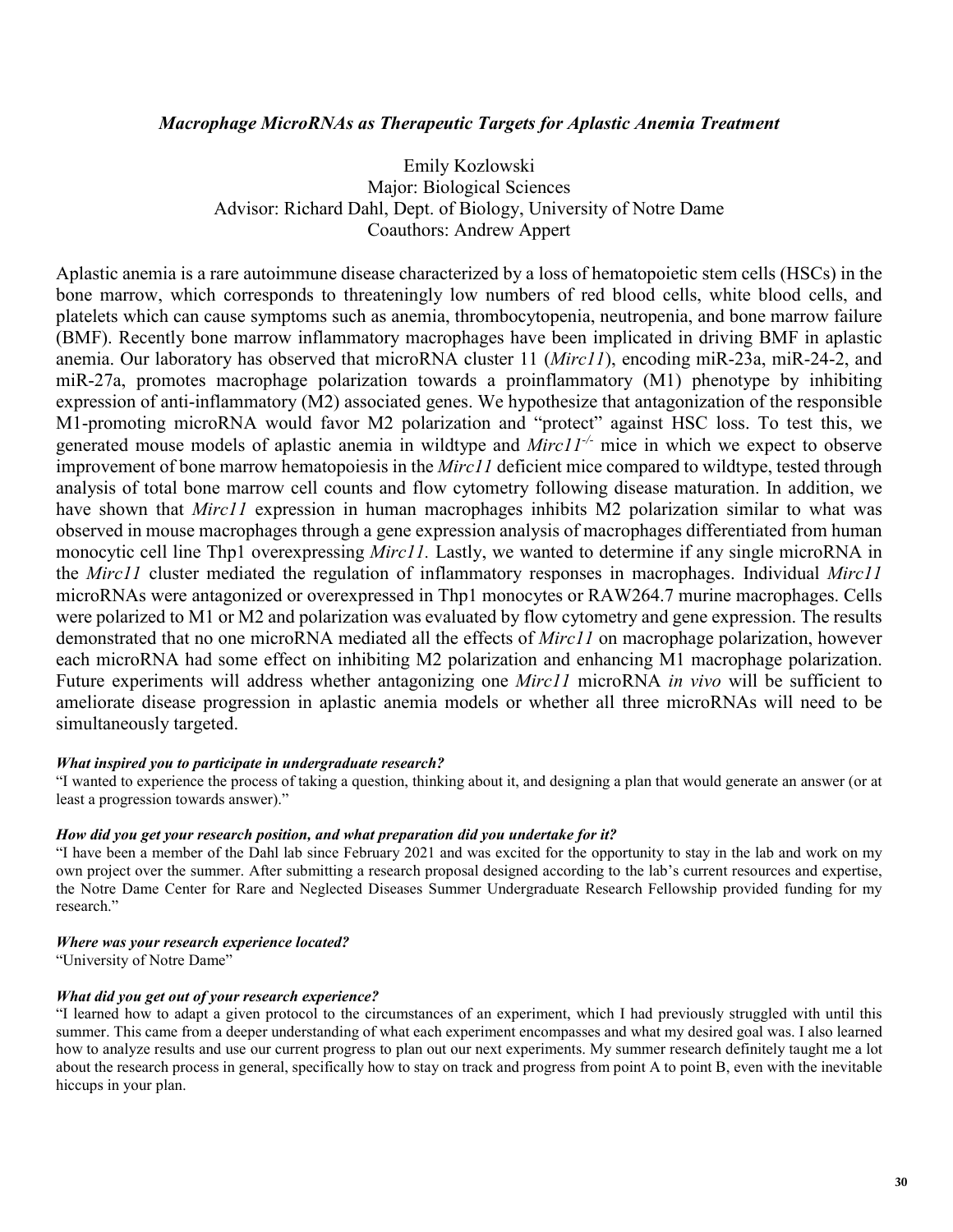#### *Macrophage MicroRNAs as Therapeutic Targets for Aplastic Anemia Treatment*

Emily Kozlowski Major: Biological Sciences Advisor: Richard Dahl, Dept. of Biology, University of Notre Dame Coauthors: Andrew Appert

Aplastic anemia is a rare autoimmune disease characterized by a loss of hematopoietic stem cells (HSCs) in the bone marrow, which corresponds to threateningly low numbers of red blood cells, white blood cells, and platelets which can cause symptoms such as anemia, thrombocytopenia, neutropenia, and bone marrow failure (BMF). Recently bone marrow inflammatory macrophages have been implicated in driving BMF in aplastic anemia. Our laboratory has observed that microRNA cluster 11 (*Mirc11*), encoding miR-23a, miR-24-2, and miR-27a, promotes macrophage polarization towards a proinflammatory (M1) phenotype by inhibiting expression of anti-inflammatory (M2) associated genes. We hypothesize that antagonization of the responsible M1-promoting microRNA would favor M2 polarization and "protect" against HSC loss. To test this, we generated mouse models of aplastic anemia in wildtype and *Mirc11-/-* mice in which we expect to observe improvement of bone marrow hematopoiesis in the *Mirc11* deficient mice compared to wildtype, tested through analysis of total bone marrow cell counts and flow cytometry following disease maturation. In addition, we have shown that *Mirc11* expression in human macrophages inhibits M2 polarization similar to what was observed in mouse macrophages through a gene expression analysis of macrophages differentiated from human monocytic cell line Thp1 overexpressing *Mirc11.* Lastly, we wanted to determine if any single microRNA in the *Mirc11* cluster mediated the regulation of inflammatory responses in macrophages. Individual *Mirc11* microRNAs were antagonized or overexpressed in Thp1 monocytes or RAW264.7 murine macrophages. Cells were polarized to M1 or M2 and polarization was evaluated by flow cytometry and gene expression. The results demonstrated that no one microRNA mediated all the effects of *Mirc11* on macrophage polarization, however each microRNA had some effect on inhibiting M2 polarization and enhancing M1 macrophage polarization. Future experiments will address whether antagonizing one *Mirc11* microRNA *in vivo* will be sufficient to ameliorate disease progression in aplastic anemia models or whether all three microRNAs will need to be simultaneously targeted.

#### *What inspired you to participate in undergraduate research?*

"I wanted to experience the process of taking a question, thinking about it, and designing a plan that would generate an answer (or at least a progression towards answer)."

#### *How did you get your research position, and what preparation did you undertake for it?*

"I have been a member of the Dahl lab since February 2021 and was excited for the opportunity to stay in the lab and work on my own project over the summer. After submitting a research proposal designed according to the lab's current resources and expertise, the Notre Dame Center for Rare and Neglected Diseases Summer Undergraduate Research Fellowship provided funding for my research."

#### *Where was your research experience located?*

"University of Notre Dame"

#### *What did you get out of your research experience?*

"I learned how to adapt a given protocol to the circumstances of an experiment, which I had previously struggled with until this summer. This came from a deeper understanding of what each experiment encompasses and what my desired goal was. I also learned how to analyze results and use our current progress to plan out our next experiments. My summer research definitely taught me a lot about the research process in general, specifically how to stay on track and progress from point A to point B, even with the inevitable hiccups in your plan.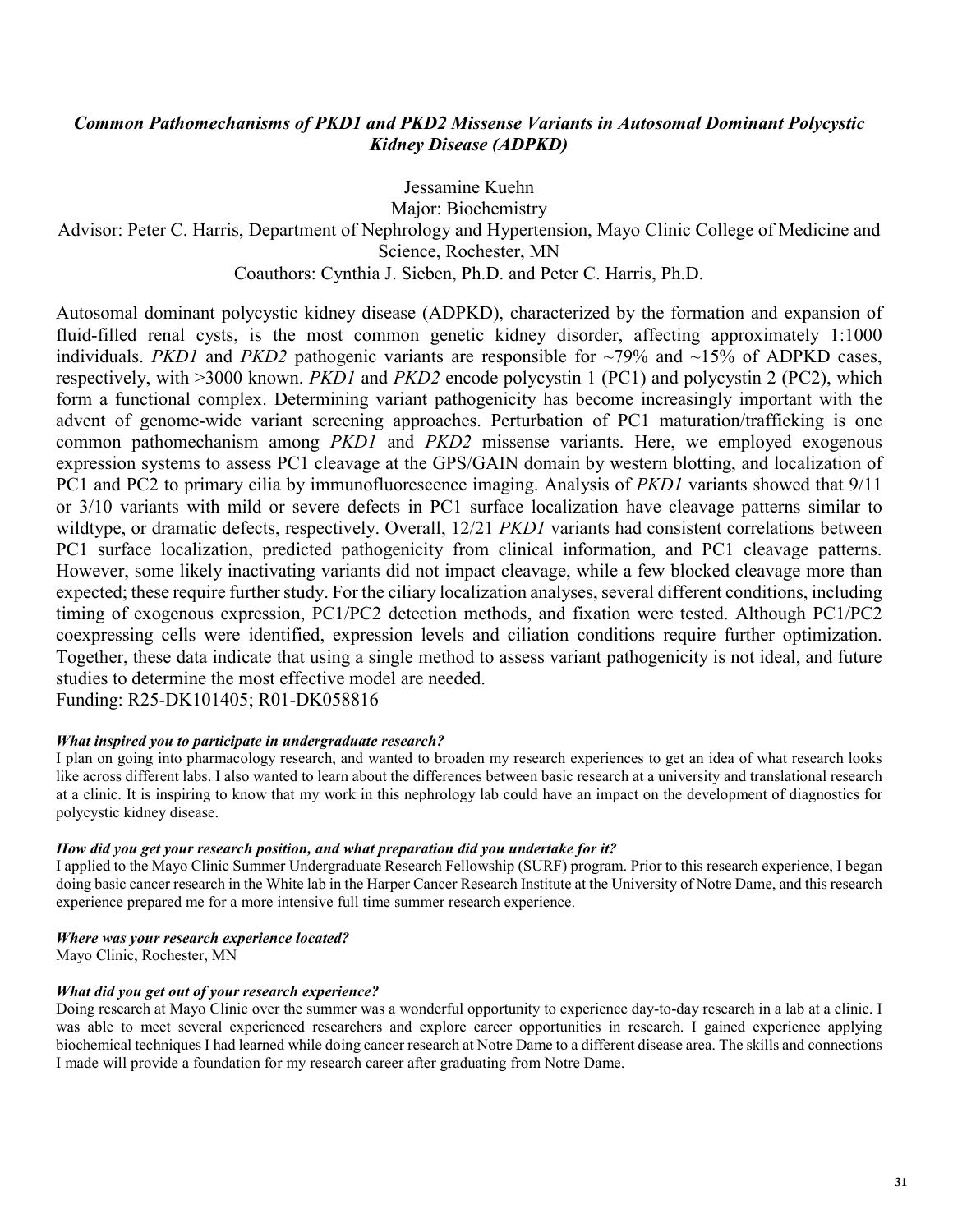### *Common Pathomechanisms of PKD1 and PKD2 Missense Variants in Autosomal Dominant Polycystic Kidney Disease (ADPKD)*

Jessamine Kuehn Major: Biochemistry Advisor: Peter C. Harris, Department of Nephrology and Hypertension, Mayo Clinic College of Medicine and Science, Rochester, MN Coauthors: Cynthia J. Sieben, Ph.D. and Peter C. Harris, Ph.D.

Autosomal dominant polycystic kidney disease (ADPKD), characterized by the formation and expansion of fluid-filled renal cysts, is the most common genetic kidney disorder, affecting approximately 1:1000 individuals. *PKD1* and *PKD2* pathogenic variants are responsible for  $\sim$ 79% and  $\sim$ 15% of ADPKD cases, respectively, with >3000 known. *PKD1* and *PKD2* encode polycystin 1 (PC1) and polycystin 2 (PC2), which form a functional complex. Determining variant pathogenicity has become increasingly important with the advent of genome-wide variant screening approaches. Perturbation of PC1 maturation/trafficking is one common pathomechanism among *PKD1* and *PKD2* missense variants. Here, we employed exogenous expression systems to assess PC1 cleavage at the GPS/GAIN domain by western blotting, and localization of PC1 and PC2 to primary cilia by immunofluorescence imaging. Analysis of *PKD1* variants showed that 9/11 or 3/10 variants with mild or severe defects in PC1 surface localization have cleavage patterns similar to wildtype, or dramatic defects, respectively. Overall, 12/21 *PKD1* variants had consistent correlations between PC1 surface localization, predicted pathogenicity from clinical information, and PC1 cleavage patterns. However, some likely inactivating variants did not impact cleavage, while a few blocked cleavage more than expected; these require further study. For the ciliary localization analyses, several different conditions, including timing of exogenous expression, PC1/PC2 detection methods, and fixation were tested. Although PC1/PC2 coexpressing cells were identified, expression levels and ciliation conditions require further optimization. Together, these data indicate that using a single method to assess variant pathogenicity is not ideal, and future studies to determine the most effective model are needed. Funding: R25-DK101405; R01-DK058816

#### *What inspired you to participate in undergraduate research?*

I plan on going into pharmacology research, and wanted to broaden my research experiences to get an idea of what research looks like across different labs. I also wanted to learn about the differences between basic research at a university and translational research at a clinic. It is inspiring to know that my work in this nephrology lab could have an impact on the development of diagnostics for polycystic kidney disease.

#### *How did you get your research position, and what preparation did you undertake for it?*

I applied to the Mayo Clinic Summer Undergraduate Research Fellowship (SURF) program. Prior to this research experience, I began doing basic cancer research in the White lab in the Harper Cancer Research Institute at the University of Notre Dame, and this research experience prepared me for a more intensive full time summer research experience.

#### *Where was your research experience located?*

Mayo Clinic, Rochester, MN

#### *What did you get out of your research experience?*

Doing research at Mayo Clinic over the summer was a wonderful opportunity to experience day-to-day research in a lab at a clinic. I was able to meet several experienced researchers and explore career opportunities in research. I gained experience applying biochemical techniques I had learned while doing cancer research at Notre Dame to a different disease area. The skills and connections I made will provide a foundation for my research career after graduating from Notre Dame.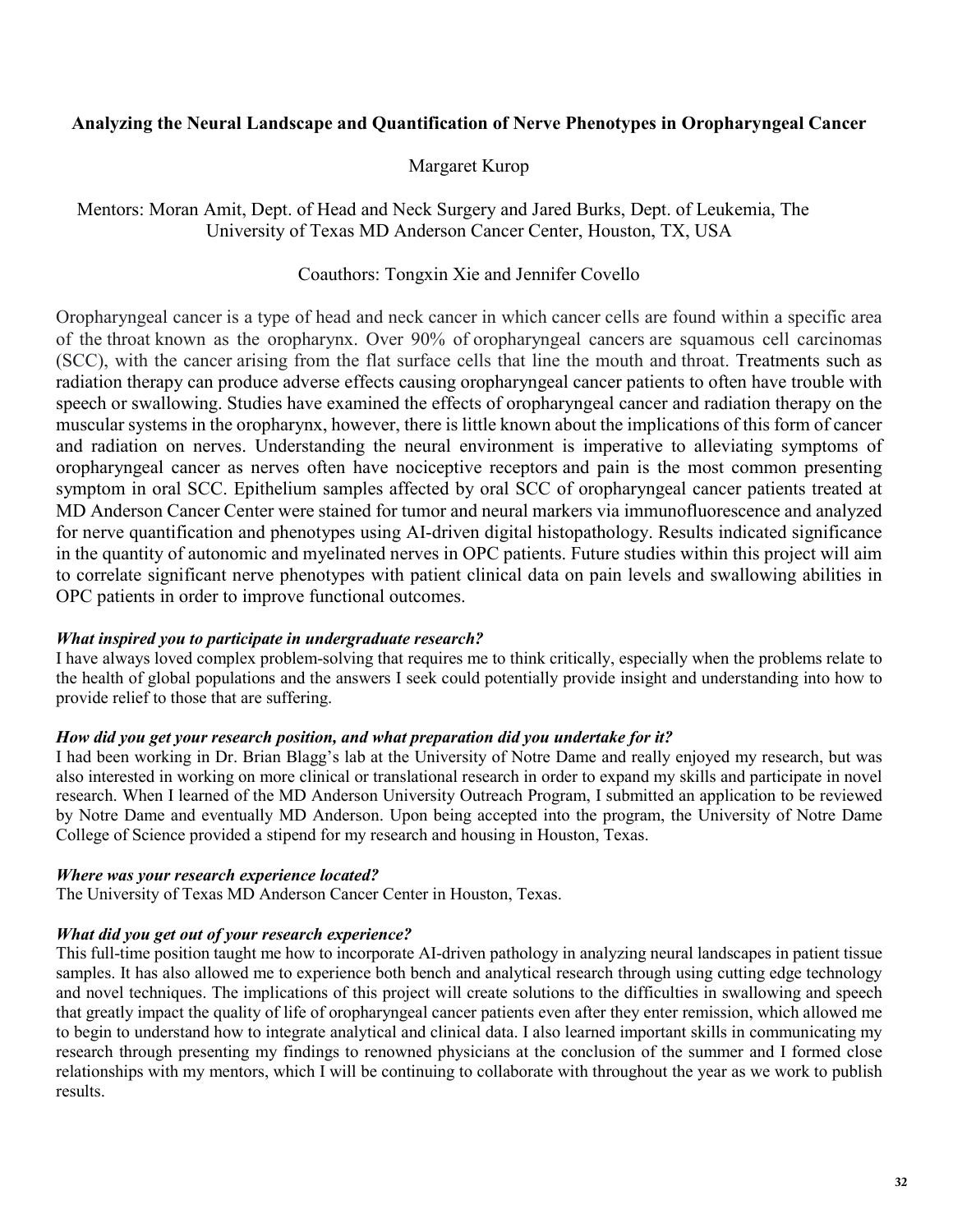### **Analyzing the Neural Landscape and Quantification of Nerve Phenotypes in Oropharyngeal Cancer**

### Margaret Kurop

Mentors: Moran Amit, Dept. of Head and Neck Surgery and Jared Burks, Dept. of Leukemia, The University of Texas MD Anderson Cancer Center, Houston, TX, USA

### Coauthors: Tongxin Xie and Jennifer Covello

Oropharyngeal cancer is a type of head and neck cancer in which cancer cells are found within a specific area of the throat known as the oropharynx. Over 90% of oropharyngeal cancers are squamous cell carcinomas (SCC), with the cancer arising from the flat surface cells that line the mouth and throat. Treatments such as radiation therapy can produce adverse effects causing oropharyngeal cancer patients to often have trouble with speech or swallowing. Studies have examined the effects of oropharyngeal cancer and radiation therapy on the muscular systems in the oropharynx, however, there is little known about the implications of this form of cancer and radiation on nerves. Understanding the neural environment is imperative to alleviating symptoms of oropharyngeal cancer as nerves often have nociceptive receptors and pain is the most common presenting symptom in oral SCC. Epithelium samples affected by oral SCC of oropharyngeal cancer patients treated at MD Anderson Cancer Center were stained for tumor and neural markers via immunofluorescence and analyzed for nerve quantification and phenotypes using AI-driven digital histopathology. Results indicated significance in the quantity of autonomic and myelinated nerves in OPC patients. Future studies within this project will aim to correlate significant nerve phenotypes with patient clinical data on pain levels and swallowing abilities in OPC patients in order to improve functional outcomes.

### *What inspired you to participate in undergraduate research?*

I have always loved complex problem-solving that requires me to think critically, especially when the problems relate to the health of global populations and the answers I seek could potentially provide insight and understanding into how to provide relief to those that are suffering.

#### *How did you get your research position, and what preparation did you undertake for it?*

I had been working in Dr. Brian Blagg's lab at the University of Notre Dame and really enjoyed my research, but was also interested in working on more clinical or translational research in order to expand my skills and participate in novel research. When I learned of the MD Anderson University Outreach Program, I submitted an application to be reviewed by Notre Dame and eventually MD Anderson. Upon being accepted into the program, the University of Notre Dame College of Science provided a stipend for my research and housing in Houston, Texas.

#### *Where was your research experience located?*

The University of Texas MD Anderson Cancer Center in Houston, Texas.

### *What did you get out of your research experience?*

This full-time position taught me how to incorporate AI-driven pathology in analyzing neural landscapes in patient tissue samples. It has also allowed me to experience both bench and analytical research through using cutting edge technology and novel techniques. The implications of this project will create solutions to the difficulties in swallowing and speech that greatly impact the quality of life of oropharyngeal cancer patients even after they enter remission, which allowed me to begin to understand how to integrate analytical and clinical data. I also learned important skills in communicating my research through presenting my findings to renowned physicians at the conclusion of the summer and I formed close relationships with my mentors, which I will be continuing to collaborate with throughout the year as we work to publish results.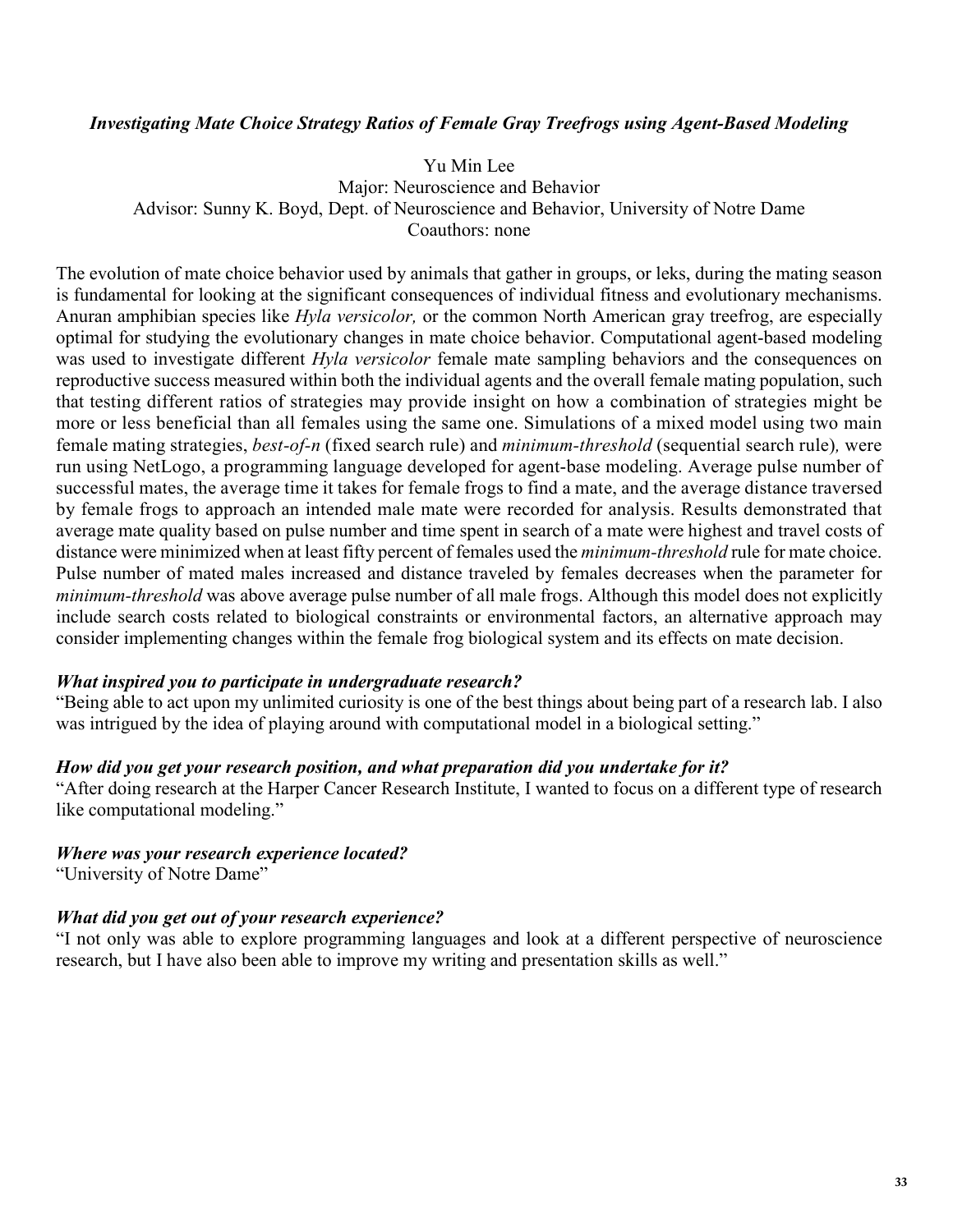### *Investigating Mate Choice Strategy Ratios of Female Gray Treefrogs using Agent-Based Modeling*

Yu Min Lee

Major: Neuroscience and Behavior Advisor: Sunny K. Boyd, Dept. of Neuroscience and Behavior, University of Notre Dame Coauthors: none

The evolution of mate choice behavior used by animals that gather in groups, or leks, during the mating season is fundamental for looking at the significant consequences of individual fitness and evolutionary mechanisms. Anuran amphibian species like *Hyla versicolor,* or the common North American gray treefrog, are especially optimal for studying the evolutionary changes in mate choice behavior. Computational agent-based modeling was used to investigate different *Hyla versicolor* female mate sampling behaviors and the consequences on reproductive success measured within both the individual agents and the overall female mating population, such that testing different ratios of strategies may provide insight on how a combination of strategies might be more or less beneficial than all females using the same one. Simulations of a mixed model using two main female mating strategies, *best-of-n* (fixed search rule) and *minimum-threshold* (sequential search rule)*,* were run using NetLogo, a programming language developed for agent-base modeling. Average pulse number of successful mates, the average time it takes for female frogs to find a mate, and the average distance traversed by female frogs to approach an intended male mate were recorded for analysis. Results demonstrated that average mate quality based on pulse number and time spent in search of a mate were highest and travel costs of distance were minimized when at least fifty percent of females used the *minimum-threshold* rule for mate choice. Pulse number of mated males increased and distance traveled by females decreases when the parameter for *minimum-threshold* was above average pulse number of all male frogs. Although this model does not explicitly include search costs related to biological constraints or environmental factors, an alternative approach may consider implementing changes within the female frog biological system and its effects on mate decision.

#### *What inspired you to participate in undergraduate research?*

"Being able to act upon my unlimited curiosity is one of the best things about being part of a research lab. I also was intrigued by the idea of playing around with computational model in a biological setting."

#### *How did you get your research position, and what preparation did you undertake for it?*

"After doing research at the Harper Cancer Research Institute, I wanted to focus on a different type of research like computational modeling."

### *Where was your research experience located?*

"University of Notre Dame"

### *What did you get out of your research experience?*

"I not only was able to explore programming languages and look at a different perspective of neuroscience research, but I have also been able to improve my writing and presentation skills as well."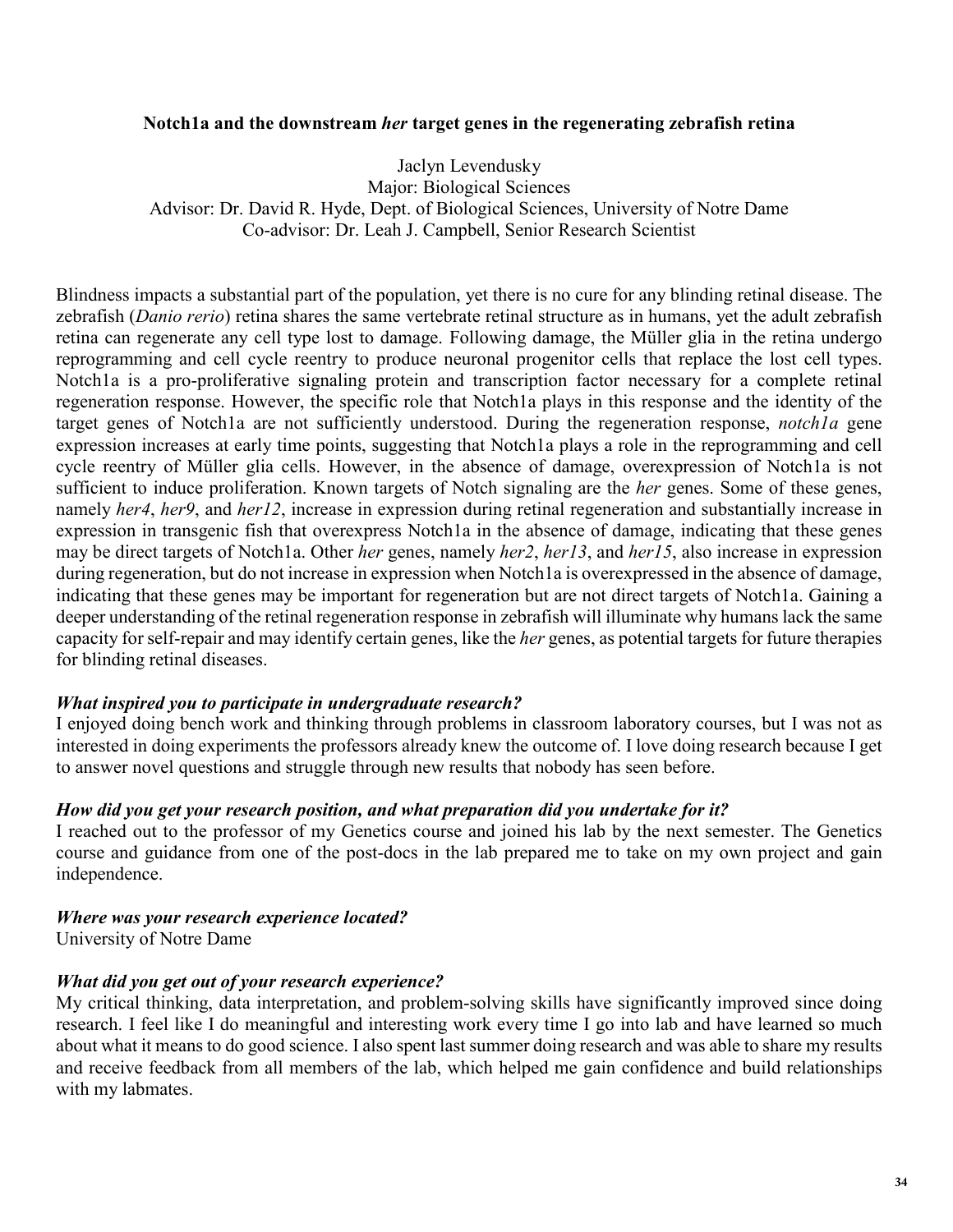### **Notch1a and the downstream** *her* **target genes in the regenerating zebrafish retina**

Jaclyn Levendusky Major: Biological Sciences Advisor: Dr. David R. Hyde, Dept. of Biological Sciences, University of Notre Dame Co-advisor: Dr. Leah J. Campbell, Senior Research Scientist

Blindness impacts a substantial part of the population, yet there is no cure for any blinding retinal disease. The zebrafish (*Danio rerio*) retina shares the same vertebrate retinal structure as in humans, yet the adult zebrafish retina can regenerate any cell type lost to damage. Following damage, the Müller glia in the retina undergo reprogramming and cell cycle reentry to produce neuronal progenitor cells that replace the lost cell types. Notch1a is a pro-proliferative signaling protein and transcription factor necessary for a complete retinal regeneration response. However, the specific role that Notch1a plays in this response and the identity of the target genes of Notch1a are not sufficiently understood. During the regeneration response, *notch1a* gene expression increases at early time points, suggesting that Notch1a plays a role in the reprogramming and cell cycle reentry of Müller glia cells. However, in the absence of damage, overexpression of Notch1a is not sufficient to induce proliferation. Known targets of Notch signaling are the *her* genes. Some of these genes, namely *her4*, *her9*, and *her12*, increase in expression during retinal regeneration and substantially increase in expression in transgenic fish that overexpress Notch1a in the absence of damage, indicating that these genes may be direct targets of Notch1a. Other *her* genes, namely *her2*, *her13*, and *her15*, also increase in expression during regeneration, but do not increase in expression when Notch1a is overexpressed in the absence of damage, indicating that these genes may be important for regeneration but are not direct targets of Notch1a. Gaining a deeper understanding of the retinal regeneration response in zebrafish will illuminate why humans lack the same capacity for self-repair and may identify certain genes, like the *her* genes, as potential targets for future therapies for blinding retinal diseases.

### *What inspired you to participate in undergraduate research?*

I enjoyed doing bench work and thinking through problems in classroom laboratory courses, but I was not as interested in doing experiments the professors already knew the outcome of. I love doing research because I get to answer novel questions and struggle through new results that nobody has seen before.

### *How did you get your research position, and what preparation did you undertake for it?*

I reached out to the professor of my Genetics course and joined his lab by the next semester. The Genetics course and guidance from one of the post-docs in the lab prepared me to take on my own project and gain independence.

### *Where was your research experience located?*

University of Notre Dame

### *What did you get out of your research experience?*

My critical thinking, data interpretation, and problem-solving skills have significantly improved since doing research. I feel like I do meaningful and interesting work every time I go into lab and have learned so much about what it means to do good science. I also spent last summer doing research and was able to share my results and receive feedback from all members of the lab, which helped me gain confidence and build relationships with my labmates.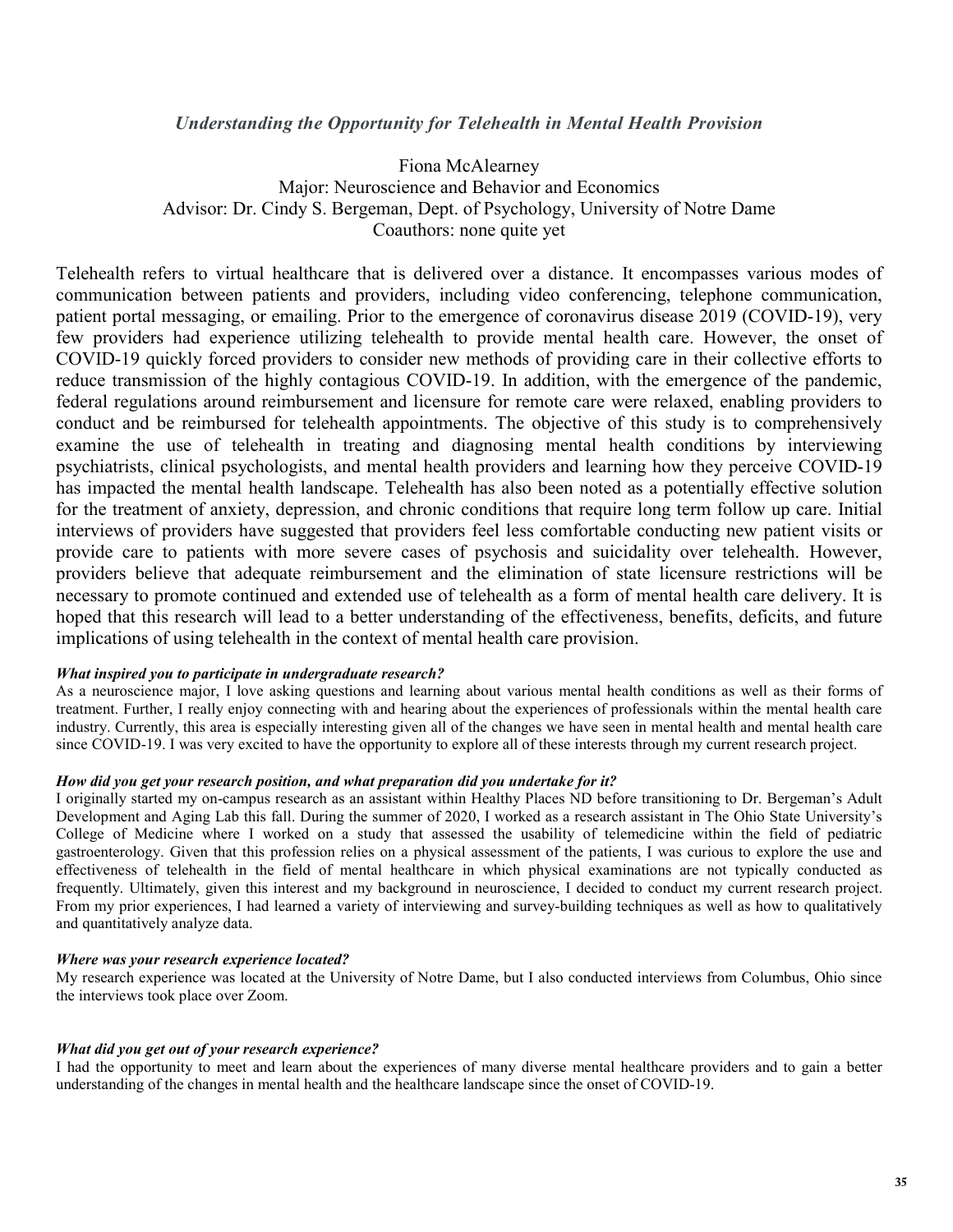#### *Understanding the Opportunity for Telehealth in Mental Health Provision*

Fiona McAlearney Major: Neuroscience and Behavior and Economics Advisor: Dr. Cindy S. Bergeman, Dept. of Psychology, University of Notre Dame Coauthors: none quite yet

Telehealth refers to virtual healthcare that is delivered over a distance. It encompasses various modes of communication between patients and providers, including video conferencing, telephone communication, patient portal messaging, or emailing. Prior to the emergence of coronavirus disease 2019 (COVID-19), very few providers had experience utilizing telehealth to provide mental health care. However, the onset of COVID-19 quickly forced providers to consider new methods of providing care in their collective efforts to reduce transmission of the highly contagious COVID-19. In addition, with the emergence of the pandemic, federal regulations around reimbursement and licensure for remote care were relaxed, enabling providers to conduct and be reimbursed for telehealth appointments. The objective of this study is to comprehensively examine the use of telehealth in treating and diagnosing mental health conditions by interviewing psychiatrists, clinical psychologists, and mental health providers and learning how they perceive COVID-19 has impacted the mental health landscape. Telehealth has also been noted as a potentially effective solution for the treatment of anxiety, depression, and chronic conditions that require long term follow up care. Initial interviews of providers have suggested that providers feel less comfortable conducting new patient visits or provide care to patients with more severe cases of psychosis and suicidality over telehealth. However, providers believe that adequate reimbursement and the elimination of state licensure restrictions will be necessary to promote continued and extended use of telehealth as a form of mental health care delivery. It is hoped that this research will lead to a better understanding of the effectiveness, benefits, deficits, and future implications of using telehealth in the context of mental health care provision.

#### *What inspired you to participate in undergraduate research?*

As a neuroscience major, I love asking questions and learning about various mental health conditions as well as their forms of treatment. Further, I really enjoy connecting with and hearing about the experiences of professionals within the mental health care industry. Currently, this area is especially interesting given all of the changes we have seen in mental health and mental health care since COVID-19. I was very excited to have the opportunity to explore all of these interests through my current research project.

#### *How did you get your research position, and what preparation did you undertake for it?*

I originally started my on-campus research as an assistant within Healthy Places ND before transitioning to Dr. Bergeman's Adult Development and Aging Lab this fall. During the summer of 2020, I worked as a research assistant in The Ohio State University's College of Medicine where I worked on a study that assessed the usability of telemedicine within the field of pediatric gastroenterology. Given that this profession relies on a physical assessment of the patients, I was curious to explore the use and effectiveness of telehealth in the field of mental healthcare in which physical examinations are not typically conducted as frequently. Ultimately, given this interest and my background in neuroscience, I decided to conduct my current research project. From my prior experiences, I had learned a variety of interviewing and survey-building techniques as well as how to qualitatively and quantitatively analyze data.

#### *Where was your research experience located?*

My research experience was located at the University of Notre Dame, but I also conducted interviews from Columbus, Ohio since the interviews took place over Zoom.

#### *What did you get out of your research experience?*

I had the opportunity to meet and learn about the experiences of many diverse mental healthcare providers and to gain a better understanding of the changes in mental health and the healthcare landscape since the onset of COVID-19.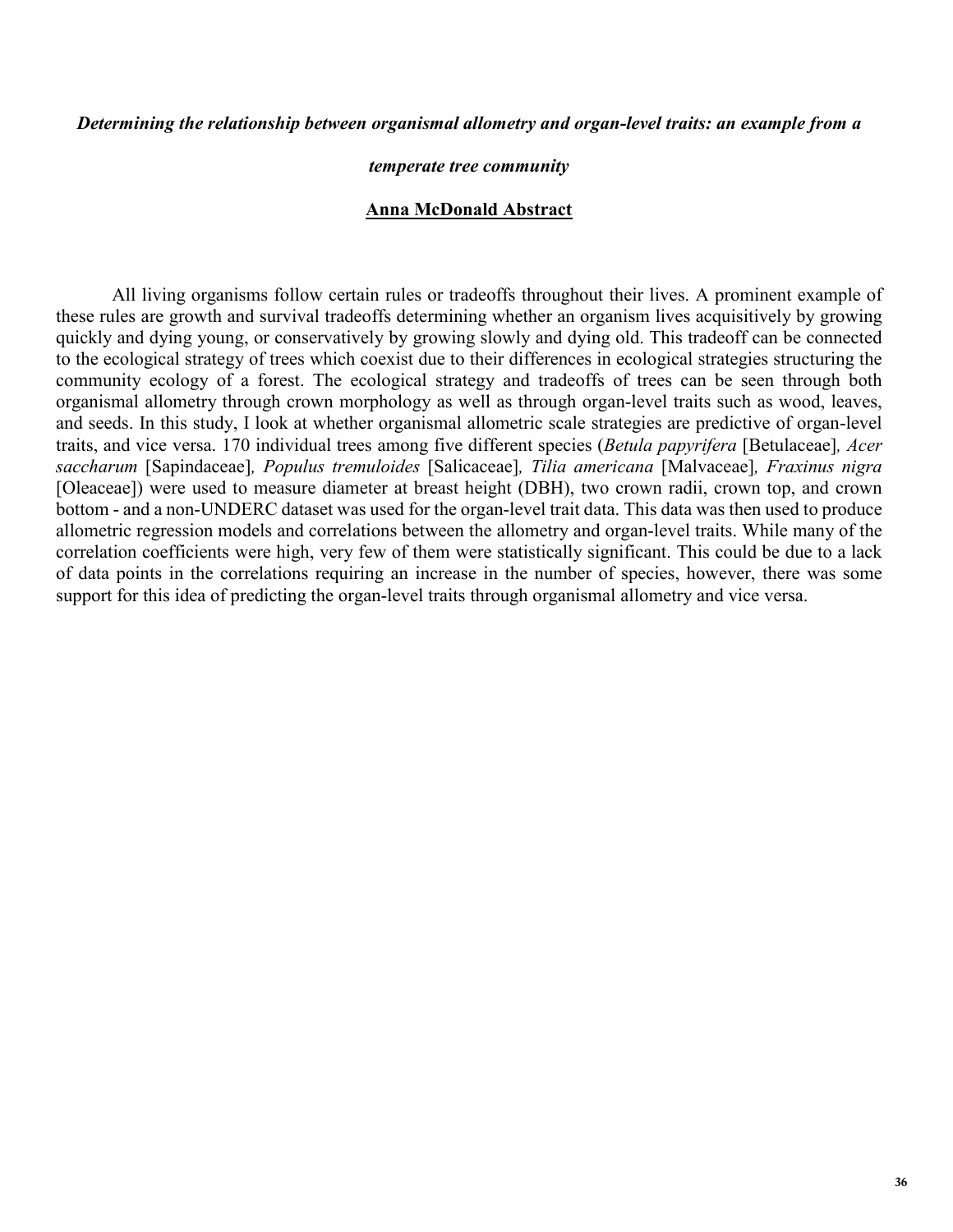#### *Determining the relationship between organismal allometry and organ-level traits: an example from a*

#### *temperate tree community*

#### **Anna McDonald Abstract**

All living organisms follow certain rules or tradeoffs throughout their lives. A prominent example of these rules are growth and survival tradeoffs determining whether an organism lives acquisitively by growing quickly and dying young, or conservatively by growing slowly and dying old. This tradeoff can be connected to the ecological strategy of trees which coexist due to their differences in ecological strategies structuring the community ecology of a forest. The ecological strategy and tradeoffs of trees can be seen through both organismal allometry through crown morphology as well as through organ-level traits such as wood, leaves, and seeds. In this study, I look at whether organismal allometric scale strategies are predictive of organ-level traits, and vice versa. 170 individual trees among five different species (*Betula papyrifera* [Betulaceae]*, Acer saccharum* [Sapindaceae]*, Populus tremuloides* [Salicaceae]*, Tilia americana* [Malvaceae]*, Fraxinus nigra*  [Oleaceae]) were used to measure diameter at breast height (DBH), two crown radii, crown top, and crown bottom - and a non-UNDERC dataset was used for the organ-level trait data. This data was then used to produce allometric regression models and correlations between the allometry and organ-level traits. While many of the correlation coefficients were high, very few of them were statistically significant. This could be due to a lack of data points in the correlations requiring an increase in the number of species, however, there was some support for this idea of predicting the organ-level traits through organismal allometry and vice versa.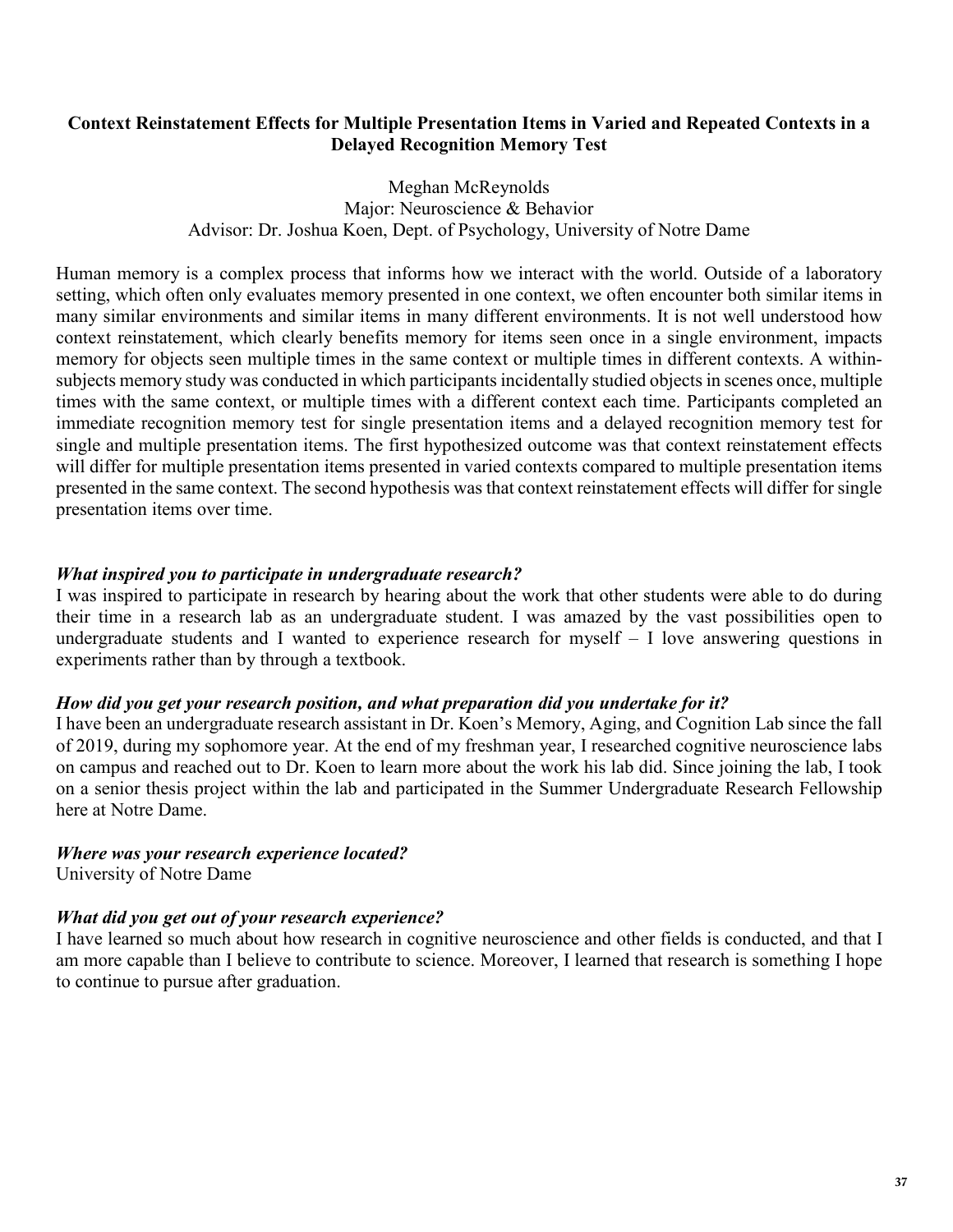### **Context Reinstatement Effects for Multiple Presentation Items in Varied and Repeated Contexts in a Delayed Recognition Memory Test**

Meghan McReynolds Major: Neuroscience & Behavior Advisor: Dr. Joshua Koen, Dept. of Psychology, University of Notre Dame

Human memory is a complex process that informs how we interact with the world. Outside of a laboratory setting, which often only evaluates memory presented in one context, we often encounter both similar items in many similar environments and similar items in many different environments. It is not well understood how context reinstatement, which clearly benefits memory for items seen once in a single environment, impacts memory for objects seen multiple times in the same context or multiple times in different contexts. A withinsubjects memory study was conducted in which participants incidentally studied objects in scenes once, multiple times with the same context, or multiple times with a different context each time. Participants completed an immediate recognition memory test for single presentation items and a delayed recognition memory test for single and multiple presentation items. The first hypothesized outcome was that context reinstatement effects will differ for multiple presentation items presented in varied contexts compared to multiple presentation items presented in the same context. The second hypothesis was that context reinstatement effects will differ for single presentation items over time.

### *What inspired you to participate in undergraduate research?*

I was inspired to participate in research by hearing about the work that other students were able to do during their time in a research lab as an undergraduate student. I was amazed by the vast possibilities open to undergraduate students and I wanted to experience research for myself – I love answering questions in experiments rather than by through a textbook.

### *How did you get your research position, and what preparation did you undertake for it?*

I have been an undergraduate research assistant in Dr. Koen's Memory, Aging, and Cognition Lab since the fall of 2019, during my sophomore year. At the end of my freshman year, I researched cognitive neuroscience labs on campus and reached out to Dr. Koen to learn more about the work his lab did. Since joining the lab, I took on a senior thesis project within the lab and participated in the Summer Undergraduate Research Fellowship here at Notre Dame.

### *Where was your research experience located?*

University of Notre Dame

### *What did you get out of your research experience?*

I have learned so much about how research in cognitive neuroscience and other fields is conducted, and that I am more capable than I believe to contribute to science. Moreover, I learned that research is something I hope to continue to pursue after graduation.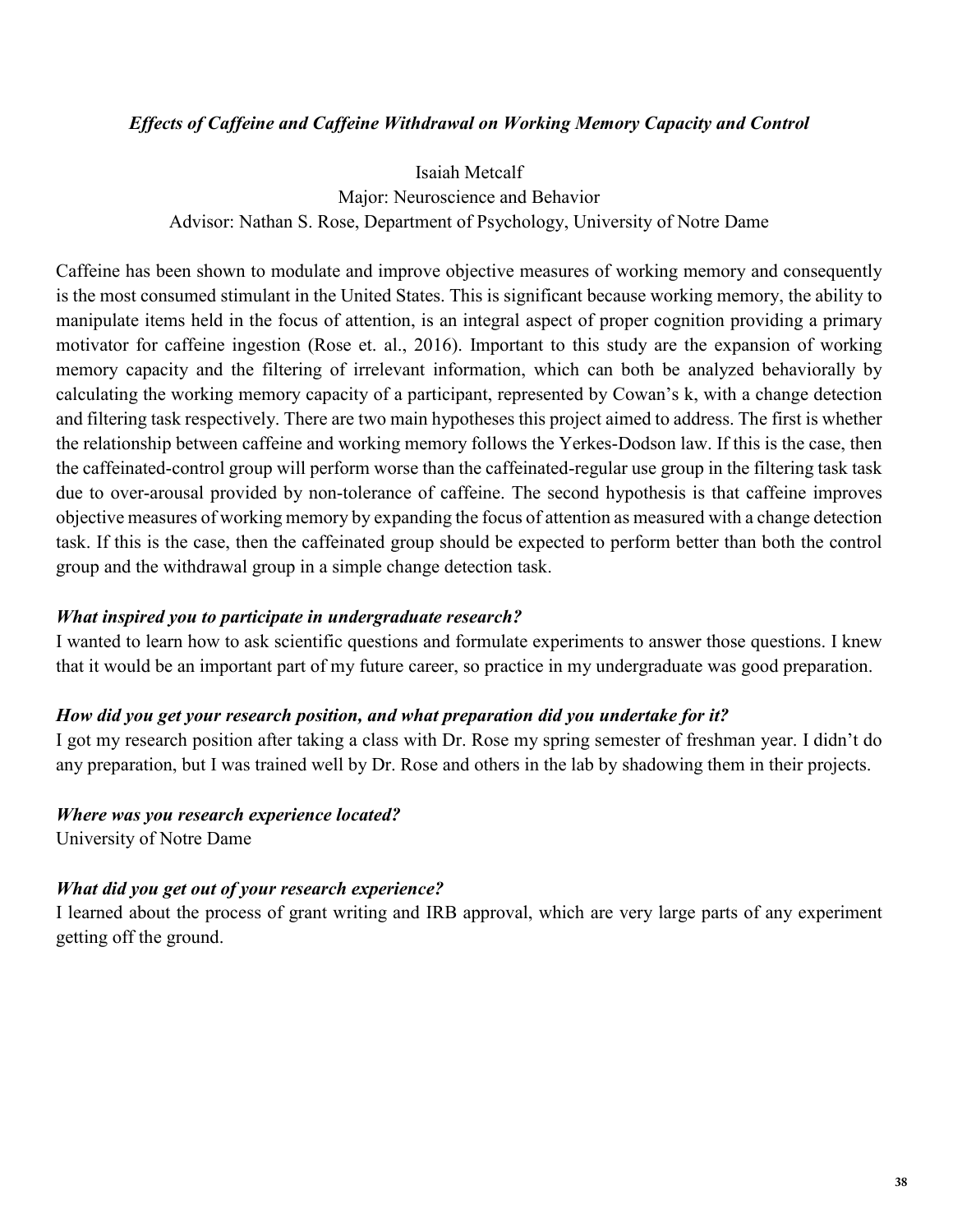### *Effects of Caffeine and Caffeine Withdrawal on Working Memory Capacity and Control*

Isaiah Metcalf Major: Neuroscience and Behavior Advisor: Nathan S. Rose, Department of Psychology, University of Notre Dame

Caffeine has been shown to modulate and improve objective measures of working memory and consequently is the most consumed stimulant in the United States. This is significant because working memory, the ability to manipulate items held in the focus of attention, is an integral aspect of proper cognition providing a primary motivator for caffeine ingestion (Rose et. al., 2016). Important to this study are the expansion of working memory capacity and the filtering of irrelevant information, which can both be analyzed behaviorally by calculating the working memory capacity of a participant, represented by Cowan's k, with a change detection and filtering task respectively. There are two main hypotheses this project aimed to address. The first is whether the relationship between caffeine and working memory follows the Yerkes-Dodson law. If this is the case, then the caffeinated-control group will perform worse than the caffeinated-regular use group in the filtering task task due to over-arousal provided by non-tolerance of caffeine. The second hypothesis is that caffeine improves objective measures of working memory by expanding the focus of attention as measured with a change detection task. If this is the case, then the caffeinated group should be expected to perform better than both the control group and the withdrawal group in a simple change detection task.

### *What inspired you to participate in undergraduate research?*

I wanted to learn how to ask scientific questions and formulate experiments to answer those questions. I knew that it would be an important part of my future career, so practice in my undergraduate was good preparation.

### *How did you get your research position, and what preparation did you undertake for it?*

I got my research position after taking a class with Dr. Rose my spring semester of freshman year. I didn't do any preparation, but I was trained well by Dr. Rose and others in the lab by shadowing them in their projects.

#### *Where was you research experience located?*

University of Notre Dame

### *What did you get out of your research experience?*

I learned about the process of grant writing and IRB approval, which are very large parts of any experiment getting off the ground.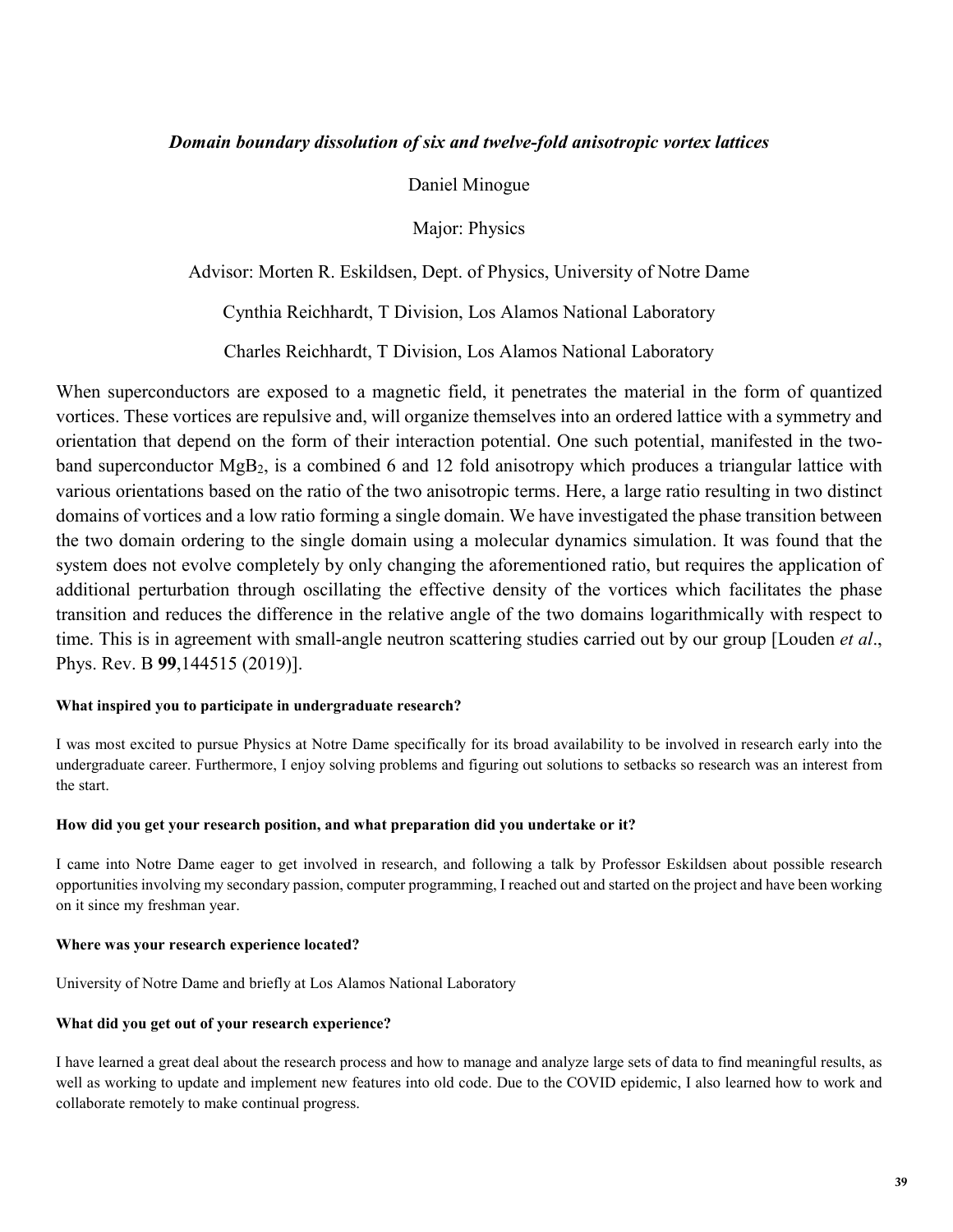#### *Domain boundary dissolution of six and twelve-fold anisotropic vortex lattices*

Daniel Minogue

Major: Physics

Advisor: Morten R. Eskildsen, Dept. of Physics, University of Notre Dame

Cynthia Reichhardt, T Division, Los Alamos National Laboratory

Charles Reichhardt, T Division, Los Alamos National Laboratory

When superconductors are exposed to a magnetic field, it penetrates the material in the form of quantized vortices. These vortices are repulsive and, will organize themselves into an ordered lattice with a symmetry and orientation that depend on the form of their interaction potential. One such potential, manifested in the twoband superconductor MgB2, is a combined 6 and 12 fold anisotropy which produces a triangular lattice with various orientations based on the ratio of the two anisotropic terms. Here, a large ratio resulting in two distinct domains of vortices and a low ratio forming a single domain. We have investigated the phase transition between the two domain ordering to the single domain using a molecular dynamics simulation. It was found that the system does not evolve completely by only changing the aforementioned ratio, but requires the application of additional perturbation through oscillating the effective density of the vortices which facilitates the phase transition and reduces the difference in the relative angle of the two domains logarithmically with respect to time. This is in agreement with small-angle neutron scattering studies carried out by our group [Louden *et al*., Phys. Rev. B **99**,144515 (2019)].

#### **What inspired you to participate in undergraduate research?**

I was most excited to pursue Physics at Notre Dame specifically for its broad availability to be involved in research early into the undergraduate career. Furthermore, I enjoy solving problems and figuring out solutions to setbacks so research was an interest from the start.

#### **How did you get your research position, and what preparation did you undertake or it?**

I came into Notre Dame eager to get involved in research, and following a talk by Professor Eskildsen about possible research opportunities involving my secondary passion, computer programming, I reached out and started on the project and have been working on it since my freshman year.

#### **Where was your research experience located?**

University of Notre Dame and briefly at Los Alamos National Laboratory

#### **What did you get out of your research experience?**

I have learned a great deal about the research process and how to manage and analyze large sets of data to find meaningful results, as well as working to update and implement new features into old code. Due to the COVID epidemic, I also learned how to work and collaborate remotely to make continual progress.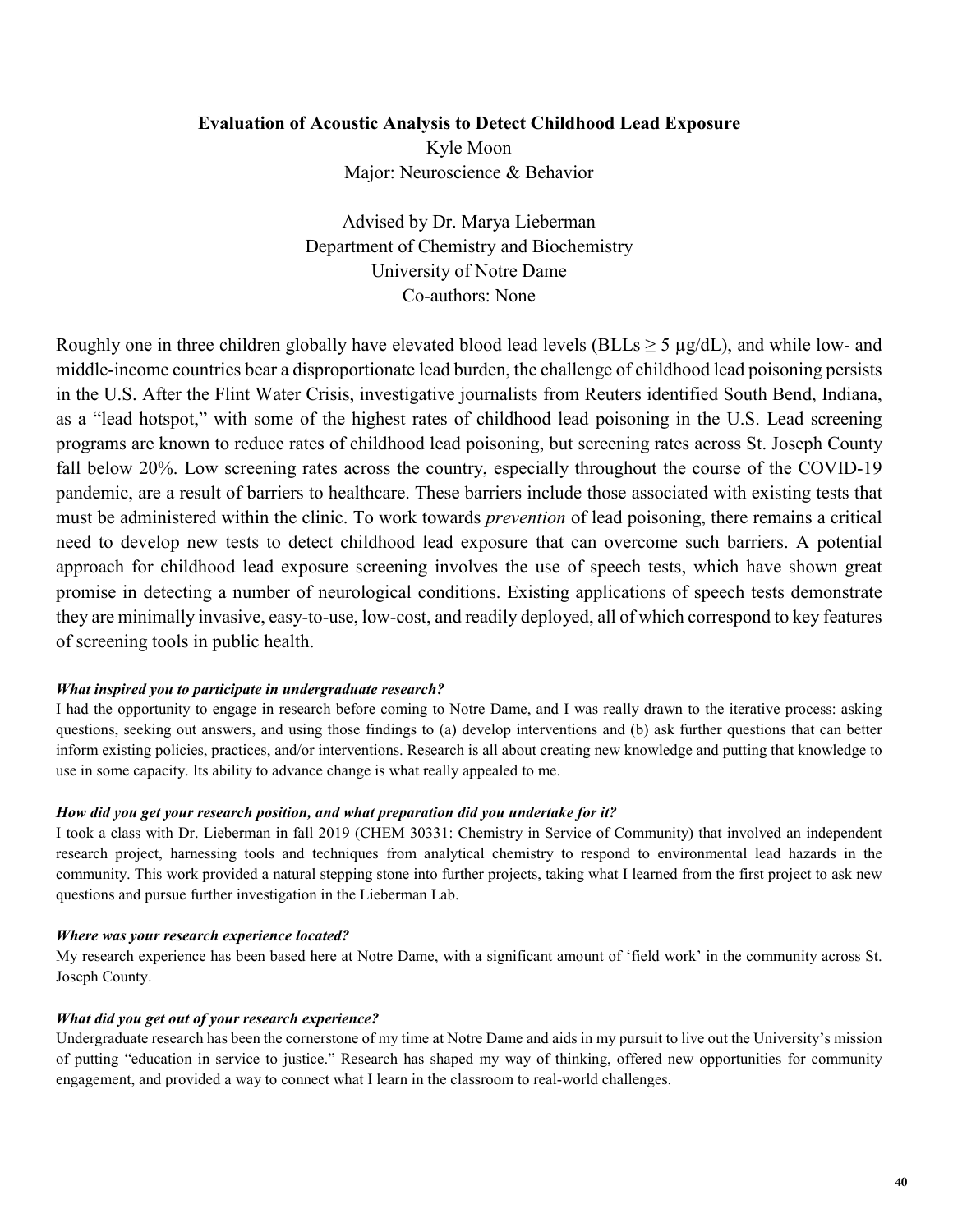### **Evaluation of Acoustic Analysis to Detect Childhood Lead Exposure**

Kyle Moon Major: Neuroscience & Behavior

Advised by Dr. Marya Lieberman Department of Chemistry and Biochemistry University of Notre Dame Co-authors: None

Roughly one in three children globally have elevated blood lead levels (BLLs  $\geq$  5  $\mu$ g/dL), and while low- and middle-income countries bear a disproportionate lead burden, the challenge of childhood lead poisoning persists in the U.S. After the Flint Water Crisis, investigative journalists from Reuters identified South Bend, Indiana, as a "lead hotspot," with some of the highest rates of childhood lead poisoning in the U.S. Lead screening programs are known to reduce rates of childhood lead poisoning, but screening rates across St. Joseph County fall below 20%. Low screening rates across the country, especially throughout the course of the COVID-19 pandemic, are a result of barriers to healthcare. These barriers include those associated with existing tests that must be administered within the clinic. To work towards *prevention* of lead poisoning, there remains a critical need to develop new tests to detect childhood lead exposure that can overcome such barriers. A potential approach for childhood lead exposure screening involves the use of speech tests, which have shown great promise in detecting a number of neurological conditions. Existing applications of speech tests demonstrate they are minimally invasive, easy-to-use, low-cost, and readily deployed, all of which correspond to key features of screening tools in public health.

#### *What inspired you to participate in undergraduate research?*

I had the opportunity to engage in research before coming to Notre Dame, and I was really drawn to the iterative process: asking questions, seeking out answers, and using those findings to (a) develop interventions and (b) ask further questions that can better inform existing policies, practices, and/or interventions. Research is all about creating new knowledge and putting that knowledge to use in some capacity. Its ability to advance change is what really appealed to me.

#### *How did you get your research position, and what preparation did you undertake for it?*

I took a class with Dr. Lieberman in fall 2019 (CHEM 30331: Chemistry in Service of Community) that involved an independent research project, harnessing tools and techniques from analytical chemistry to respond to environmental lead hazards in the community. This work provided a natural stepping stone into further projects, taking what I learned from the first project to ask new questions and pursue further investigation in the Lieberman Lab.

#### *Where was your research experience located?*

My research experience has been based here at Notre Dame, with a significant amount of 'field work' in the community across St. Joseph County.

#### *What did you get out of your research experience?*

Undergraduate research has been the cornerstone of my time at Notre Dame and aids in my pursuit to live out the University's mission of putting "education in service to justice." Research has shaped my way of thinking, offered new opportunities for community engagement, and provided a way to connect what I learn in the classroom to real-world challenges.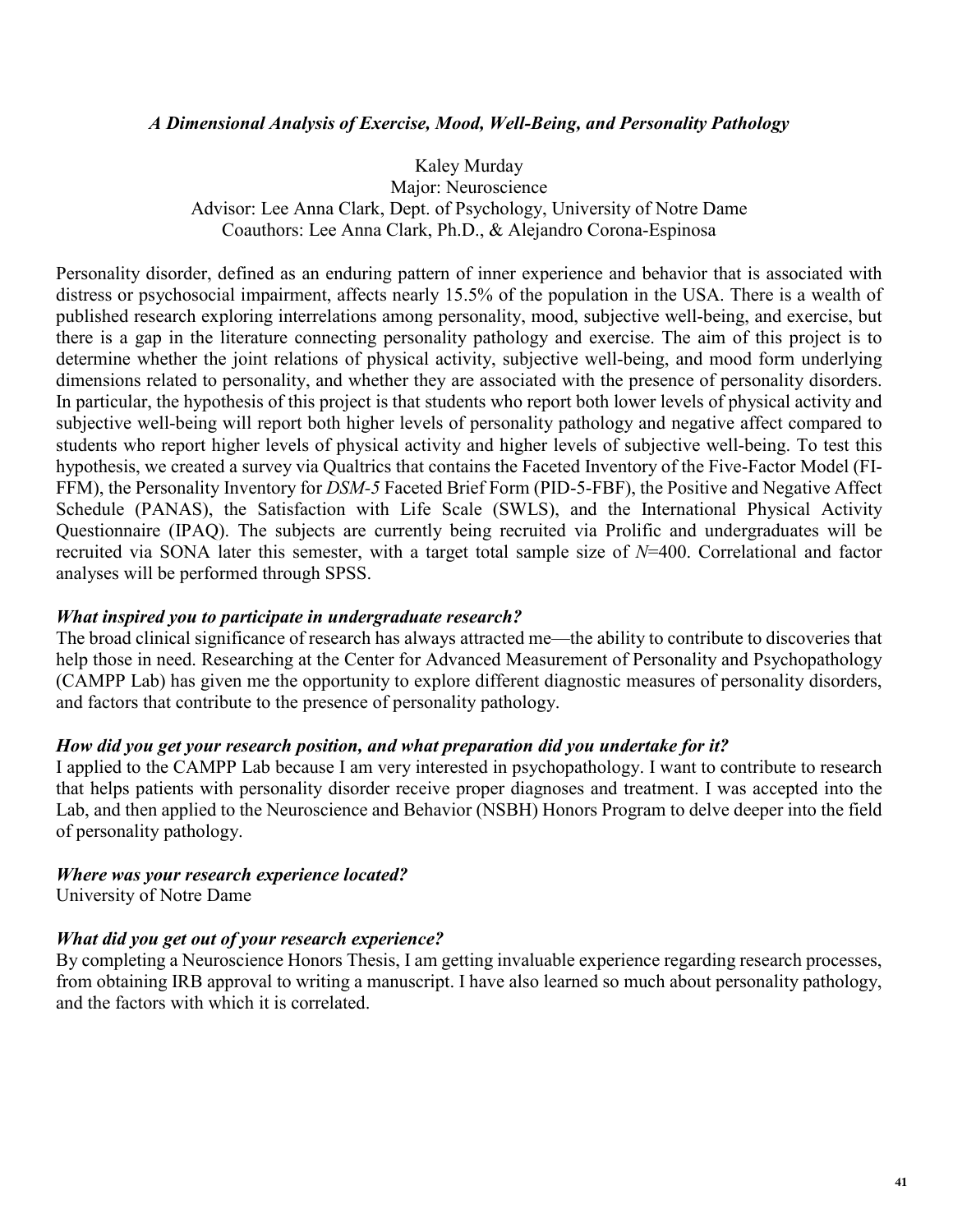### *A Dimensional Analysis of Exercise, Mood, Well-Being, and Personality Pathology*

Kaley Murday Major: Neuroscience Advisor: Lee Anna Clark, Dept. of Psychology, University of Notre Dame Coauthors: Lee Anna Clark, Ph.D., & Alejandro Corona-Espinosa

Personality disorder, defined as an enduring pattern of inner experience and behavior that is associated with distress or psychosocial impairment, affects nearly 15.5% of the population in the USA. There is a wealth of published research exploring interrelations among personality, mood, subjective well-being, and exercise, but there is a gap in the literature connecting personality pathology and exercise. The aim of this project is to determine whether the joint relations of physical activity, subjective well-being, and mood form underlying dimensions related to personality, and whether they are associated with the presence of personality disorders. In particular, the hypothesis of this project is that students who report both lower levels of physical activity and subjective well-being will report both higher levels of personality pathology and negative affect compared to students who report higher levels of physical activity and higher levels of subjective well-being. To test this hypothesis, we created a survey via Qualtrics that contains the Faceted Inventory of the Five-Factor Model (FI-FFM), the Personality Inventory for *DSM-5* Faceted Brief Form (PID-5-FBF), the Positive and Negative Affect Schedule (PANAS), the Satisfaction with Life Scale (SWLS), and the International Physical Activity Questionnaire (IPAQ). The subjects are currently being recruited via Prolific and undergraduates will be recruited via SONA later this semester, with a target total sample size of *N*=400. Correlational and factor analyses will be performed through SPSS.

### *What inspired you to participate in undergraduate research?*

The broad clinical significance of research has always attracted me—the ability to contribute to discoveries that help those in need. Researching at the Center for Advanced Measurement of Personality and Psychopathology (CAMPP Lab) has given me the opportunity to explore different diagnostic measures of personality disorders, and factors that contribute to the presence of personality pathology.

#### *How did you get your research position, and what preparation did you undertake for it?*

I applied to the CAMPP Lab because I am very interested in psychopathology. I want to contribute to research that helps patients with personality disorder receive proper diagnoses and treatment. I was accepted into the Lab, and then applied to the Neuroscience and Behavior (NSBH) Honors Program to delve deeper into the field of personality pathology.

## *Where was your research experience located?*

University of Notre Dame

### *What did you get out of your research experience?*

By completing a Neuroscience Honors Thesis, I am getting invaluable experience regarding research processes, from obtaining IRB approval to writing a manuscript. I have also learned so much about personality pathology, and the factors with which it is correlated.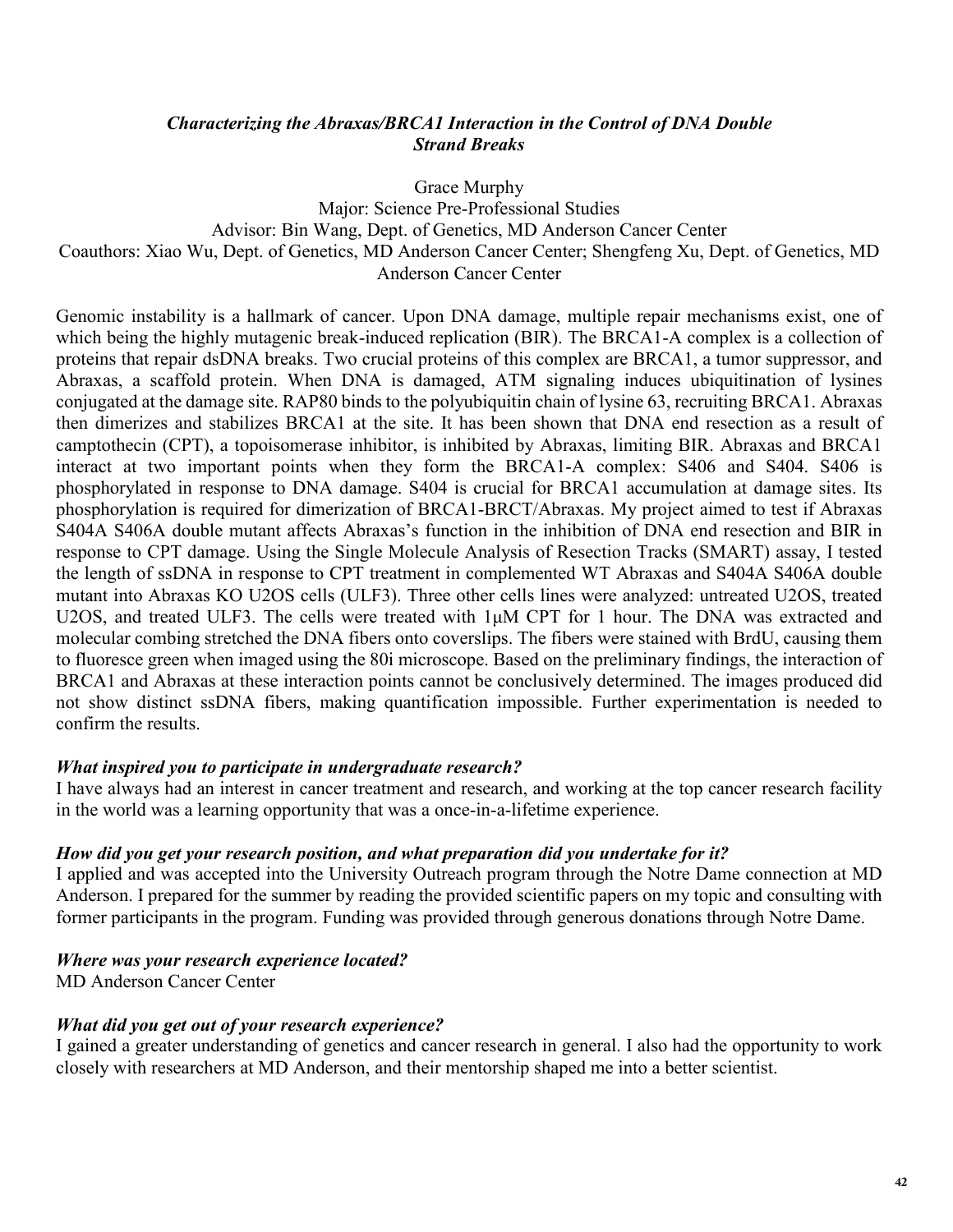### *Characterizing the Abraxas/BRCA1 Interaction in the Control of DNA Double Strand Breaks*

Grace Murphy Major: Science Pre-Professional Studies Advisor: Bin Wang, Dept. of Genetics, MD Anderson Cancer Center Coauthors: Xiao Wu, Dept. of Genetics, MD Anderson Cancer Center; Shengfeng Xu, Dept. of Genetics, MD Anderson Cancer Center

Genomic instability is a hallmark of cancer. Upon DNA damage, multiple repair mechanisms exist, one of which being the highly mutagenic break-induced replication (BIR). The BRCA1-A complex is a collection of proteins that repair dsDNA breaks. Two crucial proteins of this complex are BRCA1, a tumor suppressor, and Abraxas, a scaffold protein. When DNA is damaged, ATM signaling induces ubiquitination of lysines conjugated at the damage site. RAP80 binds to the polyubiquitin chain of lysine 63, recruiting BRCA1. Abraxas then dimerizes and stabilizes BRCA1 at the site. It has been shown that DNA end resection as a result of camptothecin (CPT), a topoisomerase inhibitor, is inhibited by Abraxas, limiting BIR. Abraxas and BRCA1 interact at two important points when they form the BRCA1-A complex: S406 and S404. S406 is phosphorylated in response to DNA damage. S404 is crucial for BRCA1 accumulation at damage sites. Its phosphorylation is required for dimerization of BRCA1-BRCT/Abraxas. My project aimed to test if Abraxas S404A S406A double mutant affects Abraxas's function in the inhibition of DNA end resection and BIR in response to CPT damage. Using the Single Molecule Analysis of Resection Tracks (SMART) assay, I tested the length of ssDNA in response to CPT treatment in complemented WT Abraxas and S404A S406A double mutant into Abraxas KO U2OS cells (ULF3). Three other cells lines were analyzed: untreated U2OS, treated U2OS, and treated ULF3. The cells were treated with 1μM CPT for 1 hour. The DNA was extracted and molecular combing stretched the DNA fibers onto coverslips. The fibers were stained with BrdU, causing them to fluoresce green when imaged using the 80i microscope. Based on the preliminary findings, the interaction of BRCA1 and Abraxas at these interaction points cannot be conclusively determined. The images produced did not show distinct ssDNA fibers, making quantification impossible. Further experimentation is needed to confirm the results.

### *What inspired you to participate in undergraduate research?*

I have always had an interest in cancer treatment and research, and working at the top cancer research facility in the world was a learning opportunity that was a once-in-a-lifetime experience.

### *How did you get your research position, and what preparation did you undertake for it?*

I applied and was accepted into the University Outreach program through the Notre Dame connection at MD Anderson. I prepared for the summer by reading the provided scientific papers on my topic and consulting with former participants in the program. Funding was provided through generous donations through Notre Dame.

### *Where was your research experience located?*

MD Anderson Cancer Center

### *What did you get out of your research experience?*

I gained a greater understanding of genetics and cancer research in general. I also had the opportunity to work closely with researchers at MD Anderson, and their mentorship shaped me into a better scientist.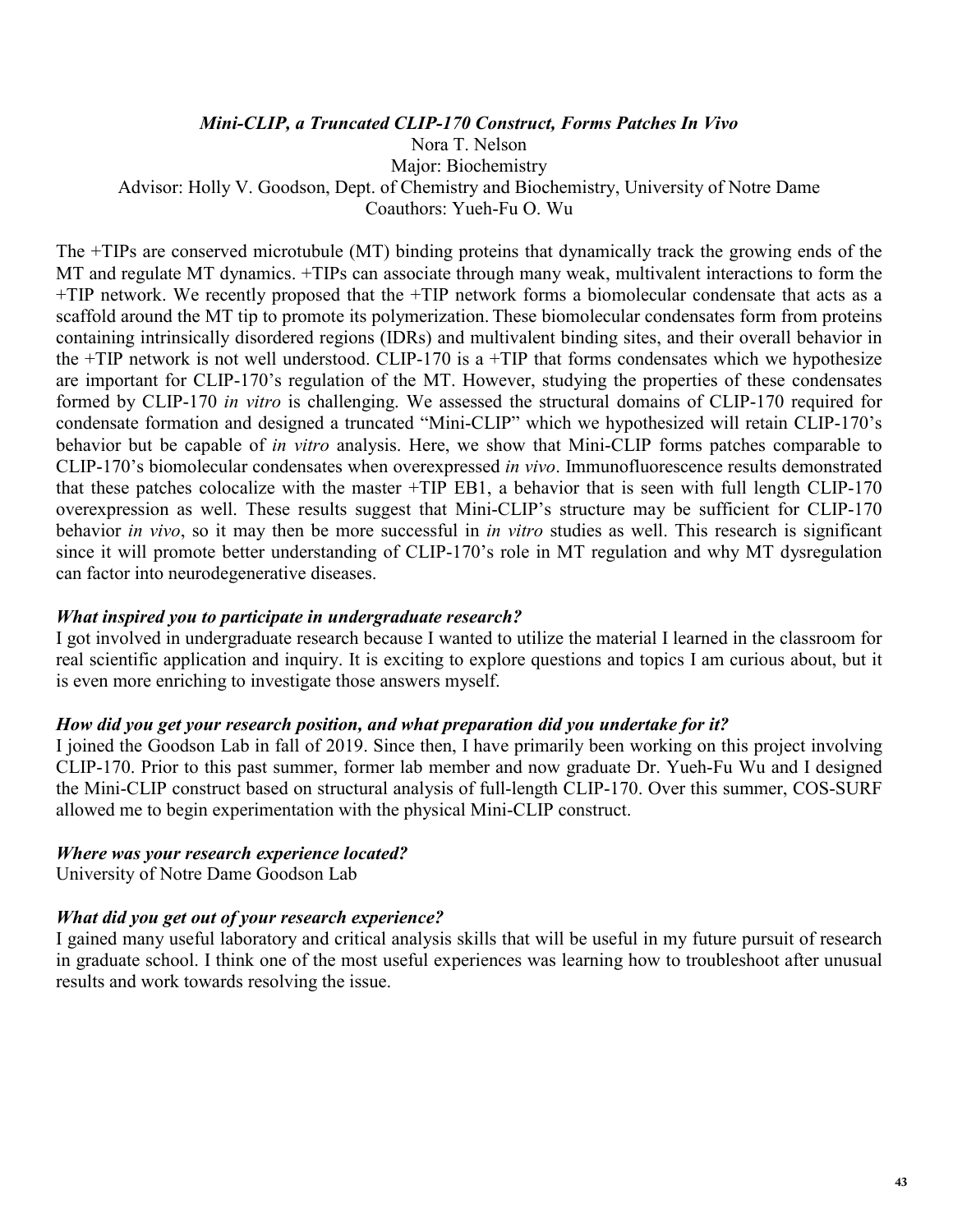#### *Mini-CLIP, a Truncated CLIP-170 Construct, Forms Patches In Vivo*

Nora T. Nelson Major: Biochemistry Advisor: Holly V. Goodson, Dept. of Chemistry and Biochemistry, University of Notre Dame Coauthors: Yueh-Fu O. Wu

The +TIPs are conserved microtubule (MT) binding proteins that dynamically track the growing ends of the MT and regulate MT dynamics. +TIPs can associate through many weak, multivalent interactions to form the +TIP network. We recently proposed that the +TIP network forms a biomolecular condensate that acts as a scaffold around the MT tip to promote its polymerization. These biomolecular condensates form from proteins containing intrinsically disordered regions (IDRs) and multivalent binding sites, and their overall behavior in the +TIP network is not well understood. CLIP-170 is a +TIP that forms condensates which we hypothesize are important for CLIP-170's regulation of the MT. However, studying the properties of these condensates formed by CLIP-170 *in vitro* is challenging. We assessed the structural domains of CLIP-170 required for condensate formation and designed a truncated "Mini-CLIP" which we hypothesized will retain CLIP-170's behavior but be capable of *in vitro* analysis. Here, we show that Mini-CLIP forms patches comparable to CLIP-170's biomolecular condensates when overexpressed *in vivo*. Immunofluorescence results demonstrated that these patches colocalize with the master +TIP EB1, a behavior that is seen with full length CLIP-170 overexpression as well. These results suggest that Mini-CLIP's structure may be sufficient for CLIP-170 behavior *in vivo*, so it may then be more successful in *in vitro* studies as well. This research is significant since it will promote better understanding of CLIP-170's role in MT regulation and why MT dysregulation can factor into neurodegenerative diseases.

#### *What inspired you to participate in undergraduate research?*

I got involved in undergraduate research because I wanted to utilize the material I learned in the classroom for real scientific application and inquiry. It is exciting to explore questions and topics I am curious about, but it is even more enriching to investigate those answers myself.

#### *How did you get your research position, and what preparation did you undertake for it?*

I joined the Goodson Lab in fall of 2019. Since then, I have primarily been working on this project involving CLIP-170. Prior to this past summer, former lab member and now graduate Dr. Yueh-Fu Wu and I designed the Mini-CLIP construct based on structural analysis of full-length CLIP-170. Over this summer, COS-SURF allowed me to begin experimentation with the physical Mini-CLIP construct.

#### *Where was your research experience located?*

University of Notre Dame Goodson Lab

### *What did you get out of your research experience?*

I gained many useful laboratory and critical analysis skills that will be useful in my future pursuit of research in graduate school. I think one of the most useful experiences was learning how to troubleshoot after unusual results and work towards resolving the issue.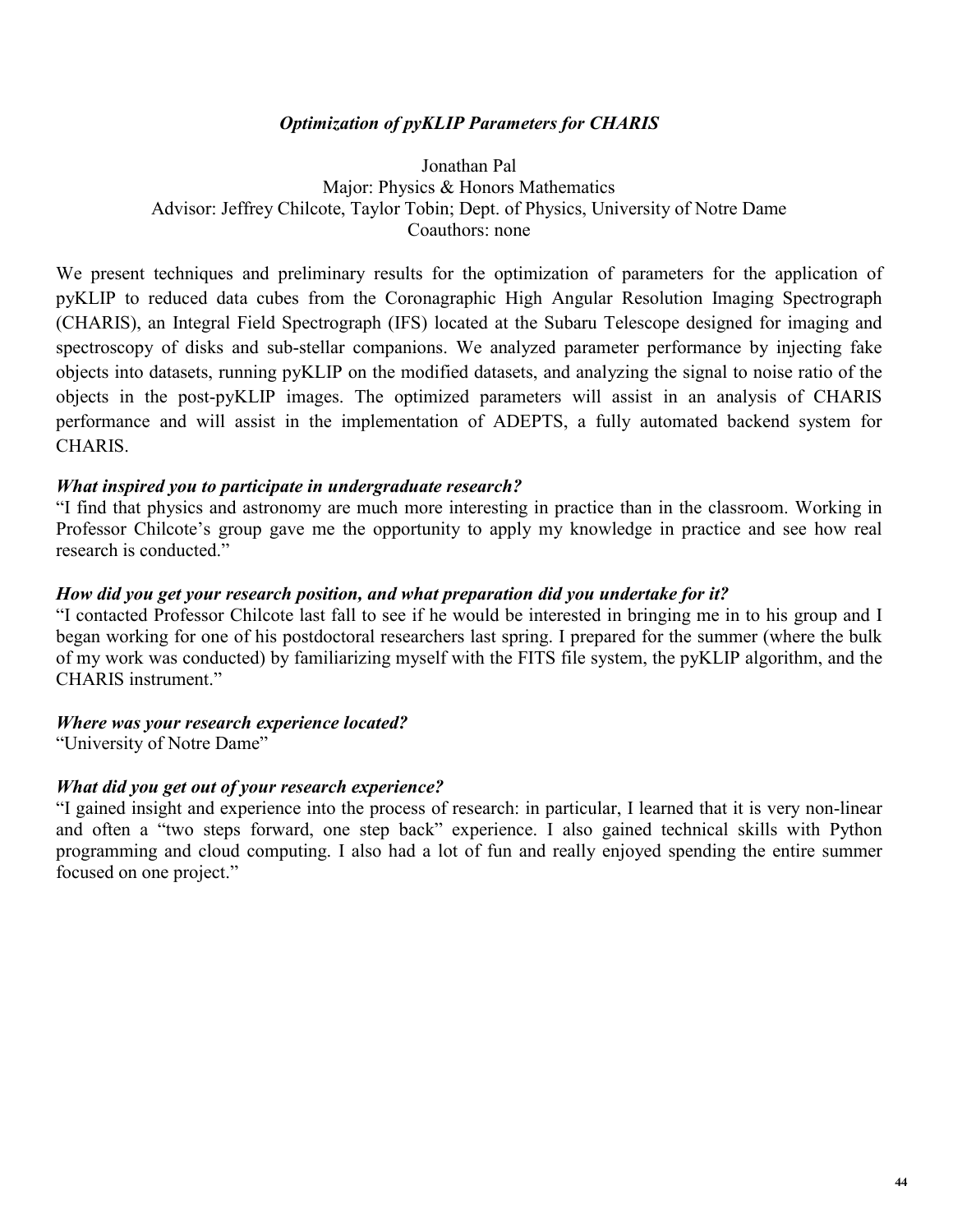### *Optimization of pyKLIP Parameters for CHARIS*

Jonathan Pal Major: Physics & Honors Mathematics Advisor: Jeffrey Chilcote, Taylor Tobin; Dept. of Physics, University of Notre Dame Coauthors: none

We present techniques and preliminary results for the optimization of parameters for the application of pyKLIP to reduced data cubes from the Coronagraphic High Angular Resolution Imaging Spectrograph (CHARIS), an Integral Field Spectrograph (IFS) located at the Subaru Telescope designed for imaging and spectroscopy of disks and sub-stellar companions. We analyzed parameter performance by injecting fake objects into datasets, running pyKLIP on the modified datasets, and analyzing the signal to noise ratio of the objects in the post-pyKLIP images. The optimized parameters will assist in an analysis of CHARIS performance and will assist in the implementation of ADEPTS, a fully automated backend system for CHARIS.

### *What inspired you to participate in undergraduate research?*

"I find that physics and astronomy are much more interesting in practice than in the classroom. Working in Professor Chilcote's group gave me the opportunity to apply my knowledge in practice and see how real research is conducted."

### *How did you get your research position, and what preparation did you undertake for it?*

"I contacted Professor Chilcote last fall to see if he would be interested in bringing me in to his group and I began working for one of his postdoctoral researchers last spring. I prepared for the summer (where the bulk of my work was conducted) by familiarizing myself with the FITS file system, the pyKLIP algorithm, and the CHARIS instrument."

### *Where was your research experience located?*

"University of Notre Dame"

### *What did you get out of your research experience?*

"I gained insight and experience into the process of research: in particular, I learned that it is very non-linear and often a "two steps forward, one step back" experience. I also gained technical skills with Python programming and cloud computing. I also had a lot of fun and really enjoyed spending the entire summer focused on one project."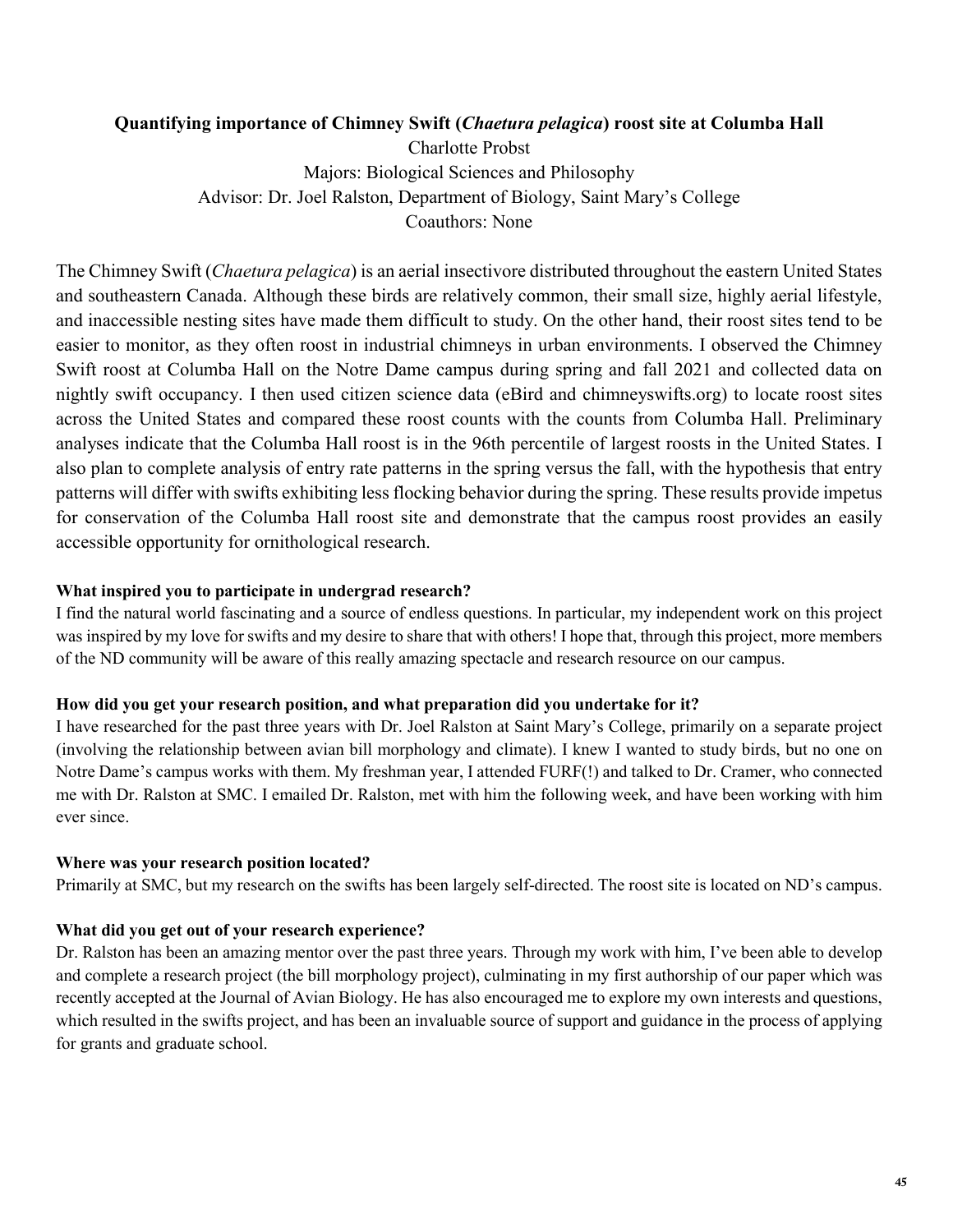### **Quantifying importance of Chimney Swift (***Chaetura pelagica***) roost site at Columba Hall**

Charlotte Probst Majors: Biological Sciences and Philosophy Advisor: Dr. Joel Ralston, Department of Biology, Saint Mary's College Coauthors: None

The Chimney Swift (*Chaetura pelagica*) is an aerial insectivore distributed throughout the eastern United States and southeastern Canada. Although these birds are relatively common, their small size, highly aerial lifestyle, and inaccessible nesting sites have made them difficult to study. On the other hand, their roost sites tend to be easier to monitor, as they often roost in industrial chimneys in urban environments. I observed the Chimney Swift roost at Columba Hall on the Notre Dame campus during spring and fall 2021 and collected data on nightly swift occupancy. I then used citizen science data (eBird and chimneyswifts.org) to locate roost sites across the United States and compared these roost counts with the counts from Columba Hall. Preliminary analyses indicate that the Columba Hall roost is in the 96th percentile of largest roosts in the United States. I also plan to complete analysis of entry rate patterns in the spring versus the fall, with the hypothesis that entry patterns will differ with swifts exhibiting less flocking behavior during the spring. These results provide impetus for conservation of the Columba Hall roost site and demonstrate that the campus roost provides an easily accessible opportunity for ornithological research.

#### **What inspired you to participate in undergrad research?**

I find the natural world fascinating and a source of endless questions. In particular, my independent work on this project was inspired by my love for swifts and my desire to share that with others! I hope that, through this project, more members of the ND community will be aware of this really amazing spectacle and research resource on our campus.

#### **How did you get your research position, and what preparation did you undertake for it?**

I have researched for the past three years with Dr. Joel Ralston at Saint Mary's College, primarily on a separate project (involving the relationship between avian bill morphology and climate). I knew I wanted to study birds, but no one on Notre Dame's campus works with them. My freshman year, I attended FURF(!) and talked to Dr. Cramer, who connected me with Dr. Ralston at SMC. I emailed Dr. Ralston, met with him the following week, and have been working with him ever since.

#### **Where was your research position located?**

Primarily at SMC, but my research on the swifts has been largely self-directed. The roost site is located on ND's campus.

#### **What did you get out of your research experience?**

Dr. Ralston has been an amazing mentor over the past three years. Through my work with him, I've been able to develop and complete a research project (the bill morphology project), culminating in my first authorship of our paper which was recently accepted at the Journal of Avian Biology. He has also encouraged me to explore my own interests and questions, which resulted in the swifts project, and has been an invaluable source of support and guidance in the process of applying for grants and graduate school.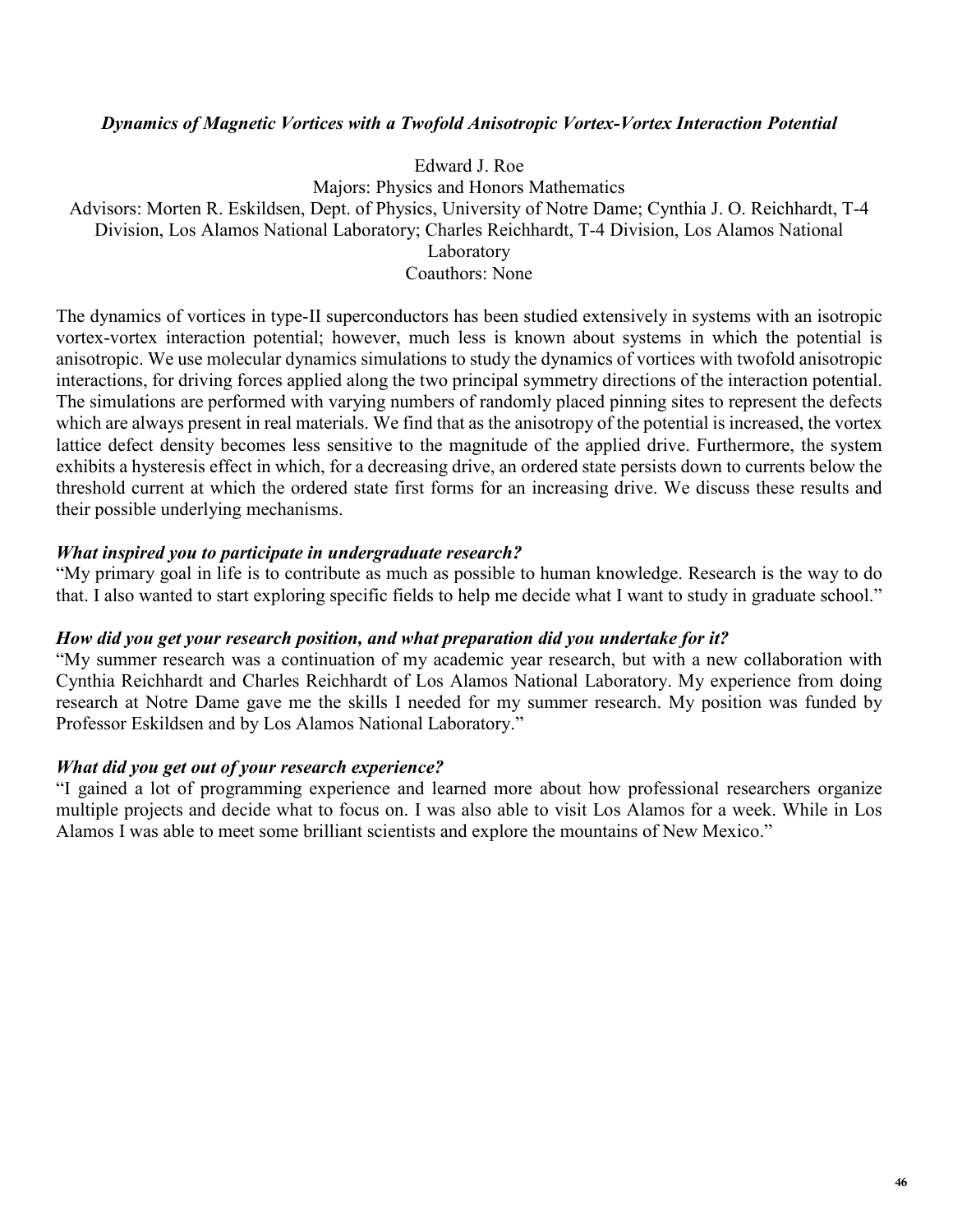### *Dynamics of Magnetic Vortices with a Twofold Anisotropic Vortex-Vortex Interaction Potential*

Edward J. Roe

Majors: Physics and Honors Mathematics Advisors: Morten R. Eskildsen, Dept. of Physics, University of Notre Dame; Cynthia J. O. Reichhardt, T-4 Division, Los Alamos National Laboratory; Charles Reichhardt, T-4 Division, Los Alamos National Laboratory Coauthors: None

The dynamics of vortices in type-II superconductors has been studied extensively in systems with an isotropic vortex-vortex interaction potential; however, much less is known about systems in which the potential is anisotropic. We use molecular dynamics simulations to study the dynamics of vortices with twofold anisotropic interactions, for driving forces applied along the two principal symmetry directions of the interaction potential. The simulations are performed with varying numbers of randomly placed pinning sites to represent the defects which are always present in real materials. We find that as the anisotropy of the potential is increased, the vortex lattice defect density becomes less sensitive to the magnitude of the applied drive. Furthermore, the system exhibits a hysteresis effect in which, for a decreasing drive, an ordered state persists down to currents below the threshold current at which the ordered state first forms for an increasing drive. We discuss these results and their possible underlying mechanisms.

### *What inspired you to participate in undergraduate research?*

"My primary goal in life is to contribute as much as possible to human knowledge. Research is the way to do that. I also wanted to start exploring specific fields to help me decide what I want to study in graduate school."

### *How did you get your research position, and what preparation did you undertake for it?*

"My summer research was a continuation of my academic year research, but with a new collaboration with Cynthia Reichhardt and Charles Reichhardt of Los Alamos National Laboratory. My experience from doing research at Notre Dame gave me the skills I needed for my summer research. My position was funded by Professor Eskildsen and by Los Alamos National Laboratory."

### *What did you get out of your research experience?*

"I gained a lot of programming experience and learned more about how professional researchers organize multiple projects and decide what to focus on. I was also able to visit Los Alamos for a week. While in Los Alamos I was able to meet some brilliant scientists and explore the mountains of New Mexico."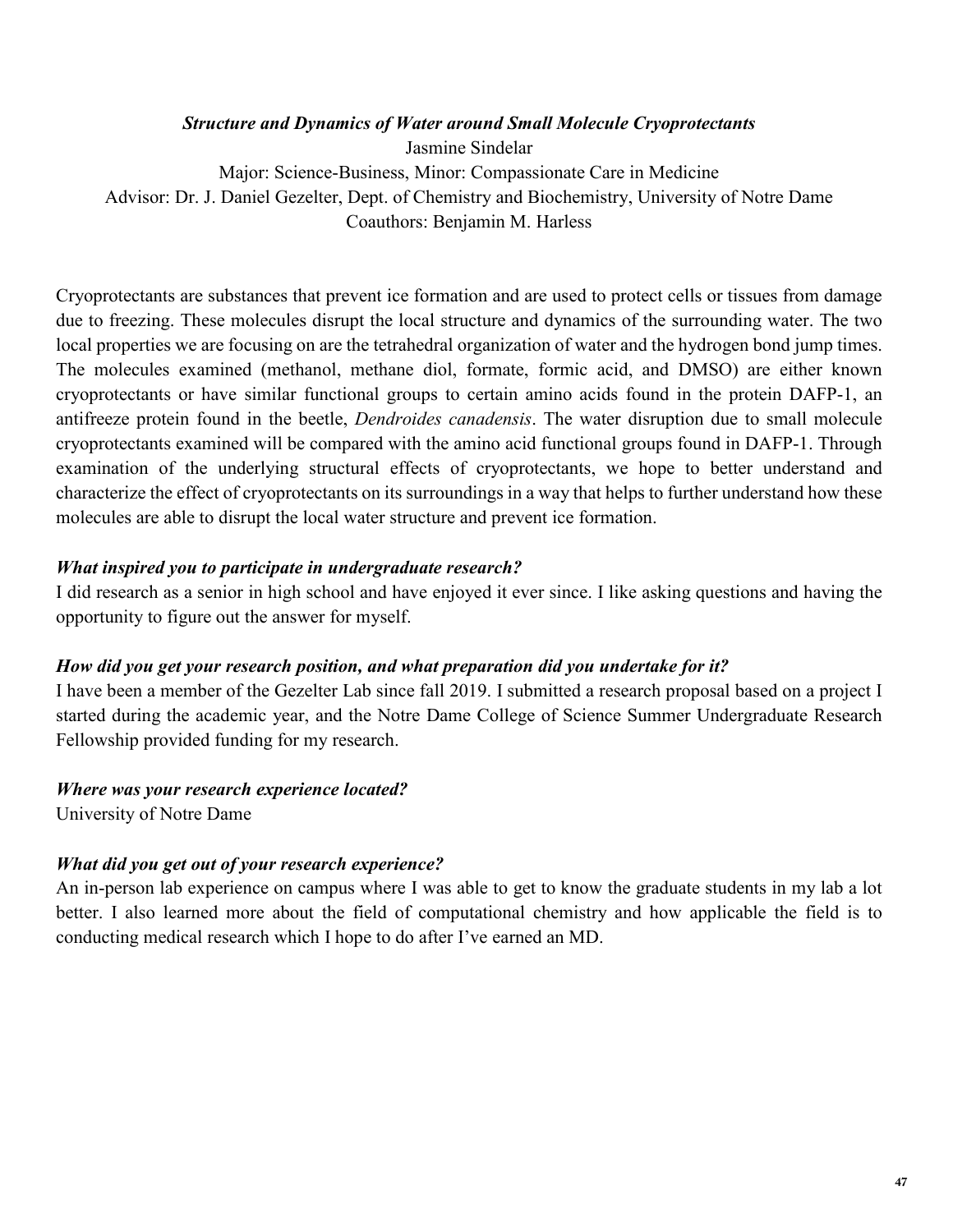### *Structure and Dynamics of Water around Small Molecule Cryoprotectants*

Jasmine Sindelar Major: Science-Business, Minor: Compassionate Care in Medicine Advisor: Dr. J. Daniel Gezelter, Dept. of Chemistry and Biochemistry, University of Notre Dame Coauthors: Benjamin M. Harless

Cryoprotectants are substances that prevent ice formation and are used to protect cells or tissues from damage due to freezing. These molecules disrupt the local structure and dynamics of the surrounding water. The two local properties we are focusing on are the tetrahedral organization of water and the hydrogen bond jump times. The molecules examined (methanol, methane diol, formate, formic acid, and DMSO) are either known cryoprotectants or have similar functional groups to certain amino acids found in the protein DAFP-1, an antifreeze protein found in the beetle, *Dendroides canadensis*. The water disruption due to small molecule cryoprotectants examined will be compared with the amino acid functional groups found in DAFP-1. Through examination of the underlying structural effects of cryoprotectants, we hope to better understand and characterize the effect of cryoprotectants on its surroundings in a way that helps to further understand how these molecules are able to disrupt the local water structure and prevent ice formation.

### *What inspired you to participate in undergraduate research?*

I did research as a senior in high school and have enjoyed it ever since. I like asking questions and having the opportunity to figure out the answer for myself.

### *How did you get your research position, and what preparation did you undertake for it?*

I have been a member of the Gezelter Lab since fall 2019. I submitted a research proposal based on a project I started during the academic year, and the Notre Dame College of Science Summer Undergraduate Research Fellowship provided funding for my research.

### *Where was your research experience located?*

University of Notre Dame

### *What did you get out of your research experience?*

An in-person lab experience on campus where I was able to get to know the graduate students in my lab a lot better. I also learned more about the field of computational chemistry and how applicable the field is to conducting medical research which I hope to do after I've earned an MD.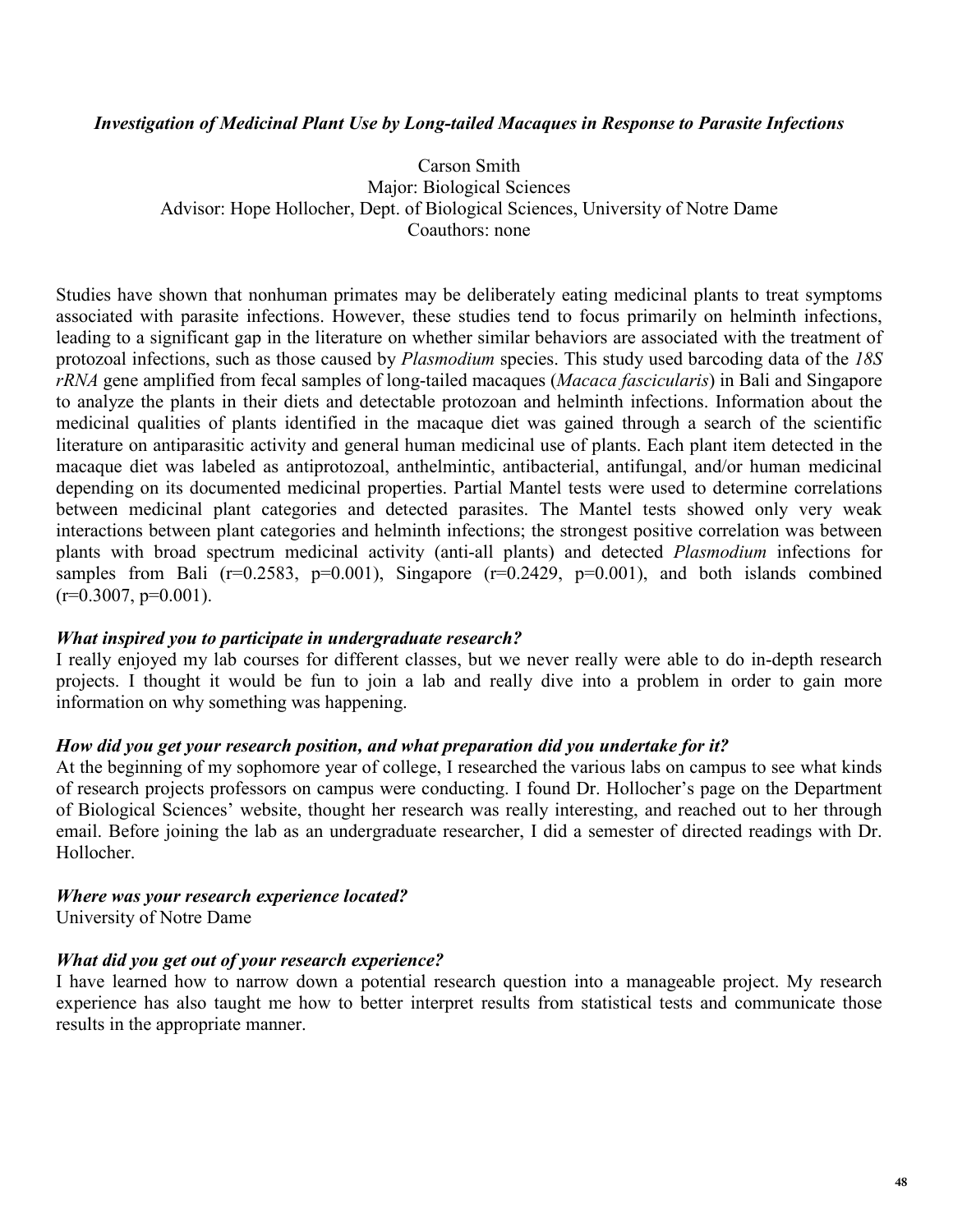### *Investigation of Medicinal Plant Use by Long-tailed Macaques in Response to Parasite Infections*

Carson Smith Major: Biological Sciences Advisor: Hope Hollocher, Dept. of Biological Sciences, University of Notre Dame Coauthors: none

Studies have shown that nonhuman primates may be deliberately eating medicinal plants to treat symptoms associated with parasite infections. However, these studies tend to focus primarily on helminth infections, leading to a significant gap in the literature on whether similar behaviors are associated with the treatment of protozoal infections, such as those caused by *Plasmodium* species. This study used barcoding data of the *18S rRNA* gene amplified from fecal samples of long-tailed macaques (*Macaca fascicularis*) in Bali and Singapore to analyze the plants in their diets and detectable protozoan and helminth infections. Information about the medicinal qualities of plants identified in the macaque diet was gained through a search of the scientific literature on antiparasitic activity and general human medicinal use of plants. Each plant item detected in the macaque diet was labeled as antiprotozoal, anthelmintic, antibacterial, antifungal, and/or human medicinal depending on its documented medicinal properties. Partial Mantel tests were used to determine correlations between medicinal plant categories and detected parasites. The Mantel tests showed only very weak interactions between plant categories and helminth infections; the strongest positive correlation was between plants with broad spectrum medicinal activity (anti-all plants) and detected *Plasmodium* infections for samples from Bali ( $r=0.2583$ ,  $p=0.001$ ), Singapore ( $r=0.2429$ ,  $p=0.001$ ), and both islands combined  $(r=0.3007, p=0.001)$ .

#### *What inspired you to participate in undergraduate research?*

I really enjoyed my lab courses for different classes, but we never really were able to do in-depth research projects. I thought it would be fun to join a lab and really dive into a problem in order to gain more information on why something was happening.

#### *How did you get your research position, and what preparation did you undertake for it?*

At the beginning of my sophomore year of college, I researched the various labs on campus to see what kinds of research projects professors on campus were conducting. I found Dr. Hollocher's page on the Department of Biological Sciences' website, thought her research was really interesting, and reached out to her through email. Before joining the lab as an undergraduate researcher, I did a semester of directed readings with Dr. Hollocher.

#### *Where was your research experience located?*

University of Notre Dame

#### *What did you get out of your research experience?*

I have learned how to narrow down a potential research question into a manageable project. My research experience has also taught me how to better interpret results from statistical tests and communicate those results in the appropriate manner.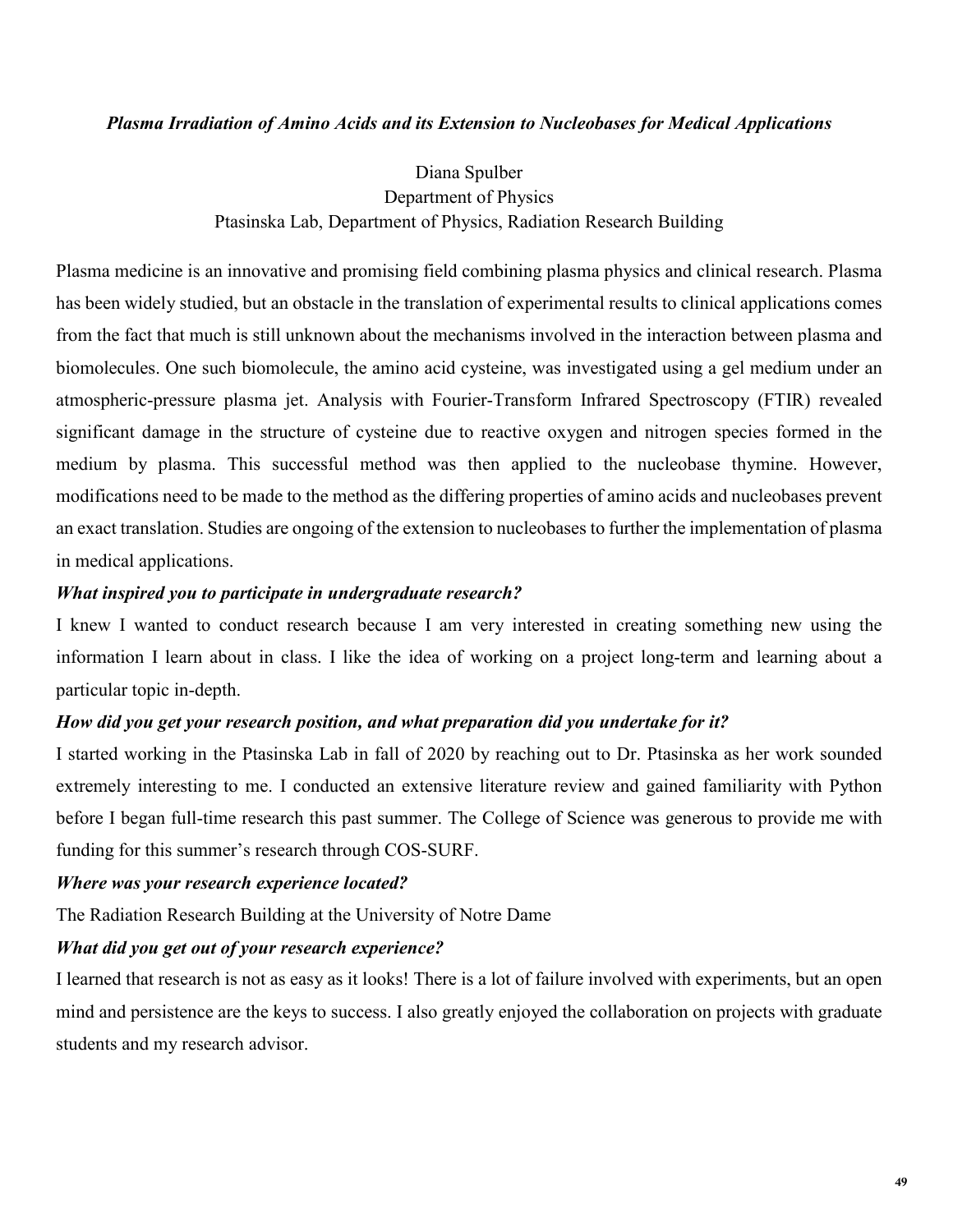### *Plasma Irradiation of Amino Acids and its Extension to Nucleobases for Medical Applications*

Diana Spulber Department of Physics Ptasinska Lab, Department of Physics, Radiation Research Building

Plasma medicine is an innovative and promising field combining plasma physics and clinical research. Plasma has been widely studied, but an obstacle in the translation of experimental results to clinical applications comes from the fact that much is still unknown about the mechanisms involved in the interaction between plasma and biomolecules. One such biomolecule, the amino acid cysteine, was investigated using a gel medium under an atmospheric-pressure plasma jet. Analysis with Fourier-Transform Infrared Spectroscopy (FTIR) revealed significant damage in the structure of cysteine due to reactive oxygen and nitrogen species formed in the medium by plasma. This successful method was then applied to the nucleobase thymine. However, modifications need to be made to the method as the differing properties of amino acids and nucleobases prevent an exact translation. Studies are ongoing of the extension to nucleobases to further the implementation of plasma in medical applications.

### *What inspired you to participate in undergraduate research?*

I knew I wanted to conduct research because I am very interested in creating something new using the information I learn about in class. I like the idea of working on a project long-term and learning about a particular topic in-depth.

### *How did you get your research position, and what preparation did you undertake for it?*

I started working in the Ptasinska Lab in fall of 2020 by reaching out to Dr. Ptasinska as her work sounded extremely interesting to me. I conducted an extensive literature review and gained familiarity with Python before I began full-time research this past summer. The College of Science was generous to provide me with funding for this summer's research through COS-SURF.

#### *Where was your research experience located?*

The Radiation Research Building at the University of Notre Dame

#### *What did you get out of your research experience?*

I learned that research is not as easy as it looks! There is a lot of failure involved with experiments, but an open mind and persistence are the keys to success. I also greatly enjoyed the collaboration on projects with graduate students and my research advisor.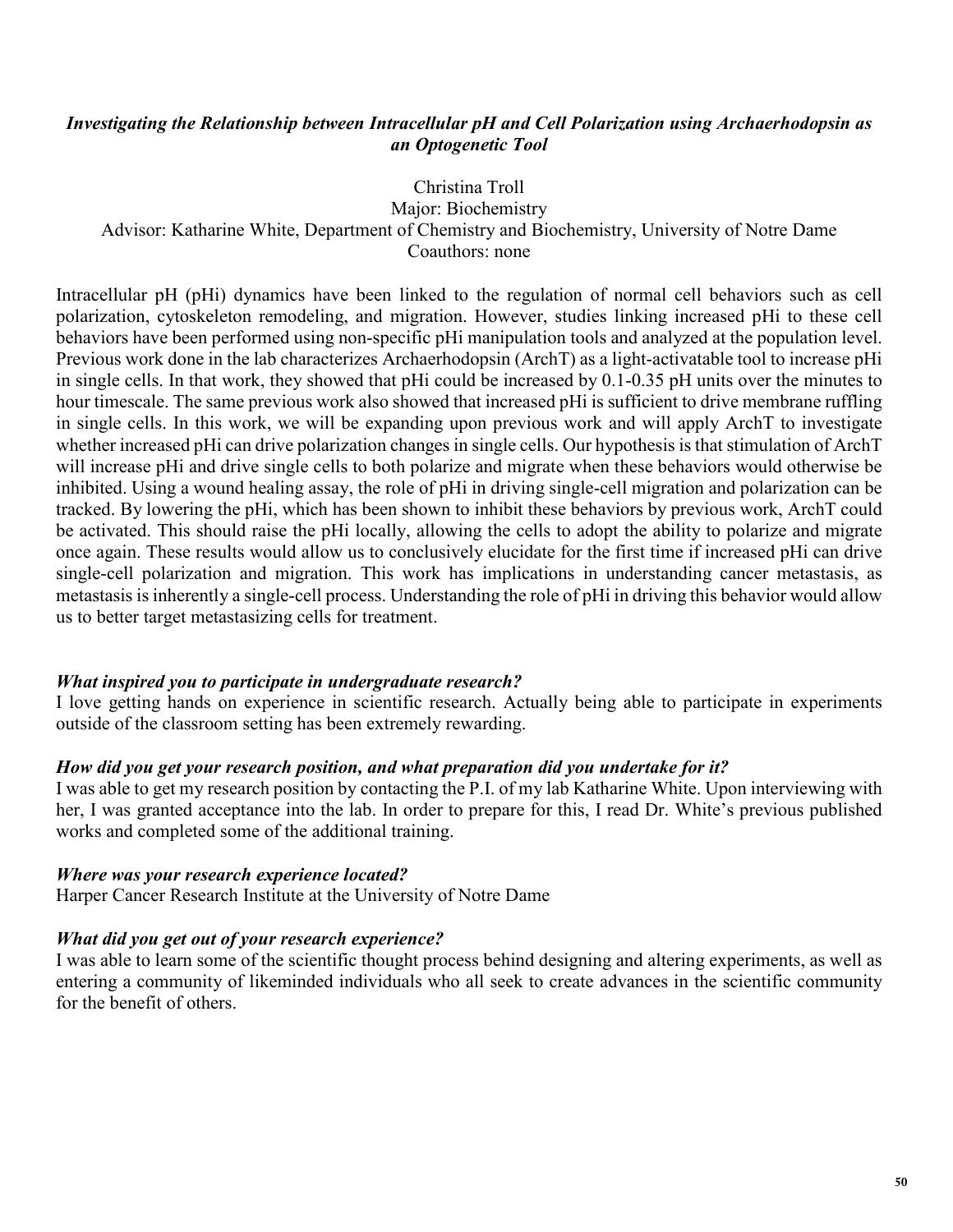### *Investigating the Relationship between Intracellular pH and Cell Polarization using Archaerhodopsin as an Optogenetic Tool*

Christina Troll

Major: Biochemistry Advisor: Katharine White, Department of Chemistry and Biochemistry, University of Notre Dame Coauthors: none

Intracellular pH (pHi) dynamics have been linked to the regulation of normal cell behaviors such as cell polarization, cytoskeleton remodeling, and migration. However, studies linking increased pHi to these cell behaviors have been performed using non-specific pHi manipulation tools and analyzed at the population level. Previous work done in the lab characterizes Archaerhodopsin (ArchT) as a light-activatable tool to increase pHi in single cells. In that work, they showed that pHi could be increased by 0.1-0.35 pH units over the minutes to hour timescale. The same previous work also showed that increased pHi is sufficient to drive membrane ruffling in single cells. In this work, we will be expanding upon previous work and will apply ArchT to investigate whether increased pHi can drive polarization changes in single cells. Our hypothesis is that stimulation of ArchT will increase pHi and drive single cells to both polarize and migrate when these behaviors would otherwise be inhibited. Using a wound healing assay, the role of pHi in driving single-cell migration and polarization can be tracked. By lowering the pHi, which has been shown to inhibit these behaviors by previous work, ArchT could be activated. This should raise the pHi locally, allowing the cells to adopt the ability to polarize and migrate once again. These results would allow us to conclusively elucidate for the first time if increased pHi can drive single-cell polarization and migration. This work has implications in understanding cancer metastasis, as metastasis is inherently a single-cell process. Understanding the role of pHi in driving this behavior would allow us to better target metastasizing cells for treatment.

### *What inspired you to participate in undergraduate research?*

I love getting hands on experience in scientific research. Actually being able to participate in experiments outside of the classroom setting has been extremely rewarding.

### *How did you get your research position, and what preparation did you undertake for it?*

I was able to get my research position by contacting the P.I. of my lab Katharine White. Upon interviewing with her, I was granted acceptance into the lab. In order to prepare for this, I read Dr. White's previous published works and completed some of the additional training.

### *Where was your research experience located?*

Harper Cancer Research Institute at the University of Notre Dame

### *What did you get out of your research experience?*

I was able to learn some of the scientific thought process behind designing and altering experiments, as well as entering a community of likeminded individuals who all seek to create advances in the scientific community for the benefit of others.